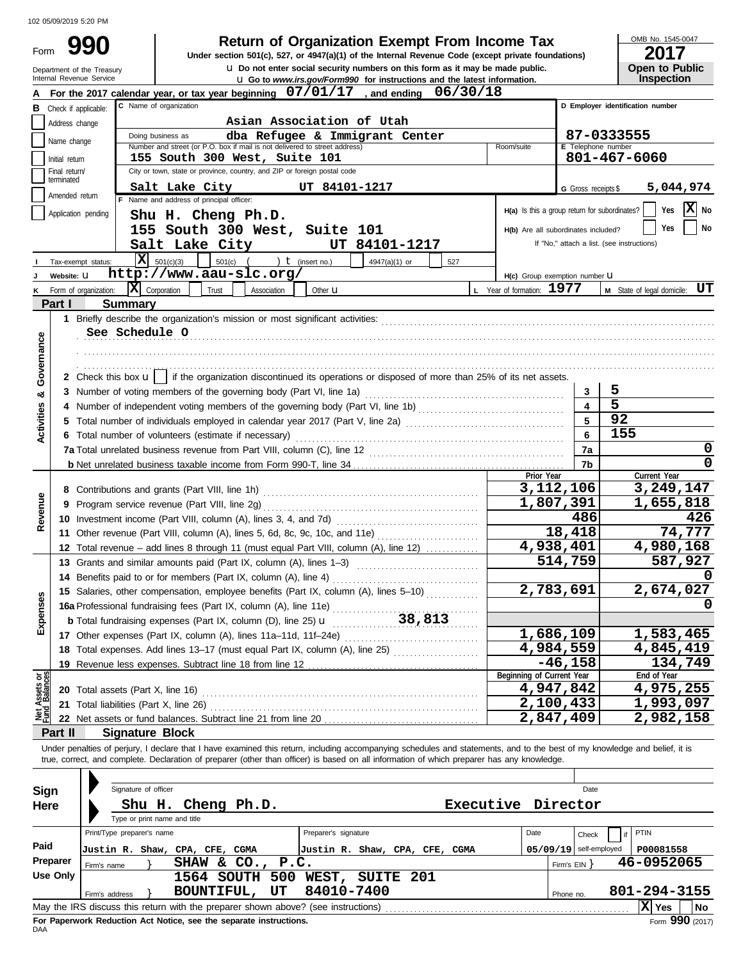|                         |                                 | 102 05/09/2019 5:20 PM                                                                                                                                                     |                                                 |                                            |                                            |
|-------------------------|---------------------------------|----------------------------------------------------------------------------------------------------------------------------------------------------------------------------|-------------------------------------------------|--------------------------------------------|--------------------------------------------|
| Form                    |                                 | <b>Return of Organization Exempt From Income Tax</b><br>990<br>Under section 501(c), 527, or 4947(a)(1) of the Internal Revenue Code (except private foundations)          |                                                 |                                            | OMB No. 1545-0047<br>2017                  |
|                         |                                 | <b>u</b> Do not enter social security numbers on this form as it may be made public.<br>Department of the Treasury                                                         |                                                 |                                            | Open to Public                             |
|                         |                                 | Internal Revenue Service<br>La Go to www.irs.gov/Form990 for instructions and the latest information.                                                                      |                                                 |                                            | Inspection                                 |
|                         |                                 | For the 2017 calendar year, or tax year beginning 07/01/17, and ending 06/30/18<br>C Name of organization                                                                  |                                                 |                                            | D Employer identification number           |
| В                       | Address change                  | Check if applicable:<br>Asian Association of Utah                                                                                                                          |                                                 |                                            |                                            |
|                         |                                 | Doing business as<br>dba Refugee & Immigrant Center                                                                                                                        |                                                 |                                            | 87-0333555                                 |
|                         | Name change                     | Number and street (or P.O. box if mail is not delivered to street address)                                                                                                 | Room/suite                                      | E Telephone number                         |                                            |
|                         | Initial return<br>Final return/ | 155 South 300 West, Suite 101<br>City or town, state or province, country, and ZIP or foreign postal code                                                                  |                                                 |                                            | 801-467-6060                               |
|                         | terminated                      | Salt Lake City<br>UT 84101-1217                                                                                                                                            |                                                 | G Gross receipts \$                        | 5,044,974                                  |
|                         | Amended return                  | F Name and address of principal officer:                                                                                                                                   |                                                 |                                            |                                            |
|                         |                                 | Application pending<br>Shu H. Cheng Ph.D.                                                                                                                                  | $H(a)$ Is this a group return for subordinates? |                                            | X No<br>Yes                                |
|                         |                                 | 155 South 300 West, Suite 101                                                                                                                                              | H(b) Are all subordinates included?             |                                            | Yes<br>No                                  |
|                         |                                 | Salt Lake City<br>UT 84101-1217                                                                                                                                            |                                                 |                                            | If "No," attach a list. (see instructions) |
|                         |                                 | $\overline{\mathbf{X}}$ 501(c)(3)<br>$501(c)$ (<br>$\mathbf t$ (insert no.)<br>4947(a)(1) or<br>527<br>Tax-exempt status:                                                  |                                                 |                                            |                                            |
|                         | Website: U                      | http://www.aau-slc.org/                                                                                                                                                    | H(c) Group exemption number <b>U</b>            |                                            |                                            |
|                         |                                 | $ \mathbf{\overline{X}} $ Corporation<br>Trust<br>Association<br>Form of organization:<br>Other $\mathbf u$                                                                | L Year of formation: 1977                       |                                            | M State of legal domicile: UT              |
|                         | Part I                          | <b>Summary</b>                                                                                                                                                             |                                                 |                                            |                                            |
|                         |                                 | See Schedule O                                                                                                                                                             |                                                 |                                            |                                            |
| Governance              |                                 |                                                                                                                                                                            |                                                 |                                            |                                            |
|                         |                                 |                                                                                                                                                                            |                                                 |                                            |                                            |
|                         |                                 | 2 Check this box $\mathbf{u}$   if the organization discontinued its operations or disposed of more than 25% of its net assets.                                            |                                                 |                                            |                                            |
| ಯ                       |                                 |                                                                                                                                                                            |                                                 | 3                                          | 5                                          |
|                         |                                 |                                                                                                                                                                            |                                                 | $\overline{\mathbf{4}}$                    | 5                                          |
| <b>Activities</b>       |                                 | 5 Total number of individuals employed in calendar year 2017 (Part V, line 2a) [[[[[[[[[[[[[[[[[[[[[[[[[[[[[[[                                                             |                                                 | 5                                          | 92                                         |
|                         |                                 | 6 Total number of volunteers (estimate if necessary)                                                                                                                       |                                                 | 6                                          | 155                                        |
|                         |                                 |                                                                                                                                                                            |                                                 | 7a                                         | 0<br>0                                     |
|                         |                                 |                                                                                                                                                                            | Prior Year                                      | 7b                                         | Current Year                               |
|                         |                                 |                                                                                                                                                                            |                                                 | 3,112,106                                  | 3,249,147                                  |
|                         |                                 |                                                                                                                                                                            |                                                 | 1,807,391                                  | 1,655,818                                  |
| Revenue                 |                                 |                                                                                                                                                                            |                                                 | 486                                        | 426                                        |
|                         |                                 | 11 Other revenue (Part VIII, column (A), lines 5, 6d, 8c, 9c, 10c, and 11e)                                                                                                |                                                 | 18,418                                     | 74,777                                     |
|                         |                                 | 12 Total revenue - add lines 8 through 11 (must equal Part VIII, column (A), line 12)                                                                                      |                                                 | 4,938,401                                  | 4,980,168                                  |
|                         |                                 | 13 Grants and similar amounts paid (Part IX, column (A), lines 1-3)                                                                                                        |                                                 | 514,759                                    | 587,927<br>0                               |
|                         |                                 | 14 Benefits paid to or for members (Part IX, column (A), line 4)<br>15 Salaries, other compensation, employee benefits (Part IX, column (A), lines 5-10)                   |                                                 | 2,783,691                                  | 2,674,027                                  |
| Expenses                |                                 |                                                                                                                                                                            |                                                 |                                            |                                            |
|                         |                                 |                                                                                                                                                                            |                                                 |                                            |                                            |
|                         |                                 |                                                                                                                                                                            |                                                 | 1,686,109                                  | 1,583,465                                  |
|                         |                                 | 18 Total expenses. Add lines 13-17 (must equal Part IX, column (A), line 25)                                                                                               |                                                 | 4,984,559                                  | 4,845,419                                  |
|                         |                                 |                                                                                                                                                                            |                                                 | $-46, 158$                                 | 134,749                                    |
| Assets or<br>d Balances |                                 |                                                                                                                                                                            | Beginning of Current Year                       | 4,947,842                                  | End of Year<br>4,975,255                   |
|                         |                                 | 21 Total liabilities (Part X, line 26)                                                                                                                                     |                                                 | 2,100,433                                  | 1,993,097                                  |
|                         |                                 |                                                                                                                                                                            |                                                 | 2,847,409                                  | 2,982,158                                  |
|                         | Part II                         | <b>Signature Block</b>                                                                                                                                                     |                                                 |                                            |                                            |
|                         |                                 | Under penalties of perjury, I declare that I have examined this return, including accompanying schedules and statements, and to the best of my knowledge and belief, it is |                                                 |                                            |                                            |
|                         |                                 | true, correct, and complete. Declaration of preparer (other than officer) is based on all information of which preparer has any knowledge.                                 |                                                 |                                            |                                            |
|                         |                                 |                                                                                                                                                                            |                                                 |                                            |                                            |
| Sign                    |                                 | Signature of officer                                                                                                                                                       |                                                 | Date                                       |                                            |
| Here                    |                                 | Shu H. Cheng Ph.D.                                                                                                                                                         | Executive Director                              |                                            |                                            |
|                         |                                 | Type or print name and title<br>Print/Type preparer's name<br>Preparer's signature                                                                                         | Date                                            |                                            | <b>PTIN</b>                                |
| Paid                    |                                 |                                                                                                                                                                            |                                                 | Check                                      |                                            |
|                         | Preparer                        | Justin R. Shaw, CPA, CFE, CGMA<br>Justin R. Shaw, CPA, CFE, CGMA<br>SHAW & CO., P.C.<br>Firm's name                                                                        |                                                 | $05/09/19$ self-employed<br>Firm's $EIN$ } | P00081558<br>46-0952065                    |
|                         | <b>Use Only</b>                 | 1564 SOUTH 500 WEST, SUITE 201                                                                                                                                             |                                                 |                                            |                                            |
|                         |                                 | 84010-7400<br>BOUNTIFUL, UT<br>Firm's address                                                                                                                              |                                                 | Phone no.                                  | 801-294-3155                               |
|                         |                                 |                                                                                                                                                                            |                                                 |                                            | X Yes<br> No                               |

| Sign<br>Here     | Signature of officer<br>Type or print name and title                        | Shu H. Cheng Ph.D.                                                                                                             | Executive                                              | Director  | Date                                                   |                                    |
|------------------|-----------------------------------------------------------------------------|--------------------------------------------------------------------------------------------------------------------------------|--------------------------------------------------------|-----------|--------------------------------------------------------|------------------------------------|
| Paid<br>Preparer | Print/Type preparer's name<br>Justin R. Shaw, CPA, CFE, CGMA<br>Firm's name | SHAW & CO., P.C.                                                                                                               | Preparer's signature<br>Justin R. Shaw, CPA, CFE, CGMA | Date      | Check<br>$05/09/19$ self-employed<br>Firm's $EIN$ $\}$ | PTIN<br>P00081558<br>46-0952065    |
| Use Only         | Firm's address                                                              | <b>1564 SOUTH 500</b><br>BOUNTIFUL,<br>UT<br>May the IRS discuss this return with the preparer shown above? (see instructions) | WEST,<br><b>SUITE 201</b><br>84010-7400                | Phone no. |                                                        | 801-294-3155<br>Ixl<br>l No<br>Yes |

**For Paperwork Reduction Act Notice, see the separate instructions.**<br>DAA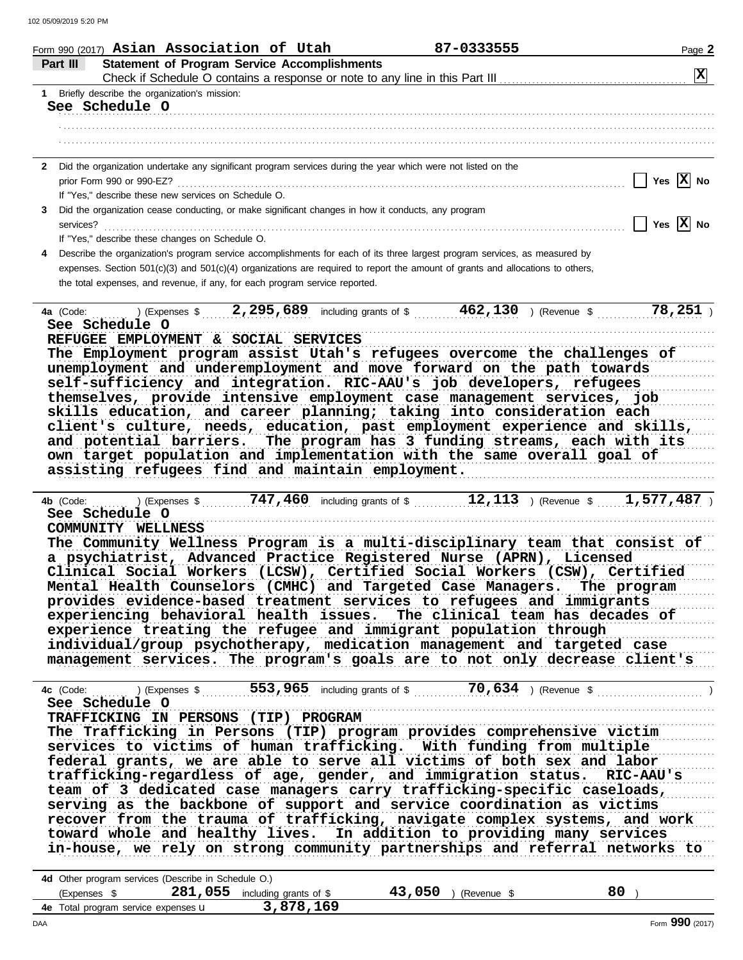| Form 990 (2017) Asian Association of Utah                                                                                                          | 87-0333555                                       | Page 2                           |
|----------------------------------------------------------------------------------------------------------------------------------------------------|--------------------------------------------------|----------------------------------|
| Part III<br><b>Statement of Program Service Accomplishments</b>                                                                                    |                                                  |                                  |
|                                                                                                                                                    |                                                  | $\boxed{\mathbf{X}}$             |
| 1 Briefly describe the organization's mission:                                                                                                     |                                                  |                                  |
| See Schedule O                                                                                                                                     |                                                  |                                  |
|                                                                                                                                                    |                                                  |                                  |
|                                                                                                                                                    |                                                  |                                  |
| 2 Did the organization undertake any significant program services during the year which were not listed on the                                     |                                                  |                                  |
|                                                                                                                                                    |                                                  | Yes $ X $ No                     |
| If "Yes," describe these new services on Schedule O.                                                                                               |                                                  |                                  |
| Did the organization cease conducting, or make significant changes in how it conducts, any program<br>3                                            |                                                  |                                  |
| services?                                                                                                                                          |                                                  | $\vert$ Yes $\vert$ X $\vert$ No |
| If "Yes," describe these changes on Schedule O.                                                                                                    |                                                  |                                  |
| Describe the organization's program service accomplishments for each of its three largest program services, as measured by<br>4                    |                                                  |                                  |
| expenses. Section 501(c)(3) and 501(c)(4) organizations are required to report the amount of grants and allocations to others,                     |                                                  |                                  |
| the total expenses, and revenue, if any, for each program service reported.                                                                        |                                                  |                                  |
|                                                                                                                                                    |                                                  |                                  |
| 4a (Code:  ) (Expenses \$ 2,295,689 including grants of \$ 462,130 ) (Revenue \$ 78,251 )                                                          |                                                  |                                  |
| See Schedule O                                                                                                                                     |                                                  |                                  |
| REFUGEE EMPLOYMENT & SOCIAL SERVICES                                                                                                               |                                                  |                                  |
| The Employment program assist Utah's refugees overcome the challenges of                                                                           |                                                  |                                  |
| unemployment and underemployment and move forward on the path towards                                                                              |                                                  |                                  |
| self-sufficiency and integration. RIC-AAU's job developers, refugees                                                                               |                                                  |                                  |
| themselves, provide intensive employment case management services, job                                                                             |                                                  |                                  |
| skills education, and career planning; taking into consideration each                                                                              |                                                  |                                  |
| client's culture, needs, education, past employment experience and skills,                                                                         |                                                  |                                  |
| and potential barriers.                                                                                                                            | The program has 3 funding streams, each with its |                                  |
| own target population and implementation with the same overall goal of                                                                             |                                                  |                                  |
| assisting refugees find and maintain employment.                                                                                                   |                                                  |                                  |
|                                                                                                                                                    |                                                  |                                  |
| ) (Expenses \$ 747,460 including grants of \$ 12,113 ) (Revenue \$ 1,577,487 )<br>4b (Code:                                                        |                                                  |                                  |
| See Schedule O                                                                                                                                     |                                                  |                                  |
| COMMUNITY WELLNESS                                                                                                                                 |                                                  |                                  |
| The Community Wellness Program is a multi-disciplinary team that consist of<br>a psychiatrist, Advanced Practice Registered Nurse (APRN), Licensed |                                                  |                                  |
| Clinical Social Workers (LCSW), Certified Social Workers (CSW), Certified                                                                          |                                                  |                                  |
|                                                                                                                                                    |                                                  |                                  |
| Mental Health Counselors (CMHC) and Targeted Case Managers. The program<br>provides evidence-based treatment services to refugees and immigrants   |                                                  |                                  |
| experiencing behavioral health issues. The clinical team has decades of                                                                            |                                                  |                                  |
| experience treating the refugee and immigrant population through                                                                                   |                                                  |                                  |
| individual/group psychotherapy, medication management and targeted case                                                                            |                                                  |                                  |
| management services. The program's goals are to not only decrease client's                                                                         |                                                  |                                  |
|                                                                                                                                                    |                                                  |                                  |
|                                                                                                                                                    |                                                  |                                  |
| See Schedule O                                                                                                                                     |                                                  |                                  |
| TRAFFICKING IN PERSONS (TIP) PROGRAM                                                                                                               |                                                  |                                  |
| The Trafficking in Persons (TIP) program provides comprehensive victim                                                                             |                                                  |                                  |
| services to victims of human trafficking. With funding from multiple                                                                               |                                                  |                                  |
| federal grants, we are able to serve all victims of both sex and labor                                                                             |                                                  |                                  |
| trafficking-regardless of age, gender, and immigration status. RIC-AAU's                                                                           |                                                  |                                  |
| team of 3 dedicated case managers carry trafficking-specific caseloads,                                                                            |                                                  |                                  |
| serving as the backbone of support and service coordination as victims                                                                             |                                                  |                                  |
| recover from the trauma of trafficking, navigate complex systems, and work                                                                         |                                                  |                                  |
| toward whole and healthy lives. In addition to providing many services                                                                             |                                                  |                                  |
| in-house, we rely on strong community partnerships and referral networks to                                                                        |                                                  |                                  |
|                                                                                                                                                    |                                                  |                                  |
| 4d Other program services (Describe in Schedule O.)                                                                                                |                                                  |                                  |
| (Expenses $$$ 281,055 including grants of \$                                                                                                       | $43,050$ ) (Revenue \$                           | $80$ )                           |

**3,878,169**

DAA Form **990** (2017)

**4e** Total program service expenses **u**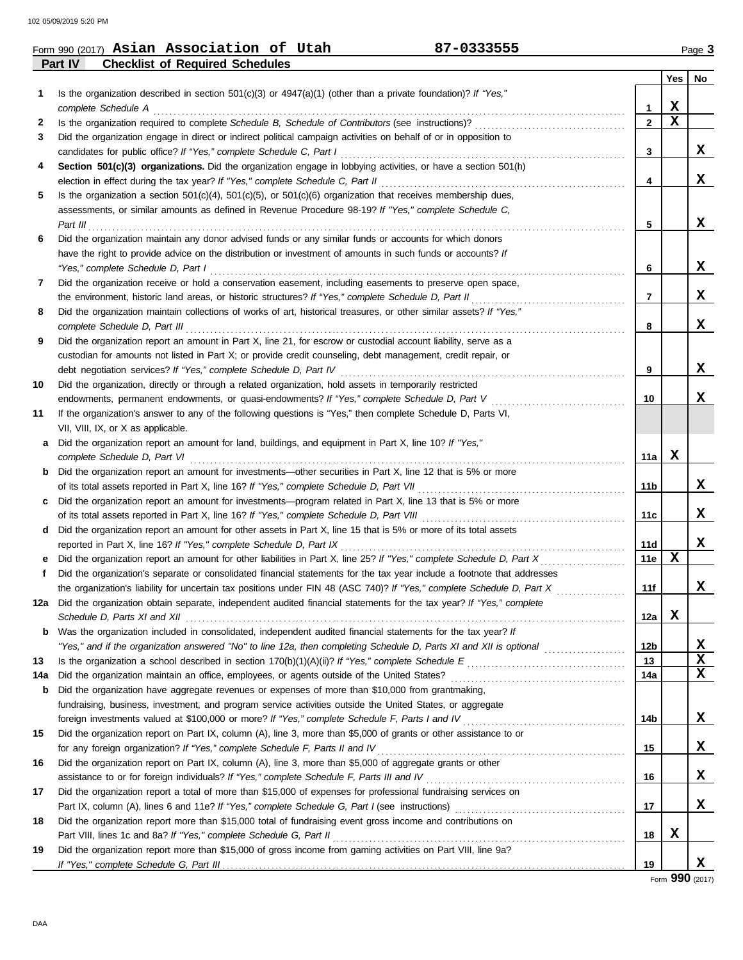### Form 990 (2017) Page **3 Asian Association of Utah 87-0333555**

**Part IV Checklist of Required Schedules**

|     |                                                                                                                                          |                | Yes         | No          |
|-----|------------------------------------------------------------------------------------------------------------------------------------------|----------------|-------------|-------------|
| 1   | Is the organization described in section $501(c)(3)$ or $4947(a)(1)$ (other than a private foundation)? If "Yes,"<br>complete Schedule A | 1              | X           |             |
| 2   |                                                                                                                                          | $\overline{2}$ | $\mathbf x$ |             |
| 3   | Did the organization engage in direct or indirect political campaign activities on behalf of or in opposition to                         |                |             |             |
|     | candidates for public office? If "Yes," complete Schedule C, Part I                                                                      | 3              |             | x           |
| 4   | Section 501(c)(3) organizations. Did the organization engage in lobbying activities, or have a section 501(h)                            |                |             |             |
|     |                                                                                                                                          | 4              |             | X           |
| 5   | Is the organization a section $501(c)(4)$ , $501(c)(5)$ , or $501(c)(6)$ organization that receives membership dues,                     |                |             |             |
|     | assessments, or similar amounts as defined in Revenue Procedure 98-19? If "Yes," complete Schedule C,                                    |                |             |             |
|     | Part III                                                                                                                                 | 5              |             | X           |
| 6   | Did the organization maintain any donor advised funds or any similar funds or accounts for which donors                                  |                |             |             |
|     | have the right to provide advice on the distribution or investment of amounts in such funds or accounts? If                              |                |             |             |
|     | "Yes," complete Schedule D, Part I                                                                                                       | 6              |             | X           |
| 7   | Did the organization receive or hold a conservation easement, including easements to preserve open space,                                |                |             |             |
|     |                                                                                                                                          | 7              |             | X           |
| 8   | Did the organization maintain collections of works of art, historical treasures, or other similar assets? If "Yes,"                      |                |             |             |
|     | complete Schedule D, Part III                                                                                                            | 8              |             | X           |
| 9   | Did the organization report an amount in Part X, line 21, for escrow or custodial account liability, serve as a                          |                |             |             |
|     | custodian for amounts not listed in Part X; or provide credit counseling, debt management, credit repair, or                             |                |             |             |
|     |                                                                                                                                          | 9              |             | X           |
| 10  | Did the organization, directly or through a related organization, hold assets in temporarily restricted                                  |                |             |             |
|     |                                                                                                                                          | 10             |             | X           |
| 11  | If the organization's answer to any of the following questions is "Yes," then complete Schedule D, Parts VI,                             |                |             |             |
|     | VII, VIII, IX, or X as applicable.                                                                                                       |                |             |             |
| а   | Did the organization report an amount for land, buildings, and equipment in Part X, line 10? If "Yes,"                                   |                |             |             |
|     | complete Schedule D, Part VI                                                                                                             | 11a            | X           |             |
| b   | Did the organization report an amount for investments—other securities in Part X, line 12 that is 5% or more                             |                |             |             |
|     |                                                                                                                                          | 11b            |             | X           |
|     | Did the organization report an amount for investments—program related in Part X, line 13 that is 5% or more                              |                |             |             |
|     |                                                                                                                                          | 11c            |             | X           |
| d   | Did the organization report an amount for other assets in Part X, line 15 that is 5% or more of its total assets                         |                |             |             |
|     | reported in Part X, line 16? If "Yes," complete Schedule D, Part IX                                                                      | 11d            |             | X           |
|     |                                                                                                                                          | 11e            | X           |             |
| f.  | Did the organization's separate or consolidated financial statements for the tax year include a footnote that addresses                  |                |             |             |
|     | the organization's liability for uncertain tax positions under FIN 48 (ASC 740)? If "Yes," complete Schedule D, Part X                   | 11f            |             | x           |
| 12a | Did the organization obtain separate, independent audited financial statements for the tax year? If "Yes," complete                      |                |             |             |
|     | Schedule D. Parts XI and XII                                                                                                             | 12a            | X           |             |
|     | <b>b</b> Was the organization included in consolidated, independent audited financial statements for the tax year? If                    |                |             |             |
|     | "Yes," and if the organization answered "No" to line 12a, then completing Schedule D, Parts XI and XII is optional                       | 12b            |             | х           |
| 13  |                                                                                                                                          | 13             |             | $\mathbf x$ |
| 14a |                                                                                                                                          | 14a            |             | $\mathbf x$ |
| b   | Did the organization have aggregate revenues or expenses of more than \$10,000 from grantmaking,                                         |                |             |             |
|     | fundraising, business, investment, and program service activities outside the United States, or aggregate                                |                |             |             |
|     |                                                                                                                                          | 14b            |             | X           |
| 15  | Did the organization report on Part IX, column (A), line 3, more than \$5,000 of grants or other assistance to or                        |                |             |             |
|     |                                                                                                                                          | 15             |             | X           |
| 16  | Did the organization report on Part IX, column (A), line 3, more than \$5,000 of aggregate grants or other                               |                |             |             |
|     | assistance to or for foreign individuals? If "Yes," complete Schedule F, Parts III and IV [[[[[[[[[[[[[[[[[[[                            | 16             |             | X           |
| 17  | Did the organization report a total of more than \$15,000 of expenses for professional fundraising services on                           |                |             |             |
|     |                                                                                                                                          | 17             |             | x           |
| 18  | Did the organization report more than \$15,000 total of fundraising event gross income and contributions on                              |                | X           |             |
|     |                                                                                                                                          | 18             |             |             |
| 19  | Did the organization report more than \$15,000 of gross income from gaming activities on Part VIII, line 9a?                             | 19             |             | X           |
|     |                                                                                                                                          |                |             |             |

Form **990** (2017)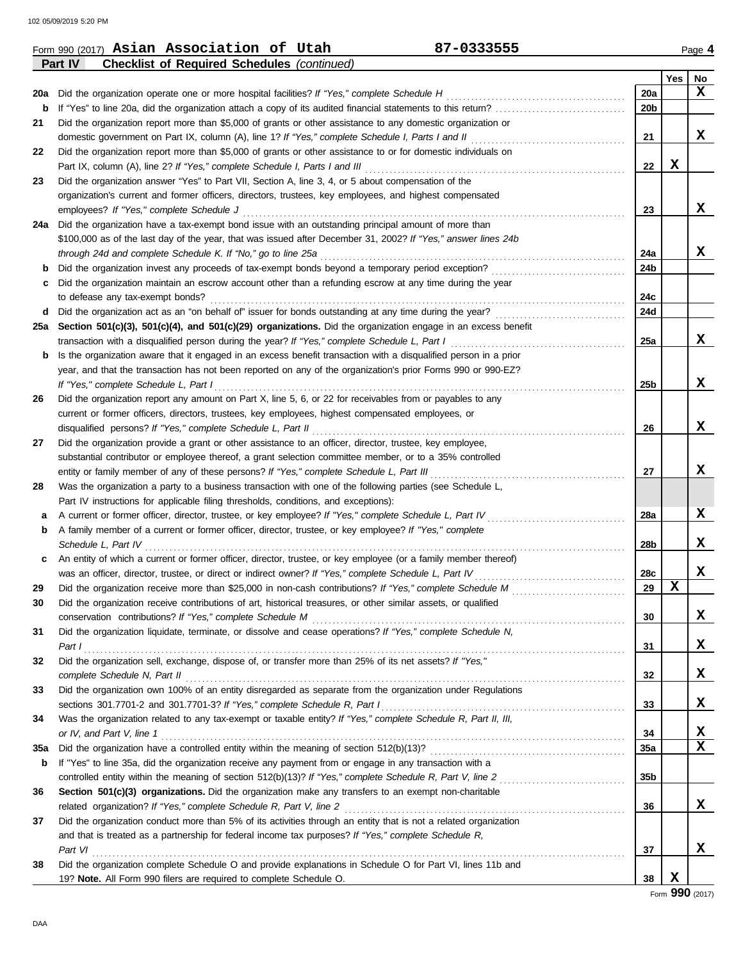**Part IV Checklist of Required Schedules** *(continued)*

|     |                                                                                                                                                                                                                                |                 | Yes | No              |
|-----|--------------------------------------------------------------------------------------------------------------------------------------------------------------------------------------------------------------------------------|-----------------|-----|-----------------|
| 20a | Did the organization operate one or more hospital facilities? If "Yes," complete Schedule H                                                                                                                                    | 20a             |     | X               |
| b   |                                                                                                                                                                                                                                | 20 <sub>b</sub> |     |                 |
| 21  | Did the organization report more than \$5,000 of grants or other assistance to any domestic organization or                                                                                                                    |                 |     |                 |
|     | domestic government on Part IX, column (A), line 1? If "Yes," complete Schedule I, Parts I and II                                                                                                                              | 21              |     | X               |
| 22  | Did the organization report more than \$5,000 of grants or other assistance to or for domestic individuals on                                                                                                                  |                 |     |                 |
|     |                                                                                                                                                                                                                                | 22              | х   |                 |
| 23  | Did the organization answer "Yes" to Part VII, Section A, line 3, 4, or 5 about compensation of the                                                                                                                            |                 |     |                 |
|     | organization's current and former officers, directors, trustees, key employees, and highest compensated                                                                                                                        |                 |     |                 |
|     |                                                                                                                                                                                                                                | 23              |     | x               |
| 24a | Did the organization have a tax-exempt bond issue with an outstanding principal amount of more than                                                                                                                            |                 |     |                 |
|     | \$100,000 as of the last day of the year, that was issued after December 31, 2002? If "Yes," answer lines 24b                                                                                                                  |                 |     |                 |
|     | through 24d and complete Schedule K. If "No," go to line 25a                                                                                                                                                                   | 24a             |     | X.              |
| b   |                                                                                                                                                                                                                                | 24b             |     |                 |
| c   | Did the organization maintain an escrow account other than a refunding escrow at any time during the year                                                                                                                      |                 |     |                 |
|     |                                                                                                                                                                                                                                | 24c             |     |                 |
| d   |                                                                                                                                                                                                                                | 24d             |     |                 |
| 25a | Section 501(c)(3), 501(c)(4), and 501(c)(29) organizations. Did the organization engage in an excess benefit                                                                                                                   |                 |     |                 |
|     |                                                                                                                                                                                                                                | 25a             |     | X               |
| b   | Is the organization aware that it engaged in an excess benefit transaction with a disqualified person in a prior                                                                                                               |                 |     |                 |
|     | year, and that the transaction has not been reported on any of the organization's prior Forms 990 or 990-EZ?                                                                                                                   |                 |     |                 |
|     | If "Yes," complete Schedule L, Part I                                                                                                                                                                                          | 25 <sub>b</sub> |     | x               |
| 26  | Did the organization report any amount on Part X, line 5, 6, or 22 for receivables from or payables to any                                                                                                                     |                 |     |                 |
|     | current or former officers, directors, trustees, key employees, highest compensated employees, or                                                                                                                              |                 |     |                 |
|     |                                                                                                                                                                                                                                | 26              |     | x               |
| 27  | Did the organization provide a grant or other assistance to an officer, director, trustee, key employee,                                                                                                                       |                 |     |                 |
|     | substantial contributor or employee thereof, a grant selection committee member, or to a 35% controlled                                                                                                                        |                 |     |                 |
|     | entity or family member of any of these persons? If "Yes," complete Schedule L, Part III                                                                                                                                       | 27              |     | x               |
| 28  | Was the organization a party to a business transaction with one of the following parties (see Schedule L,                                                                                                                      |                 |     |                 |
|     | Part IV instructions for applicable filing thresholds, conditions, and exceptions):                                                                                                                                            |                 |     |                 |
| а   | A current or former officer, director, trustee, or key employee? If "Yes," complete Schedule L, Part IV                                                                                                                        | 28a             |     | x               |
| b   | A family member of a current or former officer, director, trustee, or key employee? If "Yes," complete                                                                                                                         |                 |     |                 |
|     | Schedule L, Part IV                                                                                                                                                                                                            | 28b             |     | X               |
| c   | An entity of which a current or former officer, director, trustee, or key employee (or a family member thereof)                                                                                                                |                 |     |                 |
|     | was an officer, director, trustee, or direct or indirect owner? If "Yes," complete Schedule L, Part IV                                                                                                                         | 28c             |     | x               |
| 29  |                                                                                                                                                                                                                                | 29              | X   |                 |
| 30  | Did the organization receive contributions of art, historical treasures, or other similar assets, or qualified                                                                                                                 |                 |     |                 |
|     |                                                                                                                                                                                                                                | 30              |     | A               |
| 31  | Did the organization liquidate, terminate, or dissolve and cease operations? If "Yes," complete Schedule N,                                                                                                                    |                 |     |                 |
|     | Part 1                                                                                                                                                                                                                         | 31              |     | X               |
| 32  | Did the organization sell, exchange, dispose of, or transfer more than 25% of its net assets? If "Yes,"                                                                                                                        |                 |     |                 |
|     | complete Schedule N, Part II electron contract and contract and complete Schedule N, Part II electron contract and complete Schedule N, Part II electron contract and contract and contract and contract of the schedule N, Pa | 32              |     | x               |
| 33  | Did the organization own 100% of an entity disregarded as separate from the organization under Regulations                                                                                                                     |                 |     |                 |
|     |                                                                                                                                                                                                                                | 33              |     | X.              |
| 34  | Was the organization related to any tax-exempt or taxable entity? If "Yes," complete Schedule R, Part II, III,                                                                                                                 |                 |     |                 |
|     |                                                                                                                                                                                                                                | 34              |     | X               |
| 35a |                                                                                                                                                                                                                                | <b>35a</b>      |     | x               |
| b   | If "Yes" to line 35a, did the organization receive any payment from or engage in any transaction with a                                                                                                                        |                 |     |                 |
|     |                                                                                                                                                                                                                                | 35 <sub>b</sub> |     |                 |
| 36  | Section 501(c)(3) organizations. Did the organization make any transfers to an exempt non-charitable                                                                                                                           |                 |     |                 |
|     | related organization? If "Yes," complete Schedule R, Part V, line 2                                                                                                                                                            | 36              |     | x               |
| 37  | Did the organization conduct more than 5% of its activities through an entity that is not a related organization                                                                                                               |                 |     |                 |
|     | and that is treated as a partnership for federal income tax purposes? If "Yes," complete Schedule R,                                                                                                                           |                 |     |                 |
|     | Part VI                                                                                                                                                                                                                        | 37              |     | X.              |
| 38  | Did the organization complete Schedule O and provide explanations in Schedule O for Part VI, lines 11b and                                                                                                                     |                 |     |                 |
|     | 19? Note. All Form 990 filers are required to complete Schedule O.                                                                                                                                                             | 38              | x   | Form 990 (2017) |

Form 990 (2017) Page **4 Asian Association of Utah 87-0333555**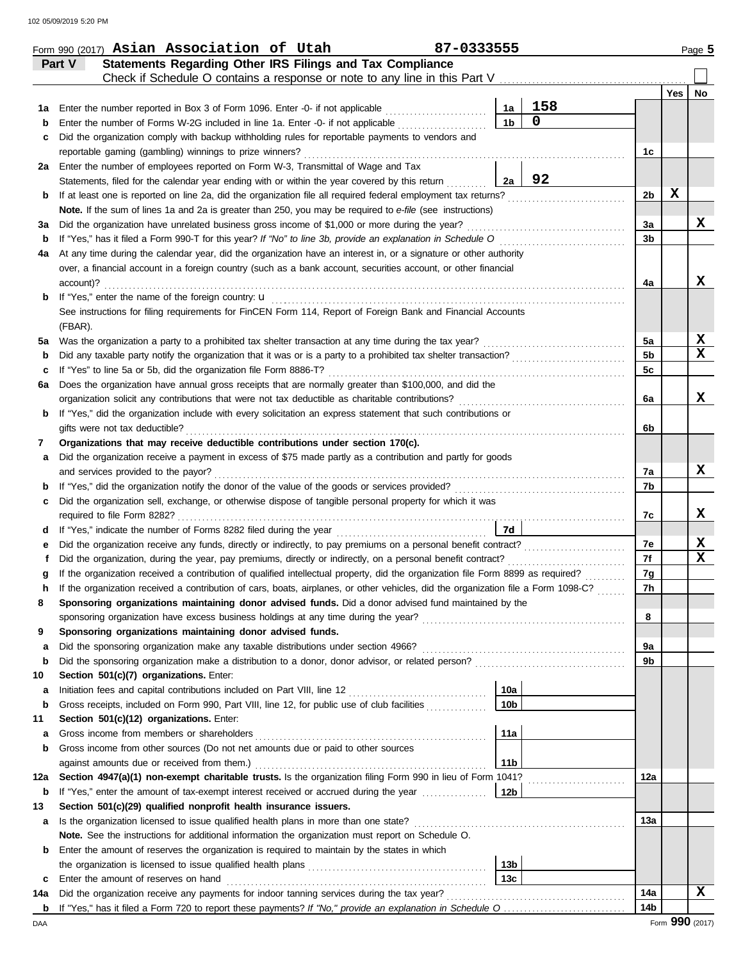|     | <b>Statements Regarding Other IRS Filings and Tax Compliance</b><br>Part V                                                                                                                                         |                 |             |                      |     |    |
|-----|--------------------------------------------------------------------------------------------------------------------------------------------------------------------------------------------------------------------|-----------------|-------------|----------------------|-----|----|
|     |                                                                                                                                                                                                                    |                 |             |                      | Yes | No |
| 1а  | Enter the number reported in Box 3 of Form 1096. Enter -0- if not applicable <i>mumeranous</i>                                                                                                                     | 1а              | 158         |                      |     |    |
| b   | Enter the number of Forms W-2G included in line 1a. Enter -0- if not applicable <i>components</i>                                                                                                                  | 1 <sub>b</sub>  | $\mathbf 0$ |                      |     |    |
| с   | Did the organization comply with backup withholding rules for reportable payments to vendors and                                                                                                                   |                 |             |                      |     |    |
|     | reportable gaming (gambling) winnings to prize winners?                                                                                                                                                            |                 |             | 1c                   |     |    |
|     | 2a Enter the number of employees reported on Form W-3, Transmittal of Wage and Tax                                                                                                                                 |                 |             |                      |     |    |
|     | Statements, filed for the calendar year ending with or within the year covered by this return                                                                                                                      | 2a              | 92          |                      |     |    |
| b   | If at least one is reported on line 2a, did the organization file all required federal employment tax returns?                                                                                                     |                 |             | 2b                   | X   |    |
|     | Note. If the sum of lines 1a and 2a is greater than 250, you may be required to e-file (see instructions)                                                                                                          |                 |             |                      |     |    |
| За  | Did the organization have unrelated business gross income of \$1,000 or more during the year?                                                                                                                      |                 |             | 3a                   |     | x  |
| b   |                                                                                                                                                                                                                    |                 |             | 3b                   |     |    |
| 4a  | At any time during the calendar year, did the organization have an interest in, or a signature or other authority                                                                                                  |                 |             |                      |     |    |
|     | over, a financial account in a foreign country (such as a bank account, securities account, or other financial                                                                                                     |                 |             |                      |     | x  |
|     | account)?                                                                                                                                                                                                          |                 |             | 4a                   |     |    |
| b   |                                                                                                                                                                                                                    |                 |             |                      |     |    |
|     | See instructions for filing requirements for FinCEN Form 114, Report of Foreign Bank and Financial Accounts                                                                                                        |                 |             |                      |     |    |
|     | (FBAR).                                                                                                                                                                                                            |                 |             |                      |     | x  |
| 5a  |                                                                                                                                                                                                                    |                 |             | 5a<br>5 <sub>b</sub> |     | x  |
| b   | Did any taxable party notify the organization that it was or is a party to a prohibited tax shelter transaction?                                                                                                   |                 |             |                      |     |    |
| c   | If "Yes" to line 5a or 5b, did the organization file Form 8886-T?                                                                                                                                                  |                 |             | 5c                   |     |    |
| 6а  | Does the organization have annual gross receipts that are normally greater than \$100,000, and did the                                                                                                             |                 |             |                      |     | x  |
|     | organization solicit any contributions that were not tax deductible as charitable contributions?<br>If "Yes," did the organization include with every solicitation an express statement that such contributions or |                 |             | 6a                   |     |    |
| b   | gifts were not tax deductible?                                                                                                                                                                                     |                 |             |                      |     |    |
|     | Organizations that may receive deductible contributions under section 170(c).                                                                                                                                      |                 |             | 6b                   |     |    |
| 7   | Did the organization receive a payment in excess of \$75 made partly as a contribution and partly for goods                                                                                                        |                 |             |                      |     |    |
| а   | and services provided to the payor?                                                                                                                                                                                |                 |             | 7a                   |     | x  |
| b   |                                                                                                                                                                                                                    |                 |             | 7b                   |     |    |
| с   | Did the organization sell, exchange, or otherwise dispose of tangible personal property for which it was                                                                                                           |                 |             |                      |     |    |
|     |                                                                                                                                                                                                                    |                 |             | 7c                   |     | x  |
| d   |                                                                                                                                                                                                                    | 7d              |             |                      |     |    |
| е   | Did the organization receive any funds, directly or indirectly, to pay premiums on a personal benefit contract?                                                                                                    |                 |             | 7e                   |     | x  |
| f   | Did the organization, during the year, pay premiums, directly or indirectly, on a personal benefit contract?                                                                                                       |                 |             | 7f                   |     | x  |
| g   | If the organization received a contribution of qualified intellectual property, did the organization file Form 8899 as required?                                                                                   |                 |             | 7g                   |     |    |
| h   | If the organization received a contribution of cars, boats, airplanes, or other vehicles, did the organization file a Form 1098-C?                                                                                 |                 |             | 7h                   |     |    |
|     | Sponsoring organizations maintaining donor advised funds. Did a donor advised fund maintained by the                                                                                                               |                 |             |                      |     |    |
|     |                                                                                                                                                                                                                    |                 |             | 8                    |     |    |
| 9   | Sponsoring organizations maintaining donor advised funds.                                                                                                                                                          |                 |             |                      |     |    |
| a   |                                                                                                                                                                                                                    |                 |             | 9а                   |     |    |
| b   |                                                                                                                                                                                                                    |                 |             | 9b                   |     |    |
| 10  | Section 501(c)(7) organizations. Enter:                                                                                                                                                                            |                 |             |                      |     |    |
| а   |                                                                                                                                                                                                                    | 10a             |             |                      |     |    |
| b   | Gross receipts, included on Form 990, Part VIII, line 12, for public use of club facilities                                                                                                                        | 10 <sub>b</sub> |             |                      |     |    |
| 11  | Section 501(c)(12) organizations. Enter:                                                                                                                                                                           |                 |             |                      |     |    |
| а   |                                                                                                                                                                                                                    | 11a             |             |                      |     |    |
| b   | Gross income from other sources (Do not net amounts due or paid to other sources                                                                                                                                   |                 |             |                      |     |    |
|     |                                                                                                                                                                                                                    | 11 <sub>b</sub> |             |                      |     |    |
| 12a | Section 4947(a)(1) non-exempt charitable trusts. Is the organization filing Form 990 in lieu of Form 1041?                                                                                                         |                 |             | 12a                  |     |    |
| b   | If "Yes," enter the amount of tax-exempt interest received or accrued during the year                                                                                                                              | 12b             |             |                      |     |    |
| 13  | Section 501(c)(29) qualified nonprofit health insurance issuers.                                                                                                                                                   |                 |             |                      |     |    |
| а   | Is the organization licensed to issue qualified health plans in more than one state?                                                                                                                               |                 |             | 13а                  |     |    |
|     | Note. See the instructions for additional information the organization must report on Schedule O.                                                                                                                  |                 |             |                      |     |    |
| b   | Enter the amount of reserves the organization is required to maintain by the states in which                                                                                                                       |                 |             |                      |     |    |
|     |                                                                                                                                                                                                                    | 13b             |             |                      |     |    |
| c   | Enter the amount of reserves on hand                                                                                                                                                                               | 13 <sub>c</sub> |             |                      |     |    |
| 14a | Did the organization receive any payments for indoor tanning services during the tax year?                                                                                                                         |                 |             | 14a                  |     | x  |
|     |                                                                                                                                                                                                                    |                 |             | 14b                  |     |    |

| Form 990 (2017) $\operatorname{\mathsf{Asim}}$ $\operatorname{\mathsf{Association}}$ of<br>Utah |  |  |  | $-0333555$ | Page 5 |
|-------------------------------------------------------------------------------------------------|--|--|--|------------|--------|
|-------------------------------------------------------------------------------------------------|--|--|--|------------|--------|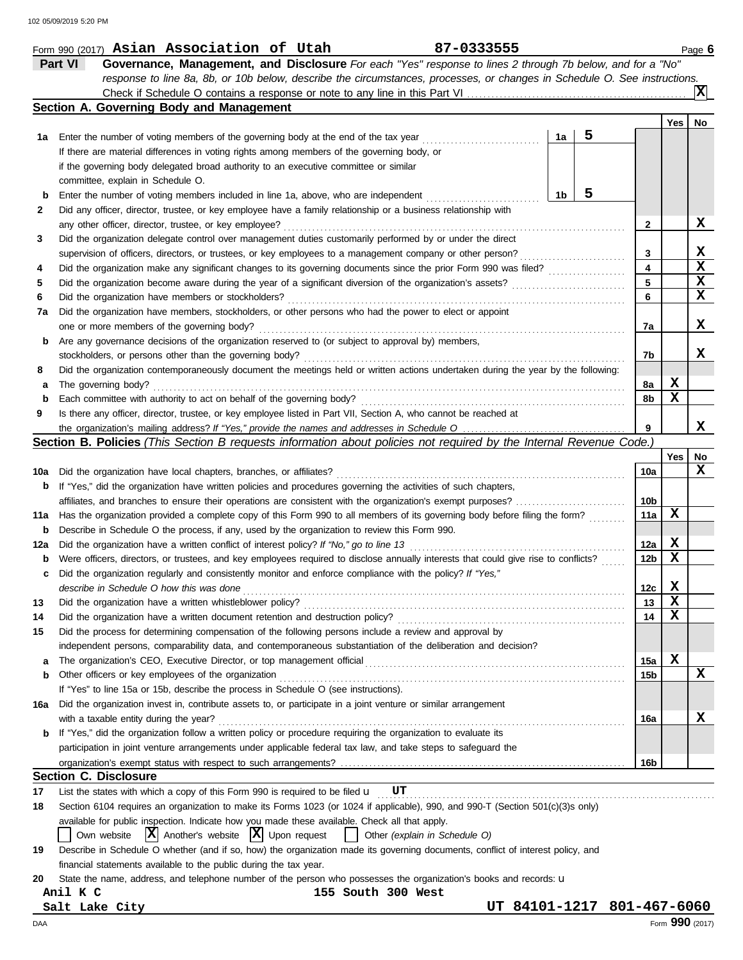|     | 87-0333555<br>Form 990 (2017) Asian Association of Utah                                                                             |                 |             | Page 6          |
|-----|-------------------------------------------------------------------------------------------------------------------------------------|-----------------|-------------|-----------------|
|     | Part VI<br>Governance, Management, and Disclosure For each "Yes" response to lines 2 through 7b below, and for a "No"               |                 |             |                 |
|     | response to line 8a, 8b, or 10b below, describe the circumstances, processes, or changes in Schedule O. See instructions.           |                 |             |                 |
|     |                                                                                                                                     |                 |             | x               |
|     | Section A. Governing Body and Management                                                                                            |                 |             |                 |
|     |                                                                                                                                     |                 | Yes         | No              |
| 1а  | 5<br>1a<br>Enter the number of voting members of the governing body at the end of the tax year                                      |                 |             |                 |
|     | If there are material differences in voting rights among members of the governing body, or                                          |                 |             |                 |
|     | if the governing body delegated broad authority to an executive committee or similar                                                |                 |             |                 |
|     | committee, explain in Schedule O.                                                                                                   |                 |             |                 |
|     | 5<br>1 <sub>b</sub><br>Enter the number of voting members included in line 1a, above, who are independent                           |                 |             |                 |
| b   |                                                                                                                                     |                 |             |                 |
| 2   | Did any officer, director, trustee, or key employee have a family relationship or a business relationship with                      |                 |             | X               |
|     | any other officer, director, trustee, or key employee?                                                                              | $\mathbf{2}$    |             |                 |
| 3   | Did the organization delegate control over management duties customarily performed by or under the direct                           |                 |             |                 |
|     | supervision of officers, directors, or trustees, or key employees to a management company or other person?                          | 3               |             | X               |
| 4   | Did the organization make any significant changes to its governing documents since the prior Form 990 was filed?                    | 4               |             | X               |
| 5   |                                                                                                                                     | 5               |             | X               |
| 6   | Did the organization have members or stockholders?                                                                                  | 6               |             | X               |
| 7а  | Did the organization have members, stockholders, or other persons who had the power to elect or appoint                             |                 |             |                 |
|     | one or more members of the governing body?                                                                                          | 7а              |             | x               |
| b   | Are any governance decisions of the organization reserved to (or subject to approval by) members,                                   |                 |             |                 |
|     | stockholders, or persons other than the governing body?                                                                             | 7b              |             | x               |
| 8   | Did the organization contemporaneously document the meetings held or written actions undertaken during the year by the following:   |                 |             |                 |
| а   | The governing body?                                                                                                                 | 8а              | X           |                 |
| b   | Each committee with authority to act on behalf of the governing body?                                                               | 8b              | х           |                 |
| 9   | Is there any officer, director, trustee, or key employee listed in Part VII, Section A, who cannot be reached at                    |                 |             |                 |
|     |                                                                                                                                     | 9               |             | x               |
|     | Section B. Policies (This Section B requests information about policies not required by the Internal Revenue Code.)                 |                 |             |                 |
|     |                                                                                                                                     |                 | Yes         | No              |
|     |                                                                                                                                     |                 |             | x               |
| 10a | Did the organization have local chapters, branches, or affiliates?                                                                  | 10a             |             |                 |
| b   | If "Yes," did the organization have written policies and procedures governing the activities of such chapters,                      |                 |             |                 |
|     | affiliates, and branches to ensure their operations are consistent with the organization's exempt purposes?                         | 10 <sub>b</sub> |             |                 |
| 11а | Has the organization provided a complete copy of this Form 990 to all members of its governing body before filing the form?         | 11a             | x           |                 |
| b   | Describe in Schedule O the process, if any, used by the organization to review this Form 990.                                       |                 |             |                 |
| 12a | Did the organization have a written conflict of interest policy? If "No," go to line 13                                             | 12a             | X           |                 |
| b   | Were officers, directors, or trustees, and key employees required to disclose annually interests that could give rise to conflicts? | 12 <sub>b</sub> | X           |                 |
| c   | Did the organization regularly and consistently monitor and enforce compliance with the policy? If "Yes,"                           |                 |             |                 |
|     | describe in Schedule O how this was done                                                                                            | 12c             | $\mathbf x$ |                 |
| 13  | Did the organization have a written whistleblower policy?                                                                           | 13              | х           |                 |
| 14  | Did the organization have a written document retention and destruction policy?                                                      | 14              | X           |                 |
| 15  | Did the process for determining compensation of the following persons include a review and approval by                              |                 |             |                 |
|     | independent persons, comparability data, and contemporaneous substantiation of the deliberation and decision?                       |                 |             |                 |
| a   |                                                                                                                                     | 15a             | х           |                 |
| b   | Other officers or key employees of the organization                                                                                 | 15b             |             | x               |
|     | If "Yes" to line 15a or 15b, describe the process in Schedule O (see instructions).                                                 |                 |             |                 |
| 16a | Did the organization invest in, contribute assets to, or participate in a joint venture or similar arrangement                      |                 |             |                 |
|     | with a taxable entity during the year?                                                                                              | 16a             |             | x               |
| b   | If "Yes," did the organization follow a written policy or procedure requiring the organization to evaluate its                      |                 |             |                 |
|     | participation in joint venture arrangements under applicable federal tax law, and take steps to safeguard the                       |                 |             |                 |
|     |                                                                                                                                     |                 |             |                 |
|     |                                                                                                                                     | 16 <sub>b</sub> |             |                 |
|     | <b>Section C. Disclosure</b>                                                                                                        |                 |             |                 |
| 17  | List the states with which a copy of this Form 990 is required to be filed $\mathbf{u}$ UT                                          |                 |             |                 |
| 18  | Section 6104 requires an organization to make its Forms 1023 (or 1024 if applicable), 990, and 990-T (Section 501(c)(3)s only)      |                 |             |                 |
|     | available for public inspection. Indicate how you made these available. Check all that apply.                                       |                 |             |                 |
|     | $ \mathbf{X} $ Another's website $ \mathbf{X} $ Upon request<br>Own website<br>Other (explain in Schedule O)                        |                 |             |                 |
| 19  | Describe in Schedule O whether (and if so, how) the organization made its governing documents, conflict of interest policy, and     |                 |             |                 |
|     | financial statements available to the public during the tax year.                                                                   |                 |             |                 |
| 20  | State the name, address, and telephone number of the person who possesses the organization's books and records: u                   |                 |             |                 |
|     | Anil K C<br>155 South 300 West                                                                                                      |                 |             |                 |
|     | 84101-1217 801-467-6060<br>UT<br>Salt Lake City                                                                                     |                 |             |                 |
| DAA |                                                                                                                                     |                 |             | Form 990 (2017) |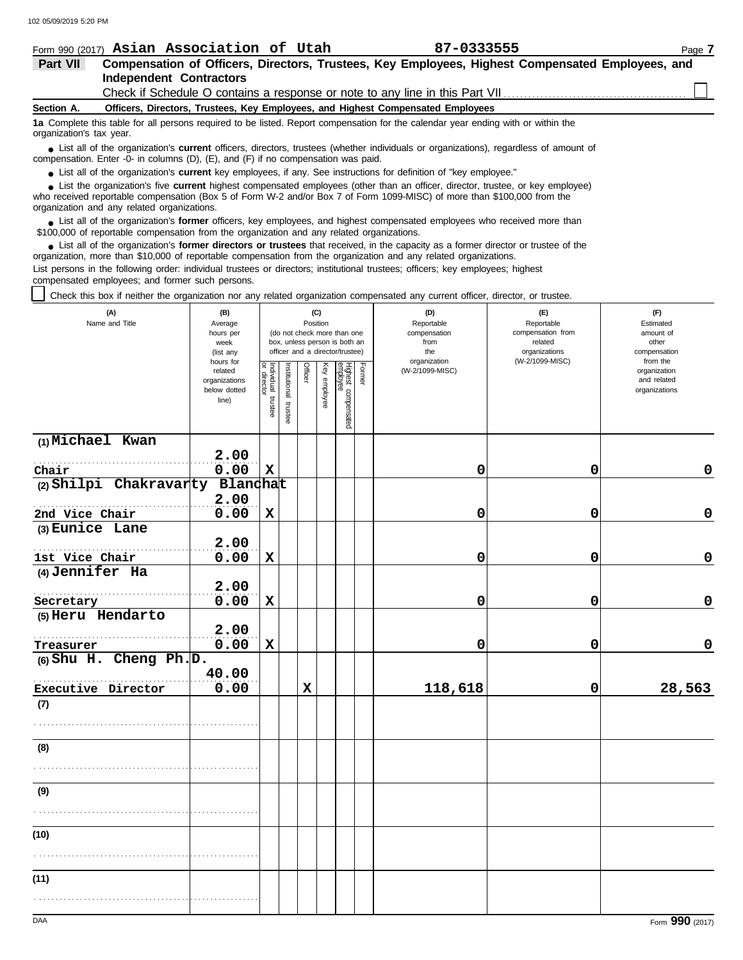|            | Form 990 (2017) Asian Association of Utah                                       | 87-0333555                                                                                       | Page 7 |
|------------|---------------------------------------------------------------------------------|--------------------------------------------------------------------------------------------------|--------|
| Part VII   |                                                                                 | Compensation of Officers, Directors, Trustees, Key Employees, Highest Compensated Employees, and |        |
|            | Independent Contractors                                                         |                                                                                                  |        |
|            | Check if Schedule O contains a response or note to any line in this Part VII    |                                                                                                  |        |
| Section A. | Officers, Directors, Trustees, Key Employees, and Highest Compensated Employees |                                                                                                  |        |

**1a** Complete this table for all persons required to be listed. Report compensation for the calendar year ending with or within the organization's tax year.

■ List all of the organization's **current** officers, directors, trustees (whether individuals or organizations), regardless of amount of compensation. Enter -0- in columns (D), (E), and (F) if no compensation was paid.

● List all of the organization's **current** key employees, if any. See instructions for definition of "key employee."

who received reportable compensation (Box 5 of Form W-2 and/or Box 7 of Form 1099-MISC) of more than \$100,000 from the organization and any related organizations. ■ List the organization's five **current** highest compensated employees (other than an officer, director, trustee, or key employee)<br> **•** Preceived reportable compensation (Box 5 of Form W-2 and/or Box 7 of Form 1099-MISC)

List all of the organization's **former** officers, key employees, and highest compensated employees who received more than • List all of the organization's **former** officers, key employees, and highest compensate \$100,000 of reportable compensation from the organization and any related organizations.

■ List all of the organization's **former directors or trustees** that received, in the capacity as a former director or trustee of the<br>paization, more than \$10,000 of reportable compensation from the organization and any r organization, more than \$10,000 of reportable compensation from the organization and any related organizations. List persons in the following order: individual trustees or directors; institutional trustees; officers; key employees; highest

compensated employees; and former such persons.

Check this box if neither the organization nor any related organization compensated any current officer, director, or trustee.

| (A)<br>Name and Title     | (B)<br>Average<br>hours per<br>week<br>(list any               |                                   |                       | (C)<br>Position |              | (do not check more than one<br>box, unless person is both an<br>officer and a director/trustee) |        | (D)<br>Reportable<br>compensation<br>from<br>the<br>organization | (E)<br>Reportable<br>compensation from<br>related<br>organizations<br>(W-2/1099-MISC) | (F)<br>Estimated<br>amount of<br>other<br>compensation   |
|---------------------------|----------------------------------------------------------------|-----------------------------------|-----------------------|-----------------|--------------|-------------------------------------------------------------------------------------------------|--------|------------------------------------------------------------------|---------------------------------------------------------------------------------------|----------------------------------------------------------|
|                           | hours for<br>related<br>organizations<br>below dotted<br>line) | Individual trustee<br>or director | Institutional trustee | Officer         | Key employee | Highest compensated<br>employee                                                                 | Former | (W-2/1099-MISC)                                                  |                                                                                       | from the<br>organization<br>and related<br>organizations |
| (1) Michael Kwan          | 2.00                                                           |                                   |                       |                 |              |                                                                                                 |        |                                                                  |                                                                                       |                                                          |
| Chair                     | 0.00                                                           | $\mathbf x$                       |                       |                 |              |                                                                                                 |        | 0                                                                | 0                                                                                     | 0                                                        |
| (2) Shilpi Chakravarty    | Blandhat                                                       |                                   |                       |                 |              |                                                                                                 |        |                                                                  |                                                                                       |                                                          |
|                           | 2.00                                                           |                                   |                       |                 |              |                                                                                                 |        |                                                                  |                                                                                       |                                                          |
| 2nd Vice Chair            | 0.00                                                           | $\mathbf x$                       |                       |                 |              |                                                                                                 |        | 0                                                                | 0                                                                                     | $\mathbf 0$                                              |
| (3) Eunice Lane           |                                                                |                                   |                       |                 |              |                                                                                                 |        |                                                                  |                                                                                       |                                                          |
|                           | 2.00                                                           |                                   |                       |                 |              |                                                                                                 |        |                                                                  |                                                                                       |                                                          |
| 1st Vice Chair            | 0.00                                                           | $\mathbf x$                       |                       |                 |              |                                                                                                 |        | 0                                                                | 0                                                                                     | 0                                                        |
| (4) Jennifer Ha           |                                                                |                                   |                       |                 |              |                                                                                                 |        |                                                                  |                                                                                       |                                                          |
|                           | 2.00                                                           |                                   |                       |                 |              |                                                                                                 |        |                                                                  |                                                                                       |                                                          |
| Secretary                 | 0.00                                                           | $\mathbf x$                       |                       |                 |              |                                                                                                 |        | 0                                                                | $\mathbf 0$                                                                           | $\mathbf 0$                                              |
| (5) Heru Hendarto         | 2.00                                                           |                                   |                       |                 |              |                                                                                                 |        |                                                                  |                                                                                       |                                                          |
| Treasurer                 | 0.00                                                           | $\mathbf x$                       |                       |                 |              |                                                                                                 |        | 0                                                                | $\mathbf 0$                                                                           | $\mathbf 0$                                              |
| $(6)$ Shu H. Cheng Ph. D. |                                                                |                                   |                       |                 |              |                                                                                                 |        |                                                                  |                                                                                       |                                                          |
|                           | 40.00                                                          |                                   |                       |                 |              |                                                                                                 |        |                                                                  |                                                                                       |                                                          |
| Executive Director        | 0.00                                                           |                                   |                       | $\mathbf x$     |              |                                                                                                 |        | 118,618                                                          | 0                                                                                     | 28,563                                                   |
| (7)                       |                                                                |                                   |                       |                 |              |                                                                                                 |        |                                                                  |                                                                                       |                                                          |
|                           |                                                                |                                   |                       |                 |              |                                                                                                 |        |                                                                  |                                                                                       |                                                          |
| (8)                       |                                                                |                                   |                       |                 |              |                                                                                                 |        |                                                                  |                                                                                       |                                                          |
|                           |                                                                |                                   |                       |                 |              |                                                                                                 |        |                                                                  |                                                                                       |                                                          |
| (9)                       |                                                                |                                   |                       |                 |              |                                                                                                 |        |                                                                  |                                                                                       |                                                          |
|                           |                                                                |                                   |                       |                 |              |                                                                                                 |        |                                                                  |                                                                                       |                                                          |
| (10)                      |                                                                |                                   |                       |                 |              |                                                                                                 |        |                                                                  |                                                                                       |                                                          |
|                           |                                                                |                                   |                       |                 |              |                                                                                                 |        |                                                                  |                                                                                       |                                                          |
| (11)                      |                                                                |                                   |                       |                 |              |                                                                                                 |        |                                                                  |                                                                                       |                                                          |
|                           |                                                                |                                   |                       |                 |              |                                                                                                 |        |                                                                  |                                                                                       |                                                          |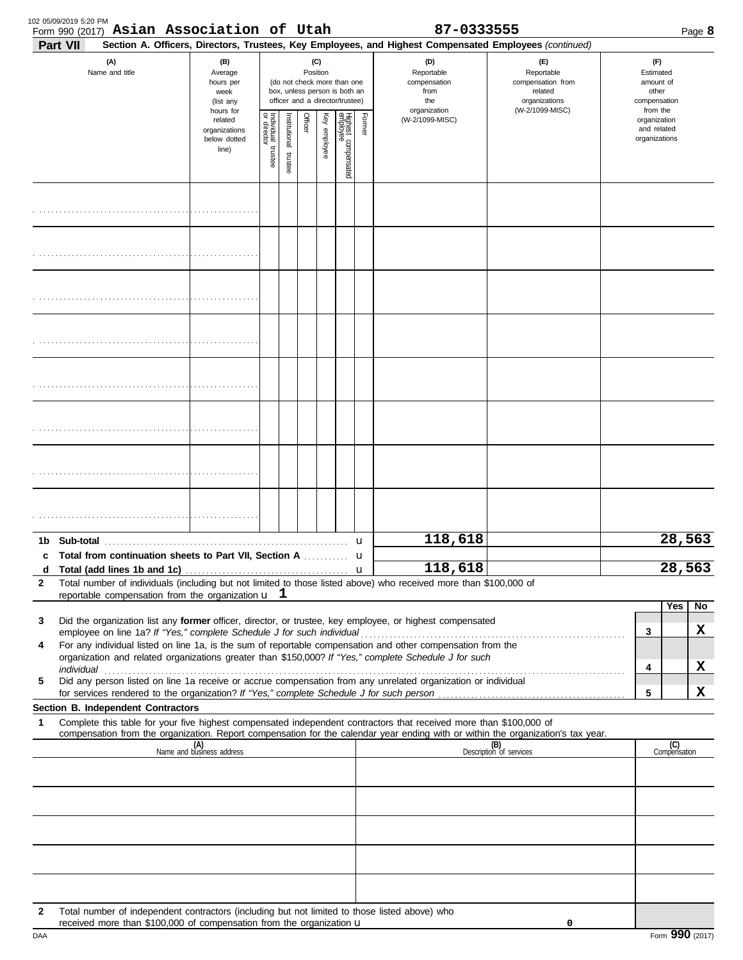| 102 05/09/2019 5:20 PM |                                          |  |
|------------------------|------------------------------------------|--|
|                        | Form 990 (2017) Asian Association of Uta |  |

|              | Form 990 (2017) Asian Association of Utah                                                                                                                                                                                                                                                                                                                                                                                                                                                                          |                                                               |                                   |                      |          |              |                                                                                                 |        | 87-0333555                                                                                             |                                                                                       |              |                                                                    | Page 8  |
|--------------|--------------------------------------------------------------------------------------------------------------------------------------------------------------------------------------------------------------------------------------------------------------------------------------------------------------------------------------------------------------------------------------------------------------------------------------------------------------------------------------------------------------------|---------------------------------------------------------------|-----------------------------------|----------------------|----------|--------------|-------------------------------------------------------------------------------------------------|--------|--------------------------------------------------------------------------------------------------------|---------------------------------------------------------------------------------------|--------------|--------------------------------------------------------------------|---------|
|              | Part VII                                                                                                                                                                                                                                                                                                                                                                                                                                                                                                           |                                                               |                                   |                      |          |              |                                                                                                 |        | Section A. Officers, Directors, Trustees, Key Employees, and Highest Compensated Employees (continued) |                                                                                       |              |                                                                    |         |
|              | (A)<br>Name and title                                                                                                                                                                                                                                                                                                                                                                                                                                                                                              | (B)<br>Average<br>hours per<br>week<br>(list any<br>hours for |                                   |                      | Position | (C)          | (do not check more than one<br>box, unless person is both an<br>officer and a director/trustee) |        | (D)<br>Reportable<br>compensation<br>from<br>the<br>organization                                       | (E)<br>Reportable<br>compensation from<br>related<br>organizations<br>(W-2/1099-MISC) |              | (F)<br>Estimated<br>amount of<br>other<br>compensation<br>from the |         |
|              |                                                                                                                                                                                                                                                                                                                                                                                                                                                                                                                    | related<br>organizations<br>below dotted<br>line)             | Individual trustee<br>or director | nstitutional trustee | Officer  | Key employee | Highest compensated<br>employee                                                                 | Former | (W-2/1099-MISC)                                                                                        |                                                                                       |              | organization<br>and related<br>organizations                       |         |
|              |                                                                                                                                                                                                                                                                                                                                                                                                                                                                                                                    |                                                               |                                   |                      |          |              |                                                                                                 |        |                                                                                                        |                                                                                       |              |                                                                    |         |
|              |                                                                                                                                                                                                                                                                                                                                                                                                                                                                                                                    |                                                               |                                   |                      |          |              |                                                                                                 |        |                                                                                                        |                                                                                       |              |                                                                    |         |
|              |                                                                                                                                                                                                                                                                                                                                                                                                                                                                                                                    |                                                               |                                   |                      |          |              |                                                                                                 |        |                                                                                                        |                                                                                       |              |                                                                    |         |
|              |                                                                                                                                                                                                                                                                                                                                                                                                                                                                                                                    |                                                               |                                   |                      |          |              |                                                                                                 |        |                                                                                                        |                                                                                       |              |                                                                    |         |
|              |                                                                                                                                                                                                                                                                                                                                                                                                                                                                                                                    |                                                               |                                   |                      |          |              |                                                                                                 |        |                                                                                                        |                                                                                       |              |                                                                    |         |
|              |                                                                                                                                                                                                                                                                                                                                                                                                                                                                                                                    |                                                               |                                   |                      |          |              |                                                                                                 |        |                                                                                                        |                                                                                       |              |                                                                    |         |
|              |                                                                                                                                                                                                                                                                                                                                                                                                                                                                                                                    |                                                               |                                   |                      |          |              |                                                                                                 |        |                                                                                                        |                                                                                       |              |                                                                    |         |
|              |                                                                                                                                                                                                                                                                                                                                                                                                                                                                                                                    |                                                               |                                   |                      |          |              |                                                                                                 |        |                                                                                                        |                                                                                       |              |                                                                    |         |
|              |                                                                                                                                                                                                                                                                                                                                                                                                                                                                                                                    |                                                               |                                   |                      |          |              |                                                                                                 |        | 118,618                                                                                                |                                                                                       |              |                                                                    | 28,563  |
| $\mathbf{2}$ | d Total (add lines 1b and 1c) $\ldots$ $\ldots$ $\ldots$ $\ldots$ $\ldots$ $\ldots$ $\ldots$ $\ldots$ $\ldots$ $\ldots$ $\ldots$ $\ldots$ $\ldots$ $\ldots$ $\ldots$ $\ldots$ $\ldots$ $\ldots$ $\ldots$ $\ldots$ $\ldots$ $\ldots$ $\ldots$ $\ldots$ $\ldots$ $\ldots$ $\ldots$ $\ldots$ $\ldots$ $\ldots$ $\ldots$ $\ldots$<br>Total number of individuals (including but not limited to those listed above) who received more than \$100,000 of<br>reportable compensation from the organization $\mathbf{u}$ 1 |                                                               |                                   |                      |          |              |                                                                                                 |        |                                                                                                        |                                                                                       |              |                                                                    | 28,563  |
| 3<br>4       | Did the organization list any former officer, director, or trustee, key employee, or highest compensated<br>employee on line 1a? If "Yes," complete Schedule J for such individual meridian contains and the 1a? If "Yes," complete Schedule J for such individual<br>For any individual listed on line 1a, is the sum of reportable compensation and other compensation from the<br>organization and related organizations greater than \$150,000? If "Yes," complete Schedule J for such                         |                                                               |                                   |                      |          |              |                                                                                                 |        |                                                                                                        |                                                                                       | $\mathbf{3}$ | Yes                                                                | No<br>X |
| 5            | individual <b>construction in the construction of the construction</b> in the construction of the construction of the construction of the construction of the construction of the construction of the construction of the construct<br>Did any person listed on line 1a receive or accrue compensation from any unrelated organization or individual                                                                                                                                                               |                                                               |                                   |                      |          |              |                                                                                                 |        |                                                                                                        |                                                                                       | 4<br>5       |                                                                    | X<br>X  |
|              | Section B. Independent Contractors                                                                                                                                                                                                                                                                                                                                                                                                                                                                                 |                                                               |                                   |                      |          |              |                                                                                                 |        |                                                                                                        |                                                                                       |              |                                                                    |         |
| 1            | Complete this table for your five highest compensated independent contractors that received more than \$100,000 of<br>compensation from the organization. Report compensation for the calendar year ending with or within the organization's tax year.                                                                                                                                                                                                                                                             |                                                               |                                   |                      |          |              |                                                                                                 |        |                                                                                                        |                                                                                       |              |                                                                    |         |
|              |                                                                                                                                                                                                                                                                                                                                                                                                                                                                                                                    | (A)<br>Name and business address                              |                                   |                      |          |              |                                                                                                 |        |                                                                                                        | (B)<br>Description of services                                                        |              | (C)<br>Compensation                                                |         |
|              |                                                                                                                                                                                                                                                                                                                                                                                                                                                                                                                    |                                                               |                                   |                      |          |              |                                                                                                 |        |                                                                                                        |                                                                                       |              |                                                                    |         |
|              |                                                                                                                                                                                                                                                                                                                                                                                                                                                                                                                    |                                                               |                                   |                      |          |              |                                                                                                 |        |                                                                                                        |                                                                                       |              |                                                                    |         |
|              |                                                                                                                                                                                                                                                                                                                                                                                                                                                                                                                    |                                                               |                                   |                      |          |              |                                                                                                 |        |                                                                                                        |                                                                                       |              |                                                                    |         |
|              |                                                                                                                                                                                                                                                                                                                                                                                                                                                                                                                    |                                                               |                                   |                      |          |              |                                                                                                 |        |                                                                                                        |                                                                                       |              |                                                                    |         |
| $\mathbf{2}$ | Total number of independent contractors (including but not limited to those listed above) who<br>received more than \$100,000 of compensation from the organization u                                                                                                                                                                                                                                                                                                                                              |                                                               |                                   |                      |          |              |                                                                                                 |        |                                                                                                        | 0                                                                                     |              |                                                                    |         |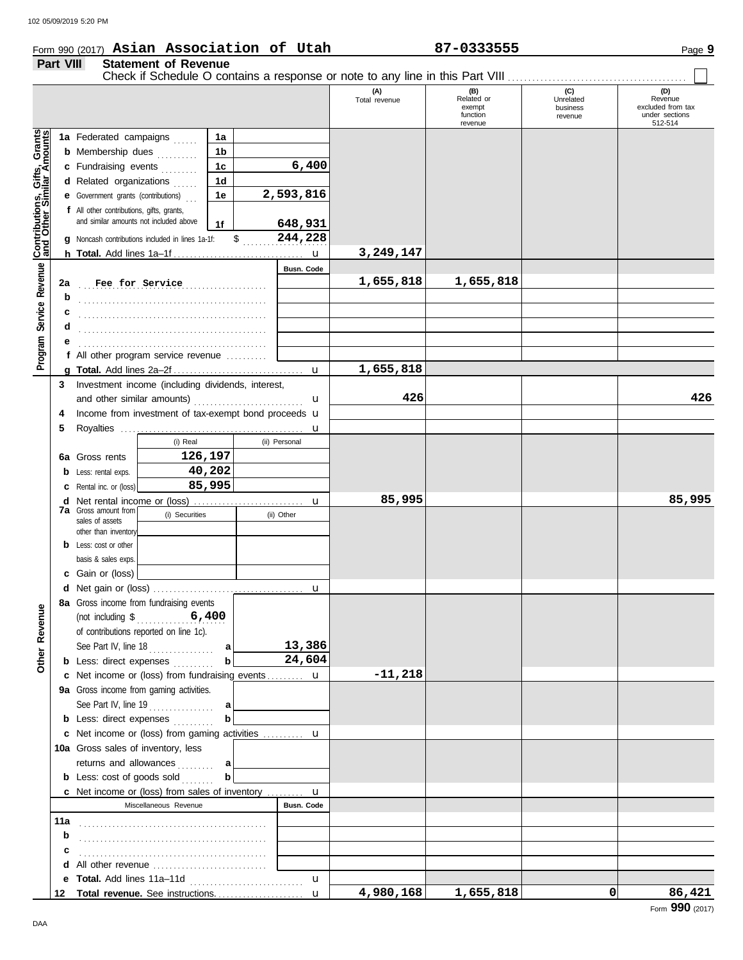#### Form 990 (2017) Page **9 Asian Association of Utah 87-0333555**

# **Part VIII Statement of Revenue**

|                                                             | Part VIII | Statement of Revenue                                               |                |   |               |                      |                                                    |                                         |                                                                  |
|-------------------------------------------------------------|-----------|--------------------------------------------------------------------|----------------|---|---------------|----------------------|----------------------------------------------------|-----------------------------------------|------------------------------------------------------------------|
|                                                             |           |                                                                    |                |   |               | (A)<br>Total revenue | (B)<br>Related or<br>exempt<br>function<br>revenue | (C)<br>Unrelated<br>business<br>revenue | (D)<br>Revenue<br>excluded from tax<br>under sections<br>512-514 |
|                                                             |           | 1a Federated campaigns                                             | 1a             |   |               |                      |                                                    |                                         |                                                                  |
|                                                             |           | <b>b</b> Membership dues                                           | 1b             |   |               |                      |                                                    |                                         |                                                                  |
|                                                             |           | c Fundraising events                                               | 1 <sub>c</sub> |   | 6,400         |                      |                                                    |                                         |                                                                  |
|                                                             |           | d Related organizations                                            | 1 <sub>d</sub> |   |               |                      |                                                    |                                         |                                                                  |
|                                                             |           | <b>e</b> Government grants (contributions)                         | 1e             |   | 2,593,816     |                      |                                                    |                                         |                                                                  |
|                                                             |           | f All other contributions, gifts, grants,                          |                |   |               |                      |                                                    |                                         |                                                                  |
|                                                             |           | and similar amounts not included above                             | 1f             |   | 648,931       |                      |                                                    |                                         |                                                                  |
|                                                             |           | <b>g</b> Noncash contributions included in lines 1a-1f:            |                |   | $$$ 244,228   |                      |                                                    |                                         |                                                                  |
|                                                             |           |                                                                    |                |   |               | 3,249,147            |                                                    |                                         |                                                                  |
|                                                             |           |                                                                    |                |   | Busn. Code    |                      |                                                    |                                         |                                                                  |
|                                                             | 2a        | Fee for Service                                                    |                | . |               | 1,655,818            | 1,655,818                                          |                                         |                                                                  |
|                                                             | b         |                                                                    |                |   |               |                      |                                                    |                                         |                                                                  |
|                                                             |           |                                                                    |                |   |               |                      |                                                    |                                         |                                                                  |
|                                                             | d         |                                                                    |                |   |               |                      |                                                    |                                         |                                                                  |
|                                                             |           |                                                                    |                |   |               |                      |                                                    |                                         |                                                                  |
| Program Service Revenue <b>Contributions, Gifts, Grants</b> |           | f All other program service revenue $\ldots$                       |                |   |               |                      |                                                    |                                         |                                                                  |
|                                                             |           |                                                                    |                |   |               | 1,655,818            |                                                    |                                         |                                                                  |
|                                                             |           | 3 Investment income (including dividends, interest,                |                |   |               |                      |                                                    |                                         |                                                                  |
|                                                             |           |                                                                    |                |   | u             | 426                  |                                                    |                                         | 426                                                              |
|                                                             | 4         | Income from investment of tax-exempt bond proceeds <b>u</b>        |                |   |               |                      |                                                    |                                         |                                                                  |
|                                                             | 5         |                                                                    |                |   |               |                      |                                                    |                                         |                                                                  |
|                                                             |           | (i) Real                                                           |                |   | (ii) Personal |                      |                                                    |                                         |                                                                  |
|                                                             |           | 126,197<br>6a Gross rents                                          |                |   |               |                      |                                                    |                                         |                                                                  |
|                                                             |           | <b>b</b> Less: rental exps.                                        | 40,202         |   |               |                      |                                                    |                                         |                                                                  |
|                                                             |           | <b>c</b> Rental inc. or (loss)                                     | 85,995         |   |               |                      |                                                    |                                         |                                                                  |
|                                                             | d         | <b>7a</b> Gross amount from<br>(i) Securities                      |                |   |               | 85,995               |                                                    |                                         | 85,995                                                           |
|                                                             |           | sales of assets                                                    |                |   | (ii) Other    |                      |                                                    |                                         |                                                                  |
|                                                             |           | other than inventory                                               |                |   |               |                      |                                                    |                                         |                                                                  |
|                                                             |           | <b>b</b> Less: cost or other                                       |                |   |               |                      |                                                    |                                         |                                                                  |
|                                                             |           | basis & sales exps.<br>c Gain or (loss)                            |                |   |               |                      |                                                    |                                         |                                                                  |
|                                                             |           |                                                                    |                |   |               |                      |                                                    |                                         |                                                                  |
|                                                             |           | 8a Gross income from fundraising events                            |                |   |               |                      |                                                    |                                         |                                                                  |
| Other Revenue                                               |           |                                                                    |                |   |               |                      |                                                    |                                         |                                                                  |
|                                                             |           | of contributions reported on line 1c).                             |                |   |               |                      |                                                    |                                         |                                                                  |
|                                                             |           | See Part IV, line 18                                               | a              |   | 13,386        |                      |                                                    |                                         |                                                                  |
|                                                             |           | <b>b</b> Less: direct expenses                                     | b              |   | 24,604        |                      |                                                    |                                         |                                                                  |
|                                                             |           | c Net income or (loss) from fundraising events u                   |                |   |               | $-11,218$            |                                                    |                                         |                                                                  |
|                                                             |           | 9a Gross income from gaming activities.                            |                |   |               |                      |                                                    |                                         |                                                                  |
|                                                             |           | See Part IV, line 19                                               | a              |   |               |                      |                                                    |                                         |                                                                  |
|                                                             |           | <b>b</b> Less: direct expenses                                     | b              |   |               |                      |                                                    |                                         |                                                                  |
|                                                             |           | c Net income or (loss) from gaming activities  u                   |                |   |               |                      |                                                    |                                         |                                                                  |
|                                                             |           | <b>10a</b> Gross sales of inventory, less                          |                |   |               |                      |                                                    |                                         |                                                                  |
|                                                             |           | returns and allowances                                             | a              |   |               |                      |                                                    |                                         |                                                                  |
|                                                             |           | <b>b</b> Less: $cost$ of goods $sol$                               | b              |   |               |                      |                                                    |                                         |                                                                  |
|                                                             |           | <b>c</b> Net income or (loss) from sales of inventory $\mathbf{u}$ |                |   |               |                      |                                                    |                                         |                                                                  |
|                                                             |           | Miscellaneous Revenue                                              |                |   | Busn. Code    |                      |                                                    |                                         |                                                                  |
|                                                             | 11a       |                                                                    |                |   |               |                      |                                                    |                                         |                                                                  |
|                                                             | b         |                                                                    |                |   |               |                      |                                                    |                                         |                                                                  |
|                                                             | с         |                                                                    |                |   |               |                      |                                                    |                                         |                                                                  |
|                                                             | d         |                                                                    |                |   |               |                      |                                                    |                                         |                                                                  |
|                                                             | е         |                                                                    |                |   | u             |                      |                                                    |                                         |                                                                  |
|                                                             |           |                                                                    |                |   | $\mathbf{u}$  | 4,980,168            | 1,655,818                                          | 0                                       | 86,421                                                           |

DAA

Form **990** (2017)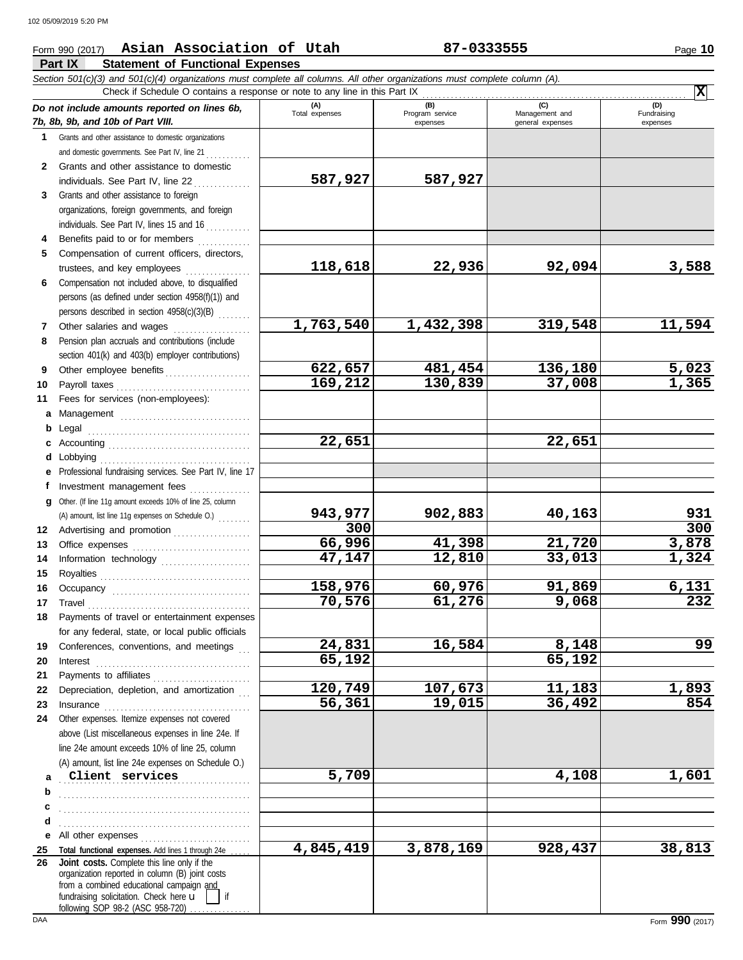### **Part IX Statement of Functional Expenses** Form 990 (2017) Page **10 Asian Association of Utah 87-0333555**

|              | Section 501(c)(3) and 501(c)(4) organizations must complete all columns. All other organizations must complete column (A).<br>Check if Schedule O contains a response or note to any line in this Part IX                                                                                                                                                                                                                                                                                                                          |                    |                    |                   | $\overline{\mathbf{x}}$ |
|--------------|------------------------------------------------------------------------------------------------------------------------------------------------------------------------------------------------------------------------------------------------------------------------------------------------------------------------------------------------------------------------------------------------------------------------------------------------------------------------------------------------------------------------------------|--------------------|--------------------|-------------------|-------------------------|
|              | Do not include amounts reported on lines 6b,                                                                                                                                                                                                                                                                                                                                                                                                                                                                                       | (A)                | (B)                | (C)               | (D)                     |
|              | 7b, 8b, 9b, and 10b of Part VIII.                                                                                                                                                                                                                                                                                                                                                                                                                                                                                                  | Total expenses     | Program service    | Management and    | Fundraising             |
| $\mathbf{1}$ |                                                                                                                                                                                                                                                                                                                                                                                                                                                                                                                                    |                    | expenses           | general expenses  | expenses                |
|              | Grants and other assistance to domestic organizations                                                                                                                                                                                                                                                                                                                                                                                                                                                                              |                    |                    |                   |                         |
| $\mathbf{2}$ | and domestic governments. See Part IV, line 21<br>Grants and other assistance to domestic                                                                                                                                                                                                                                                                                                                                                                                                                                          |                    |                    |                   |                         |
|              | individuals. See Part IV, line 22                                                                                                                                                                                                                                                                                                                                                                                                                                                                                                  | 587,927            | 587,927            |                   |                         |
| 3            | Grants and other assistance to foreign                                                                                                                                                                                                                                                                                                                                                                                                                                                                                             |                    |                    |                   |                         |
|              |                                                                                                                                                                                                                                                                                                                                                                                                                                                                                                                                    |                    |                    |                   |                         |
|              | organizations, foreign governments, and foreign<br>individuals. See Part IV, lines 15 and 16                                                                                                                                                                                                                                                                                                                                                                                                                                       |                    |                    |                   |                         |
|              |                                                                                                                                                                                                                                                                                                                                                                                                                                                                                                                                    |                    |                    |                   |                         |
| 4            | Benefits paid to or for members<br>.                                                                                                                                                                                                                                                                                                                                                                                                                                                                                               |                    |                    |                   |                         |
| 5            | Compensation of current officers, directors,                                                                                                                                                                                                                                                                                                                                                                                                                                                                                       | 118,618            | 22,936             | 92,094            | 3,588                   |
|              | trustees, and key employees                                                                                                                                                                                                                                                                                                                                                                                                                                                                                                        |                    |                    |                   |                         |
| 6            | Compensation not included above, to disqualified                                                                                                                                                                                                                                                                                                                                                                                                                                                                                   |                    |                    |                   |                         |
|              | persons (as defined under section 4958(f)(1)) and                                                                                                                                                                                                                                                                                                                                                                                                                                                                                  |                    |                    |                   |                         |
|              | persons described in section 4958(c)(3)(B)                                                                                                                                                                                                                                                                                                                                                                                                                                                                                         |                    |                    |                   | 11,594                  |
| 7            | Other salaries and wages                                                                                                                                                                                                                                                                                                                                                                                                                                                                                                           | 1,763,540          | 1,432,398          | 319,548           |                         |
| 8            | Pension plan accruals and contributions (include                                                                                                                                                                                                                                                                                                                                                                                                                                                                                   |                    |                    |                   |                         |
|              | section 401(k) and 403(b) employer contributions)                                                                                                                                                                                                                                                                                                                                                                                                                                                                                  |                    |                    |                   |                         |
| 9            | Other employee benefits                                                                                                                                                                                                                                                                                                                                                                                                                                                                                                            | 622,657<br>169,212 | 481,454<br>130,839 | 136,180<br>37,008 | $\frac{5,023}{1,365}$   |
| 10           |                                                                                                                                                                                                                                                                                                                                                                                                                                                                                                                                    |                    |                    |                   |                         |
| 11           | Fees for services (non-employees):                                                                                                                                                                                                                                                                                                                                                                                                                                                                                                 |                    |                    |                   |                         |
| a            | Management                                                                                                                                                                                                                                                                                                                                                                                                                                                                                                                         |                    |                    |                   |                         |
| b            |                                                                                                                                                                                                                                                                                                                                                                                                                                                                                                                                    |                    |                    |                   |                         |
| c            |                                                                                                                                                                                                                                                                                                                                                                                                                                                                                                                                    | 22,651             |                    | 22,651            |                         |
| d            | Lobbying                                                                                                                                                                                                                                                                                                                                                                                                                                                                                                                           |                    |                    |                   |                         |
| е            | Professional fundraising services. See Part IV, line 17                                                                                                                                                                                                                                                                                                                                                                                                                                                                            |                    |                    |                   |                         |
| f            | Investment management fees                                                                                                                                                                                                                                                                                                                                                                                                                                                                                                         |                    |                    |                   |                         |
| q            | Other. (If line 11g amount exceeds 10% of line 25, column                                                                                                                                                                                                                                                                                                                                                                                                                                                                          |                    |                    |                   |                         |
|              | (A) amount, list line 11g expenses on Schedule O.)                                                                                                                                                                                                                                                                                                                                                                                                                                                                                 | 943,977            | 902,883            | 40,163            | 931                     |
| 12           | Advertising and promotion                                                                                                                                                                                                                                                                                                                                                                                                                                                                                                          | 300                |                    |                   | 300                     |
| 13           |                                                                                                                                                                                                                                                                                                                                                                                                                                                                                                                                    | 66,996             | 41,398             | 21,720            | 3,878                   |
| 14           | Information technology                                                                                                                                                                                                                                                                                                                                                                                                                                                                                                             | 47,147             | 12,810             | 33,013            | 1,324                   |
| 15           |                                                                                                                                                                                                                                                                                                                                                                                                                                                                                                                                    |                    |                    |                   |                         |
| 16           |                                                                                                                                                                                                                                                                                                                                                                                                                                                                                                                                    | 158,976            | 60,976             | 91,869            | 6,131                   |
| 17           | $\begin{minipage}[c]{0.9\linewidth} \textbf{ Travel} \end{minipage}[ \begin{minipage}[c]{0.9\linewidth} \textbf{True} \end{minipage}[ \begin{minipage}[c]{0.9\linewidth} \textbf{True} \end{minipage}[ \begin{minipage}[c]{0.9\linewidth} \textbf{True} \end{minipage}[ \begin{minipage}[c]{0.9\linewidth} \textbf{True} \end{minipage}[ \begin{minipage}[c]{0.9\linewidth} \textbf{True} \end{minipage}[ \begin{minipage}[c]{0.9\linewidth} \textbf{True} \end{minipage}[ \begin{minipage}[c]{0.9\linewidth} \textbf{True} \end{$ | 70,576             | 61,276             | 9,068             | 232                     |
|              | Payments of travel or entertainment expenses                                                                                                                                                                                                                                                                                                                                                                                                                                                                                       |                    |                    |                   |                         |
|              | for any federal, state, or local public officials                                                                                                                                                                                                                                                                                                                                                                                                                                                                                  |                    |                    |                   |                         |
| 19           | Conferences, conventions, and meetings                                                                                                                                                                                                                                                                                                                                                                                                                                                                                             | 24,831             | 16,584             | 8,148             | 99                      |
| 20           | Interest                                                                                                                                                                                                                                                                                                                                                                                                                                                                                                                           | 65,192             |                    | 65,192            |                         |
| 21           |                                                                                                                                                                                                                                                                                                                                                                                                                                                                                                                                    |                    |                    |                   |                         |
| 22           | Depreciation, depletion, and amortization                                                                                                                                                                                                                                                                                                                                                                                                                                                                                          | 120,749            | 107,673            | 11,183            | 1,893                   |
| 23           |                                                                                                                                                                                                                                                                                                                                                                                                                                                                                                                                    | 56,361             | 19,015             | 36,492            | 854                     |
| 24           | Other expenses. Itemize expenses not covered                                                                                                                                                                                                                                                                                                                                                                                                                                                                                       |                    |                    |                   |                         |
|              | above (List miscellaneous expenses in line 24e. If                                                                                                                                                                                                                                                                                                                                                                                                                                                                                 |                    |                    |                   |                         |
|              | line 24e amount exceeds 10% of line 25, column                                                                                                                                                                                                                                                                                                                                                                                                                                                                                     |                    |                    |                   |                         |
|              | (A) amount, list line 24e expenses on Schedule O.)                                                                                                                                                                                                                                                                                                                                                                                                                                                                                 |                    |                    |                   |                         |
| a            | Client services                                                                                                                                                                                                                                                                                                                                                                                                                                                                                                                    | 5,709              |                    | 4,108             | 1,601                   |
| b            |                                                                                                                                                                                                                                                                                                                                                                                                                                                                                                                                    |                    |                    |                   |                         |
| c            |                                                                                                                                                                                                                                                                                                                                                                                                                                                                                                                                    |                    |                    |                   |                         |
| d            |                                                                                                                                                                                                                                                                                                                                                                                                                                                                                                                                    |                    |                    |                   |                         |
| е            | All other expenses                                                                                                                                                                                                                                                                                                                                                                                                                                                                                                                 |                    |                    |                   |                         |
| 25           | Total functional expenses. Add lines 1 through 24e                                                                                                                                                                                                                                                                                                                                                                                                                                                                                 | 4,845,419          | 3,878,169          | 928,437           | 38,813                  |
| 26           | Joint costs. Complete this line only if the<br>organization reported in column (B) joint costs                                                                                                                                                                                                                                                                                                                                                                                                                                     |                    |                    |                   |                         |
|              | from a combined educational campaign and                                                                                                                                                                                                                                                                                                                                                                                                                                                                                           |                    |                    |                   |                         |
|              | fundraising solicitation. Check here u<br>if                                                                                                                                                                                                                                                                                                                                                                                                                                                                                       |                    |                    |                   |                         |
|              | following SOP 98-2 (ASC 958-720)                                                                                                                                                                                                                                                                                                                                                                                                                                                                                                   |                    |                    |                   |                         |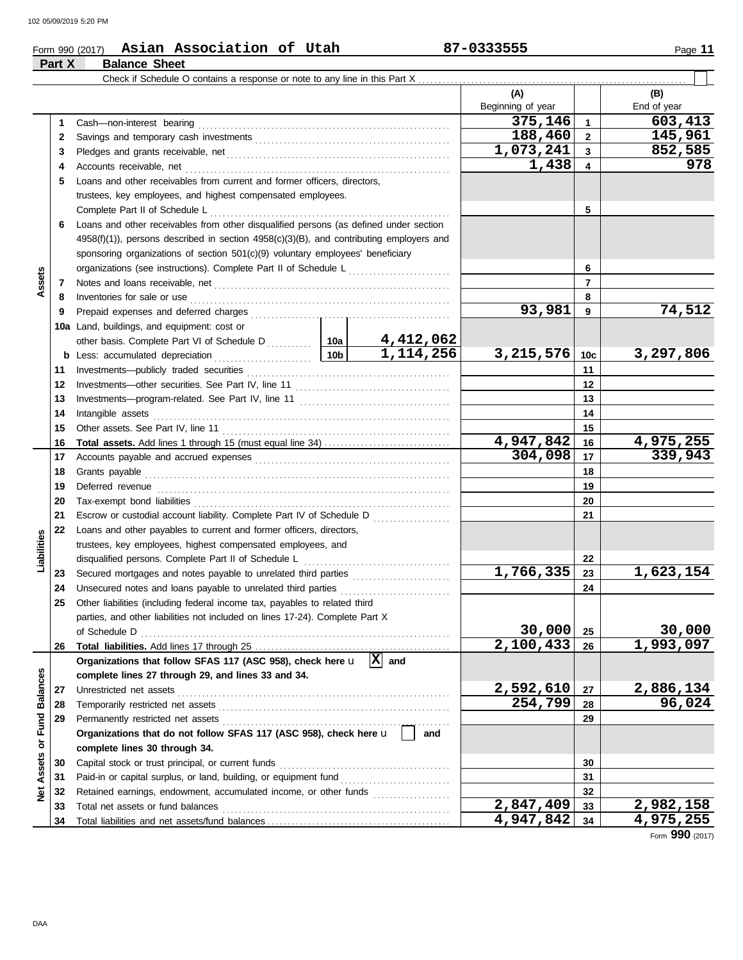**Part X Balance Sheet**

#### Form 990 (2017) Page **11 Asian Association of Utah 87-0333555**

|                  |              | Check if Schedule O contains a response or note to any line in this Part X                                                                                                                                                                                                   |           |                     |                          |                     |                          |
|------------------|--------------|------------------------------------------------------------------------------------------------------------------------------------------------------------------------------------------------------------------------------------------------------------------------------|-----------|---------------------|--------------------------|---------------------|--------------------------|
|                  |              |                                                                                                                                                                                                                                                                              |           |                     | (A)<br>Beginning of year |                     | (B)<br>End of year       |
|                  | 1            |                                                                                                                                                                                                                                                                              |           |                     | 375,146                  | $\mathbf{1}$        | 603,413                  |
|                  | $\mathbf{2}$ |                                                                                                                                                                                                                                                                              |           |                     | 188,460                  | $\mathbf{2}$        | 145,961                  |
|                  | 3            |                                                                                                                                                                                                                                                                              |           |                     | 1,073,241                | 3                   | 852,585                  |
|                  | 4            |                                                                                                                                                                                                                                                                              |           |                     | 1,438                    | 4                   | 978                      |
|                  | 5            | Loans and other receivables from current and former officers, directors,                                                                                                                                                                                                     |           |                     |                          |                     |                          |
|                  |              | trustees, key employees, and highest compensated employees.                                                                                                                                                                                                                  |           |                     |                          |                     |                          |
|                  |              |                                                                                                                                                                                                                                                                              |           |                     |                          | 5                   |                          |
|                  | 6            | Loans and other receivables from other disqualified persons (as defined under section                                                                                                                                                                                        |           |                     |                          |                     |                          |
|                  |              | $4958(f)(1)$ , persons described in section $4958(c)(3)(B)$ , and contributing employers and                                                                                                                                                                                 |           |                     |                          |                     |                          |
|                  |              | sponsoring organizations of section 501(c)(9) voluntary employees' beneficiary                                                                                                                                                                                               |           |                     |                          |                     |                          |
|                  |              | organizations (see instructions). Complete Part II of Schedule L                                                                                                                                                                                                             |           |                     |                          | 6                   |                          |
| Assets           | 7            |                                                                                                                                                                                                                                                                              |           |                     |                          | $\overline{7}$      |                          |
|                  | 8            | Inventories for sale or use <i>communication</i> and <i>members</i> for sale or use <i>communication</i> and <i>members</i> for sale or use <i>communication</i> and <i>members</i> for sale or use <i>communication</i> and <i>members</i> for sale or use <i>communica</i> |           |                     |                          | 8                   |                          |
|                  | 9            |                                                                                                                                                                                                                                                                              |           |                     | 93,981                   | 9                   | 74,512                   |
|                  |              | 10a Land, buildings, and equipment: cost or                                                                                                                                                                                                                                  |           |                     |                          |                     |                          |
|                  |              |                                                                                                                                                                                                                                                                              |           | 4,412,062           |                          |                     |                          |
|                  |              | b Less: accumulated depreciation                                                                                                                                                                                                                                             | 10bl      | 1, 114, 256         | 3,215,576                | 10c                 | 3,297,806                |
|                  | 11           |                                                                                                                                                                                                                                                                              |           |                     |                          | 11                  |                          |
|                  | 12           |                                                                                                                                                                                                                                                                              |           |                     |                          | 12                  |                          |
|                  | 13           |                                                                                                                                                                                                                                                                              |           |                     |                          | 13                  |                          |
|                  | 14           |                                                                                                                                                                                                                                                                              |           |                     |                          | 14                  |                          |
|                  | 15           |                                                                                                                                                                                                                                                                              |           | 15                  |                          |                     |                          |
|                  | 16           | <b>Total assets.</b> Add lines 1 through 15 (must equal line 34)                                                                                                                                                                                                             |           |                     | 4,947,842                | 16                  | $\overline{4,975,255}$   |
|                  | 17           |                                                                                                                                                                                                                                                                              |           | 304,098             | 17                       | 339,943             |                          |
|                  | 18           |                                                                                                                                                                                                                                                                              |           |                     |                          | 18                  |                          |
|                  | 19           |                                                                                                                                                                                                                                                                              |           |                     | 19                       |                     |                          |
|                  | 20           |                                                                                                                                                                                                                                                                              |           | 20                  |                          |                     |                          |
|                  | 21           | Escrow or custodial account liability. Complete Part IV of Schedule D                                                                                                                                                                                                        |           |                     |                          | 21                  |                          |
|                  | 22           | Loans and other payables to current and former officers, directors,                                                                                                                                                                                                          |           |                     |                          |                     |                          |
| Liabilities      |              | trustees, key employees, highest compensated employees, and                                                                                                                                                                                                                  |           |                     |                          |                     |                          |
|                  |              | disqualified persons. Complete Part II of Schedule L                                                                                                                                                                                                                         |           |                     |                          | 22                  |                          |
|                  | 23           | Secured mortgages and notes payable to unrelated third parties                                                                                                                                                                                                               |           |                     | 1,766,335                | 23                  | 1,623,154                |
|                  | 24           | Unsecured notes and loans payable to unrelated third parties                                                                                                                                                                                                                 |           |                     |                          | 24                  |                          |
|                  | 25           | Other liabilities (including federal income tax, payables to related third                                                                                                                                                                                                   |           |                     |                          |                     |                          |
|                  |              | parties, and other liabilities not included on lines 17-24). Complete Part X                                                                                                                                                                                                 |           |                     |                          |                     |                          |
|                  |              | of Schedule D                                                                                                                                                                                                                                                                |           | 30,000<br>2,100,433 | 25                       | 30,000<br>1,993,097 |                          |
|                  | 26           | Organizations that follow SFAS 117 (ASC 958), check here u                                                                                                                                                                                                                   |           | $\overline{X}$ and  |                          | 26                  |                          |
|                  |              | complete lines 27 through 29, and lines 33 and 34.                                                                                                                                                                                                                           |           |                     |                          |                     |                          |
|                  | 27           | Unrestricted net assets                                                                                                                                                                                                                                                      |           |                     | 2,592,610                | 27                  | 2,886,134                |
|                  | 28           |                                                                                                                                                                                                                                                                              |           |                     | 254,799                  | 28                  | 96,024                   |
|                  | 29           |                                                                                                                                                                                                                                                                              |           |                     |                          | 29                  |                          |
| or Fund Balances |              | Organizations that do not follow SFAS 117 (ASC 958), check here u                                                                                                                                                                                                            |           | and                 |                          |                     |                          |
|                  |              | complete lines 30 through 34.                                                                                                                                                                                                                                                |           |                     |                          |                     |                          |
|                  | 30           |                                                                                                                                                                                                                                                                              |           |                     |                          | 30                  |                          |
| Assets           | 31           |                                                                                                                                                                                                                                                                              |           |                     |                          | 31                  |                          |
| $\frac{8}{2}$    | 32           | Retained earnings, endowment, accumulated income, or other funds                                                                                                                                                                                                             |           |                     |                          | 32                  |                          |
|                  | 33           |                                                                                                                                                                                                                                                                              |           |                     | $\overline{2,847,409}$   | 33                  | $\overline{2,}$ 982, 158 |
|                  | 34           |                                                                                                                                                                                                                                                                              | 4,947,842 | 34                  | 4,975,255                |                     |                          |

Form **990** (2017)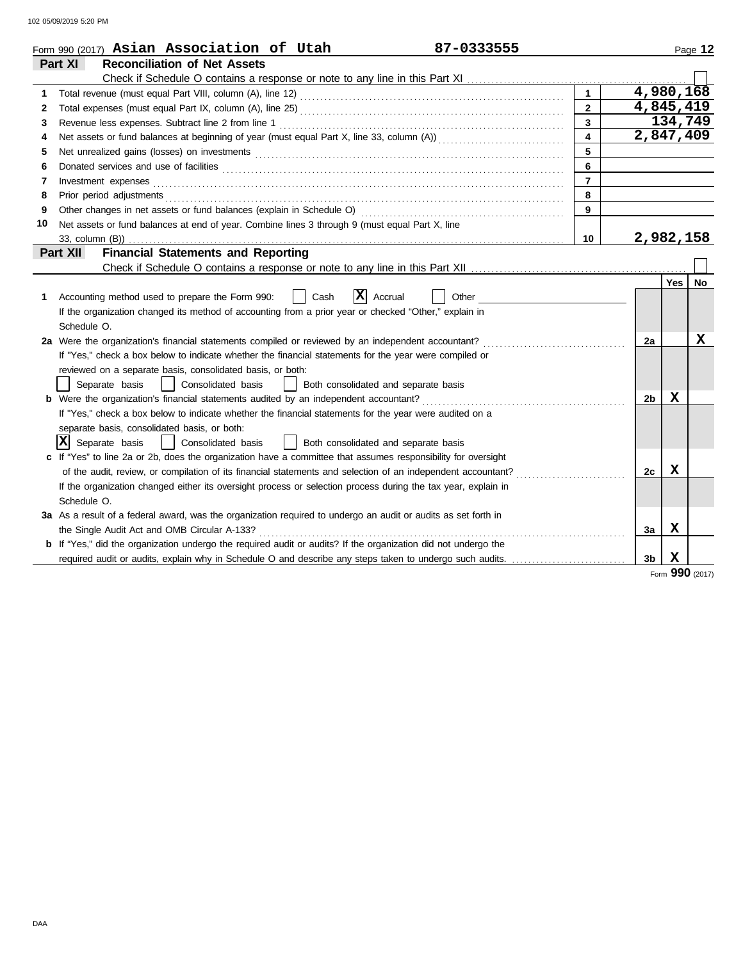102 05/09/2019 5:20 PM

|    | Form 990 (2017) Asian Association of Utah<br>87-0333555                                                               |                |                    |         | Page 12         |
|----|-----------------------------------------------------------------------------------------------------------------------|----------------|--------------------|---------|-----------------|
|    | Part XI<br><b>Reconciliation of Net Assets</b>                                                                        |                |                    |         |                 |
|    |                                                                                                                       |                |                    |         |                 |
| 1  |                                                                                                                       | $\mathbf{1}$   | $\sqrt{4,980,168}$ |         |                 |
| 2  |                                                                                                                       | $\overline{2}$ | 4,845,419          |         |                 |
| 3  |                                                                                                                       | $\mathbf{3}$   |                    | 134,749 |                 |
| 4  |                                                                                                                       | 4              | 2,847,409          |         |                 |
| 5  |                                                                                                                       | 5              |                    |         |                 |
| 6  |                                                                                                                       | 6              |                    |         |                 |
| 7  | Investment expenses <b>contract and the expenses</b>                                                                  | $\overline{7}$ |                    |         |                 |
| 8  | Prior period adjustments                                                                                              | 8              |                    |         |                 |
| 9  |                                                                                                                       | 9              |                    |         |                 |
| 10 | Net assets or fund balances at end of year. Combine lines 3 through 9 (must equal Part X, line                        |                |                    |         |                 |
|    | 33, column (B))                                                                                                       | 10             | 2,982,158          |         |                 |
|    | <b>Financial Statements and Reporting</b><br>Part XII                                                                 |                |                    |         |                 |
|    |                                                                                                                       |                |                    |         |                 |
|    |                                                                                                                       |                |                    | Yes $ $ | No              |
| 1. | IXI<br>Accounting method used to prepare the Form 990:<br>Cash<br>Accrual<br>Other                                    |                |                    |         |                 |
|    | If the organization changed its method of accounting from a prior year or checked "Other," explain in                 |                |                    |         |                 |
|    | Schedule O.                                                                                                           |                |                    |         |                 |
|    | 2a Were the organization's financial statements compiled or reviewed by an independent accountant?                    |                | 2a                 |         | X               |
|    | If "Yes," check a box below to indicate whether the financial statements for the year were compiled or                |                |                    |         |                 |
|    | reviewed on a separate basis, consolidated basis, or both:                                                            |                |                    |         |                 |
|    | Separate basis<br>Consolidated basis<br>Both consolidated and separate basis                                          |                |                    |         |                 |
|    |                                                                                                                       |                | 2 <sub>b</sub>     | х       |                 |
|    | If "Yes," check a box below to indicate whether the financial statements for the year were audited on a               |                |                    |         |                 |
|    | separate basis, consolidated basis, or both:                                                                          |                |                    |         |                 |
|    | $ \mathbf{X} $ Separate basis<br>Consolidated basis<br>Both consolidated and separate basis                           |                |                    |         |                 |
|    | c If "Yes" to line 2a or 2b, does the organization have a committee that assumes responsibility for oversight         |                |                    |         |                 |
|    | of the audit, review, or compilation of its financial statements and selection of an independent accountant?          |                | 2c                 | X       |                 |
|    | If the organization changed either its oversight process or selection process during the tax year, explain in         |                |                    |         |                 |
|    | Schedule O.                                                                                                           |                |                    |         |                 |
|    | 3a As a result of a federal award, was the organization required to undergo an audit or audits as set forth in        |                |                    |         |                 |
|    | the Single Audit Act and OMB Circular A-133?                                                                          |                | 3a                 | x       |                 |
|    | <b>b</b> If "Yes," did the organization undergo the required audit or audits? If the organization did not undergo the |                |                    |         |                 |
|    | required audit or audits, explain why in Schedule O and describe any steps taken to undergo such audits.              |                | 3b                 | х       |                 |
|    |                                                                                                                       |                |                    |         | Form 990 (2017) |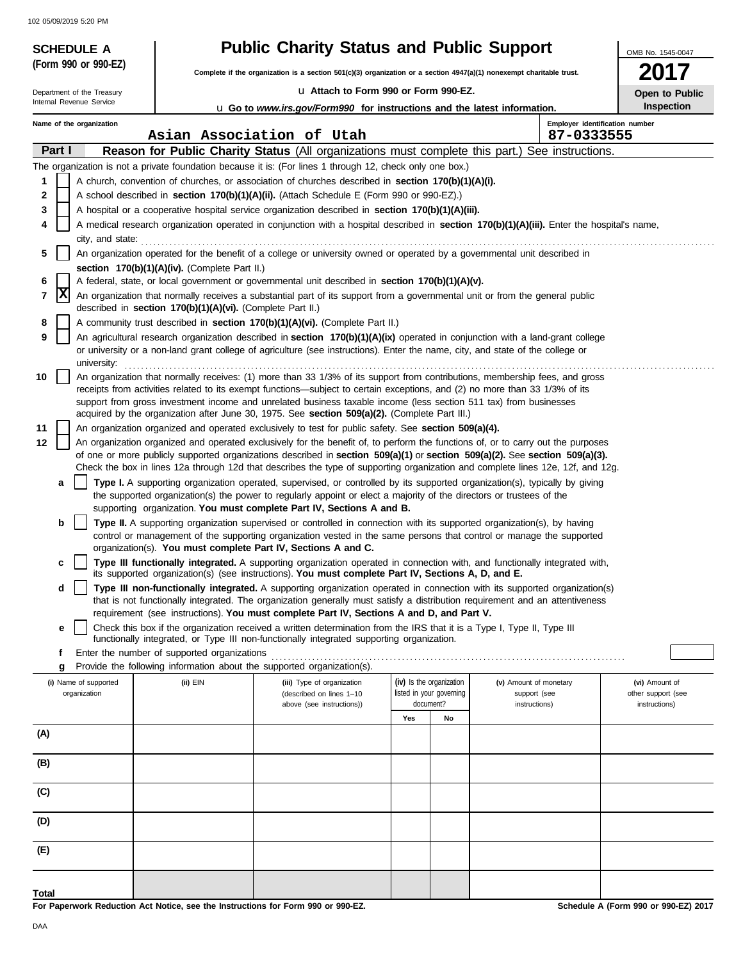102 05/09/2019 5:20 PM

| <b>SCHEDULE A</b>                     |                                                                                                                                            | <b>Public Charity Status and Public Support</b>                                                                                                                                                                                                                |     |                                                      |                                        | OMB No. 1545-0047                    |  |
|---------------------------------------|--------------------------------------------------------------------------------------------------------------------------------------------|----------------------------------------------------------------------------------------------------------------------------------------------------------------------------------------------------------------------------------------------------------------|-----|------------------------------------------------------|----------------------------------------|--------------------------------------|--|
| (Form 990 or 990-EZ)                  |                                                                                                                                            | Complete if the organization is a section 501(c)(3) organization or a section 4947(a)(1) nonexempt charitable trust.                                                                                                                                           |     |                                                      |                                        |                                      |  |
| Department of the Treasury            |                                                                                                                                            | La Attach to Form 990 or Form 990-EZ.                                                                                                                                                                                                                          |     |                                                      |                                        | Open to Public                       |  |
| Internal Revenue Service              |                                                                                                                                            | u Go to www.irs.gov/Form990 for instructions and the latest information.                                                                                                                                                                                       |     |                                                      |                                        | Inspection                           |  |
| Name of the organization              |                                                                                                                                            |                                                                                                                                                                                                                                                                |     |                                                      |                                        | Employer identification number       |  |
| Part I                                |                                                                                                                                            | Asian Association of Utah<br>Reason for Public Charity Status (All organizations must complete this part.) See instructions.                                                                                                                                   |     |                                                      | 87-0333555                             |                                      |  |
|                                       |                                                                                                                                            | The organization is not a private foundation because it is: (For lines 1 through 12, check only one box.)                                                                                                                                                      |     |                                                      |                                        |                                      |  |
| 1                                     |                                                                                                                                            | A church, convention of churches, or association of churches described in section 170(b)(1)(A)(i).                                                                                                                                                             |     |                                                      |                                        |                                      |  |
| $\mathbf 2$                           |                                                                                                                                            | A school described in section 170(b)(1)(A)(ii). (Attach Schedule E (Form 990 or 990-EZ).)                                                                                                                                                                      |     |                                                      |                                        |                                      |  |
| 3                                     |                                                                                                                                            | A hospital or a cooperative hospital service organization described in section 170(b)(1)(A)(iii).                                                                                                                                                              |     |                                                      |                                        |                                      |  |
| 4<br>city, and state:                 | A medical research organization operated in conjunction with a hospital described in section 170(b)(1)(A)(iii). Enter the hospital's name, |                                                                                                                                                                                                                                                                |     |                                                      |                                        |                                      |  |
| 5                                     |                                                                                                                                            | An organization operated for the benefit of a college or university owned or operated by a governmental unit described in                                                                                                                                      |     |                                                      |                                        |                                      |  |
| 6                                     | section 170(b)(1)(A)(iv). (Complete Part II.)                                                                                              | A federal, state, or local government or governmental unit described in section 170(b)(1)(A)(v).                                                                                                                                                               |     |                                                      |                                        |                                      |  |
| X<br>7                                |                                                                                                                                            | An organization that normally receives a substantial part of its support from a governmental unit or from the general public                                                                                                                                   |     |                                                      |                                        |                                      |  |
|                                       | described in section 170(b)(1)(A)(vi). (Complete Part II.)                                                                                 |                                                                                                                                                                                                                                                                |     |                                                      |                                        |                                      |  |
| 8<br>9                                |                                                                                                                                            | A community trust described in section 170(b)(1)(A)(vi). (Complete Part II.)<br>An agricultural research organization described in section 170(b)(1)(A)(ix) operated in conjunction with a land-grant college                                                  |     |                                                      |                                        |                                      |  |
| university:                           |                                                                                                                                            | or university or a non-land grant college of agriculture (see instructions). Enter the name, city, and state of the college or                                                                                                                                 |     |                                                      |                                        |                                      |  |
| 10                                    |                                                                                                                                            | An organization that normally receives: (1) more than 33 1/3% of its support from contributions, membership fees, and gross                                                                                                                                    |     |                                                      |                                        |                                      |  |
|                                       |                                                                                                                                            | receipts from activities related to its exempt functions—subject to certain exceptions, and (2) no more than 33 1/3% of its<br>support from gross investment income and unrelated business taxable income (less section 511 tax) from businesses               |     |                                                      |                                        |                                      |  |
|                                       |                                                                                                                                            | acquired by the organization after June 30, 1975. See section 509(a)(2). (Complete Part III.)                                                                                                                                                                  |     |                                                      |                                        |                                      |  |
| 11                                    |                                                                                                                                            | An organization organized and operated exclusively to test for public safety. See section 509(a)(4).                                                                                                                                                           |     |                                                      |                                        |                                      |  |
| 12                                    |                                                                                                                                            | An organization organized and operated exclusively for the benefit of, to perform the functions of, or to carry out the purposes                                                                                                                               |     |                                                      |                                        |                                      |  |
|                                       |                                                                                                                                            | of one or more publicly supported organizations described in section 509(a)(1) or section 509(a)(2). See section 509(a)(3).<br>Check the box in lines 12a through 12d that describes the type of supporting organization and complete lines 12e, 12f, and 12g. |     |                                                      |                                        |                                      |  |
| а                                     |                                                                                                                                            | Type I. A supporting organization operated, supervised, or controlled by its supported organization(s), typically by giving                                                                                                                                    |     |                                                      |                                        |                                      |  |
|                                       |                                                                                                                                            | the supported organization(s) the power to regularly appoint or elect a majority of the directors or trustees of the                                                                                                                                           |     |                                                      |                                        |                                      |  |
|                                       |                                                                                                                                            | supporting organization. You must complete Part IV, Sections A and B.                                                                                                                                                                                          |     |                                                      |                                        |                                      |  |
| b                                     |                                                                                                                                            | Type II. A supporting organization supervised or controlled in connection with its supported organization(s), by having<br>control or management of the supporting organization vested in the same persons that control or manage the supported                |     |                                                      |                                        |                                      |  |
|                                       |                                                                                                                                            | organization(s). You must complete Part IV, Sections A and C.                                                                                                                                                                                                  |     |                                                      |                                        |                                      |  |
| c                                     |                                                                                                                                            | Type III functionally integrated. A supporting organization operated in connection with, and functionally integrated with,<br>its supported organization(s) (see instructions). You must complete Part IV, Sections A, D, and E.                               |     |                                                      |                                        |                                      |  |
| d                                     |                                                                                                                                            | Type III non-functionally integrated. A supporting organization operated in connection with its supported organization(s)<br>that is not functionally integrated. The organization generally must satisfy a distribution requirement and an attentiveness      |     |                                                      |                                        |                                      |  |
| е                                     |                                                                                                                                            | requirement (see instructions). You must complete Part IV, Sections A and D, and Part V.<br>Check this box if the organization received a written determination from the IRS that it is a Type I, Type II, Type III                                            |     |                                                      |                                        |                                      |  |
|                                       |                                                                                                                                            | functionally integrated, or Type III non-functionally integrated supporting organization.                                                                                                                                                                      |     |                                                      |                                        |                                      |  |
| f                                     | Enter the number of supported organizations                                                                                                |                                                                                                                                                                                                                                                                |     |                                                      |                                        |                                      |  |
| g                                     |                                                                                                                                            | Provide the following information about the supported organization(s).                                                                                                                                                                                         |     |                                                      |                                        |                                      |  |
| (i) Name of supported<br>organization | (ii) EIN                                                                                                                                   | (iii) Type of organization<br>(described on lines 1-10                                                                                                                                                                                                         |     | (iv) Is the organization<br>listed in your governing | (v) Amount of monetary<br>support (see | (vi) Amount of<br>other support (see |  |
|                                       |                                                                                                                                            | above (see instructions))                                                                                                                                                                                                                                      |     | document?                                            | instructions)                          | instructions)                        |  |
|                                       |                                                                                                                                            |                                                                                                                                                                                                                                                                | Yes | No                                                   |                                        |                                      |  |
| (A)                                   |                                                                                                                                            |                                                                                                                                                                                                                                                                |     |                                                      |                                        |                                      |  |
| (B)                                   |                                                                                                                                            |                                                                                                                                                                                                                                                                |     |                                                      |                                        |                                      |  |
| (C)                                   |                                                                                                                                            |                                                                                                                                                                                                                                                                |     |                                                      |                                        |                                      |  |
| (D)                                   |                                                                                                                                            |                                                                                                                                                                                                                                                                |     |                                                      |                                        |                                      |  |
| (E)                                   |                                                                                                                                            |                                                                                                                                                                                                                                                                |     |                                                      |                                        |                                      |  |
| Total                                 |                                                                                                                                            |                                                                                                                                                                                                                                                                |     |                                                      |                                        |                                      |  |

**For Paperwork Reduction Act Notice, see the Instructions for Form 990 or 990-EZ.**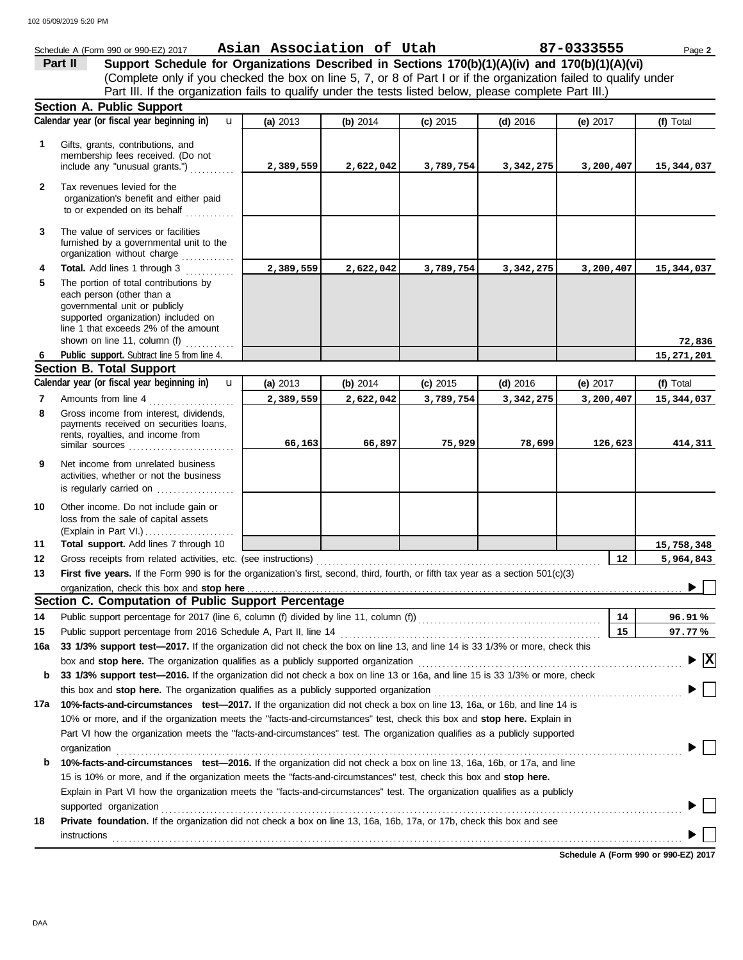|              | Schedule A (Form 990 or 990-EZ) 2017                                                                                                                                                                                                                               | Asian Association of Utah |           |            |            | 87-0333555 | Page 2                         |
|--------------|--------------------------------------------------------------------------------------------------------------------------------------------------------------------------------------------------------------------------------------------------------------------|---------------------------|-----------|------------|------------|------------|--------------------------------|
|              | Support Schedule for Organizations Described in Sections 170(b)(1)(A)(iv) and 170(b)(1)(A)(vi)<br>Part II                                                                                                                                                          |                           |           |            |            |            |                                |
|              | (Complete only if you checked the box on line 5, 7, or 8 of Part I or if the organization failed to qualify under                                                                                                                                                  |                           |           |            |            |            |                                |
|              | Part III. If the organization fails to qualify under the tests listed below, please complete Part III.)                                                                                                                                                            |                           |           |            |            |            |                                |
|              | <b>Section A. Public Support</b>                                                                                                                                                                                                                                   |                           |           |            |            |            |                                |
|              | Calendar year (or fiscal year beginning in)<br>$\mathbf{u}$                                                                                                                                                                                                        | (a) 2013                  | (b) 2014  | $(c)$ 2015 | $(d)$ 2016 | (e) $2017$ | (f) Total                      |
| 1            | Gifts, grants, contributions, and<br>membership fees received. (Do not<br>include any "unusual grants.")                                                                                                                                                           | 2,389,559                 | 2,622,042 | 3,789,754  | 3,342,275  | 3,200,407  | 15,344,037                     |
| $\mathbf{2}$ | Tax revenues levied for the<br>organization's benefit and either paid<br>to or expended on its behalf                                                                                                                                                              |                           |           |            |            |            |                                |
| 3            | The value of services or facilities<br>furnished by a governmental unit to the<br>organization without charge                                                                                                                                                      |                           |           |            |            |            |                                |
| 4            | Total. Add lines 1 through 3                                                                                                                                                                                                                                       | 2,389,559                 | 2,622,042 | 3,789,754  | 3,342,275  | 3,200,407  | 15,344,037                     |
| 5            | The portion of total contributions by<br>each person (other than a<br>governmental unit or publicly<br>supported organization) included on<br>line 1 that exceeds 2% of the amount<br>shown on line 11, column (f)                                                 |                           |           |            |            |            | 72,836                         |
|              | Public support. Subtract line 5 from line 4.                                                                                                                                                                                                                       |                           |           |            |            |            | 15,271,201                     |
|              | <b>Section B. Total Support</b>                                                                                                                                                                                                                                    |                           |           |            |            |            |                                |
|              | Calendar year (or fiscal year beginning in)<br>$\mathbf{u}$                                                                                                                                                                                                        | (a) 2013                  | (b) 2014  | $(c)$ 2015 | $(d)$ 2016 | (e) $2017$ | (f) Total                      |
| 7            | Amounts from line 4                                                                                                                                                                                                                                                | 2,389,559                 | 2,622,042 | 3,789,754  | 3,342,275  | 3,200,407  | 15,344,037                     |
| 8            | Gross income from interest, dividends,<br>payments received on securities loans,<br>rents, royalties, and income from<br>similar sources                                                                                                                           | 66,163                    | 66,897    | 75,929     | 78,699     | 126,623    | 414,311                        |
| 9            | Net income from unrelated business<br>activities, whether or not the business<br>is regularly carried on                                                                                                                                                           |                           |           |            |            |            |                                |
| 10           | Other income. Do not include gain or<br>loss from the sale of capital assets                                                                                                                                                                                       |                           |           |            |            |            |                                |
| 11           | Total support. Add lines 7 through 10                                                                                                                                                                                                                              |                           |           |            |            |            | 15,758,348                     |
| 12           | Gross receipts from related activities, etc. (see instructions)                                                                                                                                                                                                    |                           |           |            |            | $12 \,$    | 5,964,843                      |
| 13           | First five years. If the Form 990 is for the organization's first, second, third, fourth, or fifth tax year as a section 501(c)(3)                                                                                                                                 |                           |           |            |            |            |                                |
|              |                                                                                                                                                                                                                                                                    |                           |           |            |            |            |                                |
|              | Section C. Computation of Public Support Percentage                                                                                                                                                                                                                |                           |           |            |            |            |                                |
| 14           |                                                                                                                                                                                                                                                                    |                           |           |            |            | 14         | 96.91%                         |
| 15           |                                                                                                                                                                                                                                                                    |                           |           |            |            | 15         | 97.77%                         |
| 16a          | 33 1/3% support test-2017. If the organization did not check the box on line 13, and line 14 is 33 1/3% or more, check this                                                                                                                                        |                           |           |            |            |            | $\blacktriangleright$ $\mid$ X |
|              | box and stop here. The organization qualifies as a publicly supported organization [11] content content content of the content of the state of the state of the state of the state of the state of the state of the state of t                                     |                           |           |            |            |            |                                |
| b            | 33 1/3% support test-2016. If the organization did not check a box on line 13 or 16a, and line 15 is 33 1/3% or more, check                                                                                                                                        |                           |           |            |            |            |                                |
|              | 10%-facts-and-circumstances test-2017. If the organization did not check a box on line 13, 16a, or 16b, and line 14 is                                                                                                                                             |                           |           |            |            |            |                                |
| 17a          |                                                                                                                                                                                                                                                                    |                           |           |            |            |            |                                |
|              | 10% or more, and if the organization meets the "facts-and-circumstances" test, check this box and stop here. Explain in                                                                                                                                            |                           |           |            |            |            |                                |
|              | Part VI how the organization meets the "facts-and-circumstances" test. The organization qualifies as a publicly supported                                                                                                                                          |                           |           |            |            |            |                                |
|              | organization                                                                                                                                                                                                                                                       |                           |           |            |            |            |                                |
| b            | 10%-facts-and-circumstances test-2016. If the organization did not check a box on line 13, 16a, 16b, or 17a, and line<br>15 is 10% or more, and if the organization meets the "facts-and-circumstances" test, check this box and stop here.                        |                           |           |            |            |            |                                |
|              | Explain in Part VI how the organization meets the "facts-and-circumstances" test. The organization qualifies as a publicly                                                                                                                                         |                           |           |            |            |            |                                |
|              |                                                                                                                                                                                                                                                                    |                           |           |            |            |            |                                |
| 18           | supported organization contains and contains a supported organization contains a supported organization contains a supported organization<br>Private foundation. If the organization did not check a box on line 13, 16a, 16b, 17a, or 17b, check this box and see |                           |           |            |            |            |                                |
|              | instructions                                                                                                                                                                                                                                                       |                           |           |            |            |            |                                |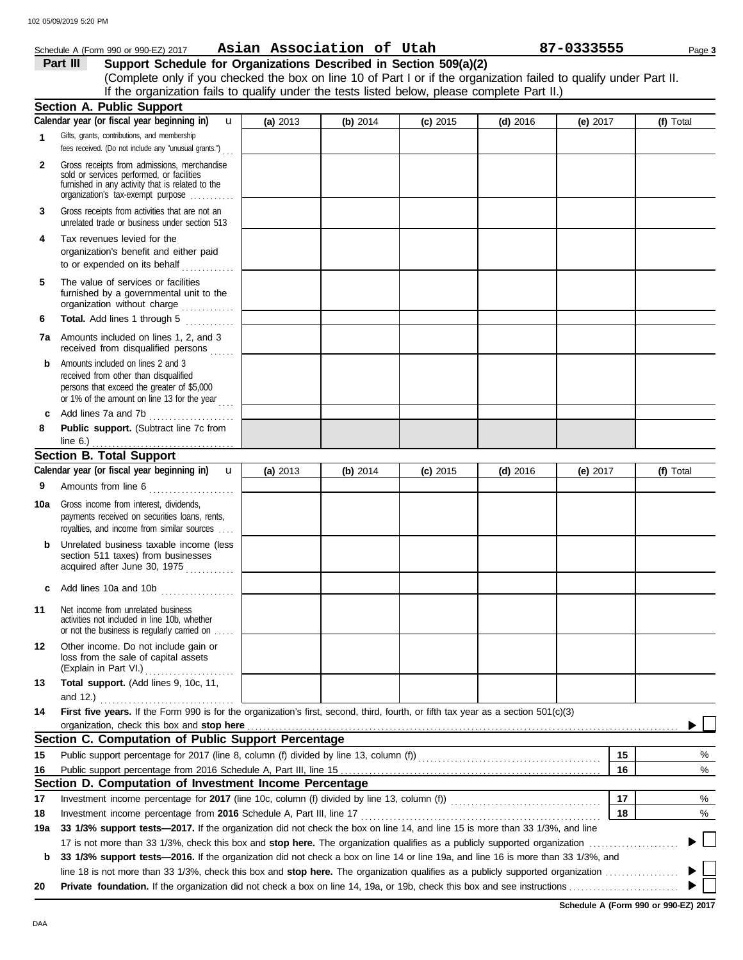|              | Schedule A (Form 990 or 990-EZ) 2017                                                                                                                                                                                                                           | Asian Association of Utah |          |            |            | 87-0333555 | Page 3    |
|--------------|----------------------------------------------------------------------------------------------------------------------------------------------------------------------------------------------------------------------------------------------------------------|---------------------------|----------|------------|------------|------------|-----------|
|              | Part III<br>Support Schedule for Organizations Described in Section 509(a)(2)                                                                                                                                                                                  |                           |          |            |            |            |           |
|              | (Complete only if you checked the box on line 10 of Part I or if the organization failed to qualify under Part II.                                                                                                                                             |                           |          |            |            |            |           |
|              | If the organization fails to qualify under the tests listed below, please complete Part II.)                                                                                                                                                                   |                           |          |            |            |            |           |
|              | <b>Section A. Public Support</b>                                                                                                                                                                                                                               |                           |          |            |            |            |           |
|              | Calendar year (or fiscal year beginning in)<br>$\mathbf{u}$                                                                                                                                                                                                    | (a) 2013                  | (b) 2014 | $(c)$ 2015 | $(d)$ 2016 | (e) 2017   | (f) Total |
| $\mathbf{1}$ | Gifts, grants, contributions, and membership<br>fees received. (Do not include any "unusual grants.")                                                                                                                                                          |                           |          |            |            |            |           |
| $\mathbf{2}$ | Gross receipts from admissions, merchandise<br>sold or services performed, or facilities<br>furnished in any activity that is related to the<br>organization's tax-exempt purpose                                                                              |                           |          |            |            |            |           |
| 3            | Gross receipts from activities that are not an<br>unrelated trade or business under section 513                                                                                                                                                                |                           |          |            |            |            |           |
| 4            | Tax revenues levied for the<br>organization's benefit and either paid<br>to or expended on its behalf                                                                                                                                                          |                           |          |            |            |            |           |
| 5            | The value of services or facilities<br>furnished by a governmental unit to the<br>organization without charge                                                                                                                                                  |                           |          |            |            |            |           |
| 6            | Total. Add lines 1 through 5                                                                                                                                                                                                                                   |                           |          |            |            |            |           |
|              | <b>7a</b> Amounts included on lines 1, 2, and 3<br>received from disqualified persons                                                                                                                                                                          |                           |          |            |            |            |           |
| b            | Amounts included on lines 2 and 3<br>received from other than disqualified<br>persons that exceed the greater of \$5,000<br>or 1% of the amount on line 13 for the year                                                                                        |                           |          |            |            |            |           |
| c            | Add lines 7a and 7b                                                                                                                                                                                                                                            |                           |          |            |            |            |           |
| 8            | Public support. (Subtract line 7c from                                                                                                                                                                                                                         |                           |          |            |            |            |           |
|              | <b>Section B. Total Support</b>                                                                                                                                                                                                                                |                           |          |            |            |            |           |
|              | Calendar year (or fiscal year beginning in)<br>$\mathbf u$                                                                                                                                                                                                     | (a) 2013                  | (b) 2014 | $(c)$ 2015 | $(d)$ 2016 | (e) $2017$ | (f) Total |
| 9            | Amounts from line 6                                                                                                                                                                                                                                            |                           |          |            |            |            |           |
| 10a          | Gross income from interest, dividends,<br>payments received on securities loans, rents,<br>royalties, and income from similar sources                                                                                                                          |                           |          |            |            |            |           |
|              | Unrelated business taxable income (less<br>section 511 taxes) from businesses                                                                                                                                                                                  |                           |          |            |            |            |           |
|              | Add lines 10a and 10b                                                                                                                                                                                                                                          |                           |          |            |            |            |           |
| 11           | Net income from unrelated business<br>activities not included in line 10b, whether<br>or not the business is regularly carried on                                                                                                                              |                           |          |            |            |            |           |
| 12           | Other income. Do not include gain or<br>loss from the sale of capital assets<br>(Explain in Part VI.)                                                                                                                                                          |                           |          |            |            |            |           |
| 13           | Total support. (Add lines 9, 10c, 11,                                                                                                                                                                                                                          |                           |          |            |            |            |           |
|              | and 12.) $\ldots$                                                                                                                                                                                                                                              |                           |          |            |            |            |           |
| 14           | First five years. If the Form 990 is for the organization's first, second, third, fourth, or fifth tax year as a section 501(c)(3)<br>organization, check this box and stop here <b>constant and all and all and all and all and all and all and all and a</b> |                           |          |            |            |            |           |
|              | Section C. Computation of Public Support Percentage                                                                                                                                                                                                            |                           |          |            |            |            |           |
| 15           | Public support percentage for 2017 (line 8, column (f) divided by line 13, column (f) [[[[[[[[[[[[[[[[[[[[[[[                                                                                                                                                  |                           |          |            |            | 15         | %         |
| 16           |                                                                                                                                                                                                                                                                |                           |          |            |            | 16         | %         |
|              | Section D. Computation of Investment Income Percentage                                                                                                                                                                                                         |                           |          |            |            |            |           |
| 17           |                                                                                                                                                                                                                                                                |                           |          |            |            | 17         | %         |
| 18           |                                                                                                                                                                                                                                                                |                           |          |            |            | 18         | %         |
| 19a          | 33 1/3% support tests—2017. If the organization did not check the box on line 14, and line 15 is more than 33 1/3%, and line                                                                                                                                   |                           |          |            |            |            |           |
|              |                                                                                                                                                                                                                                                                |                           |          |            |            |            |           |
| b            | 33 1/3% support tests-2016. If the organization did not check a box on line 14 or line 19a, and line 16 is more than 33 1/3%, and                                                                                                                              |                           |          |            |            |            |           |
|              |                                                                                                                                                                                                                                                                |                           |          |            |            |            |           |
| 20           |                                                                                                                                                                                                                                                                |                           |          |            |            |            |           |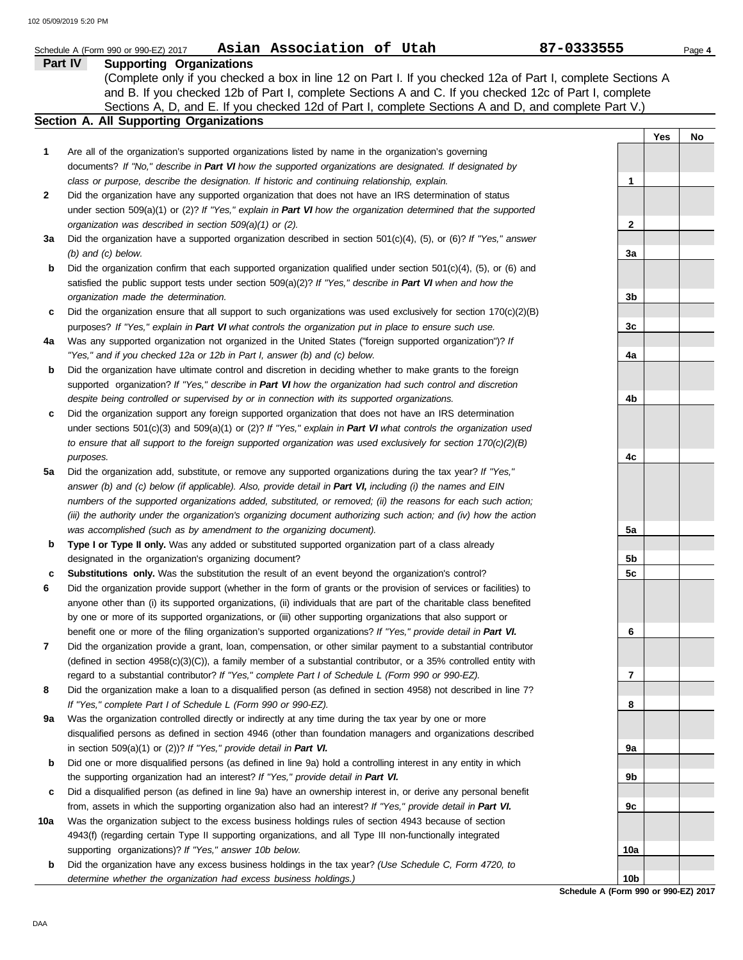|         | Asian Association of Utah<br>Schedule A (Form 990 or 990-EZ) 2017                                                    | 87-0333555 | Page 4 |
|---------|----------------------------------------------------------------------------------------------------------------------|------------|--------|
| Part IV | <b>Supporting Organizations</b>                                                                                      |            |        |
|         | (Complete only if you checked a box in line 12 on Part I. If you checked 12a of Part I, complete Sections A          |            |        |
|         | and B. If you checked 12b of Part I, complete Sections A and C. If you checked 12c of Part I, complete               |            |        |
|         | Sections A, D, and E. If you checked 12d of Part I, complete Sections A and D, and complete Part V.)                 |            |        |
|         | <b>Section A. All Supporting Organizations</b>                                                                       |            |        |
|         |                                                                                                                      | Yes        | No     |
| 1       | Are all of the organization's supported organizations listed by name in the organization's governing                 |            |        |
|         | documents? If "No," describe in Part VI how the supported organizations are designated. If designated by             |            |        |
|         |                                                                                                                      |            |        |
|         | class or purpose, describe the designation. If historic and continuing relationship, explain.                        | 1          |        |
| 2       | Did the organization have any supported organization that does not have an IRS determination of status               |            |        |
|         | under section 509(a)(1) or (2)? If "Yes," explain in Part VI how the organization determined that the supported      |            |        |
|         | organization was described in section 509(a)(1) or (2).                                                              | 2          |        |
| За      | Did the organization have a supported organization described in section $501(c)(4)$ , (5), or (6)? If "Yes," answer  |            |        |
|         | $(b)$ and $(c)$ below.                                                                                               | За         |        |
| b       | Did the organization confirm that each supported organization qualified under section 501(c)(4), (5), or (6) and     |            |        |
|         | satisfied the public support tests under section 509(a)(2)? If "Yes," describe in Part VI when and how the           |            |        |
|         | organization made the determination.                                                                                 | 3b         |        |
| c       | Did the organization ensure that all support to such organizations was used exclusively for section $170(c)(2)(B)$   |            |        |
|         | purposes? If "Yes," explain in Part VI what controls the organization put in place to ensure such use.               | 3c         |        |
| 4a      | Was any supported organization not organized in the United States ("foreign supported organization")? If             |            |        |
|         | "Yes," and if you checked 12a or 12b in Part I, answer (b) and (c) below.                                            | 4a         |        |
| b       | Did the organization have ultimate control and discretion in deciding whether to make grants to the foreign          |            |        |
|         | supported organization? If "Yes," describe in Part VI how the organization had such control and discretion           |            |        |
|         | despite being controlled or supervised by or in connection with its supported organizations.                         | 4b         |        |
|         | Did the organization support any foreign supported organization that does not have an IRS determination              |            |        |
| c       |                                                                                                                      |            |        |
|         | under sections $501(c)(3)$ and $509(a)(1)$ or (2)? If "Yes," explain in Part VI what controls the organization used  |            |        |
|         | to ensure that all support to the foreign supported organization was used exclusively for section $170(c)(2)(B)$     |            |        |
|         | purposes.                                                                                                            | 4c         |        |
| 5a      | Did the organization add, substitute, or remove any supported organizations during the tax year? If "Yes,"           |            |        |
|         | answer (b) and (c) below (if applicable). Also, provide detail in Part VI, including (i) the names and EIN           |            |        |
|         | numbers of the supported organizations added, substituted, or removed; (ii) the reasons for each such action;        |            |        |
|         | (iii) the authority under the organization's organizing document authorizing such action; and (iv) how the action    |            |        |
|         | was accomplished (such as by amendment to the organizing document).                                                  | 5a         |        |
| b       | Type I or Type II only. Was any added or substituted supported organization part of a class already                  |            |        |
|         | designated in the organization's organizing document?                                                                | 5b         |        |
| c       | Substitutions only. Was the substitution the result of an event beyond the organization's control?                   | 5c         |        |
| 6       | Did the organization provide support (whether in the form of grants or the provision of services or facilities) to   |            |        |
|         | anyone other than (i) its supported organizations, (ii) individuals that are part of the charitable class benefited  |            |        |
|         | by one or more of its supported organizations, or (iii) other supporting organizations that also support or          |            |        |
|         | benefit one or more of the filing organization's supported organizations? If "Yes," provide detail in Part VI.       | 6          |        |
| 7       | Did the organization provide a grant, loan, compensation, or other similar payment to a substantial contributor      |            |        |
|         | (defined in section $4958(c)(3)(C)$ ), a family member of a substantial contributor, or a 35% controlled entity with |            |        |
|         | regard to a substantial contributor? If "Yes," complete Part I of Schedule L (Form 990 or 990-EZ).                   | 7          |        |
| 8       | Did the organization make a loan to a disqualified person (as defined in section 4958) not described in line 7?      |            |        |
|         | If "Yes," complete Part I of Schedule L (Form 990 or 990-EZ).                                                        | 8          |        |
|         |                                                                                                                      |            |        |
| 9а      | Was the organization controlled directly or indirectly at any time during the tax year by one or more                |            |        |
|         | disqualified persons as defined in section 4946 (other than foundation managers and organizations described          |            |        |
|         | in section $509(a)(1)$ or $(2)$ ? If "Yes," provide detail in Part VI.                                               | 9а         |        |
| b       | Did one or more disqualified persons (as defined in line 9a) hold a controlling interest in any entity in which      |            |        |
|         | the supporting organization had an interest? If "Yes," provide detail in Part VI.                                    | 9b         |        |
| c       | Did a disqualified person (as defined in line 9a) have an ownership interest in, or derive any personal benefit      |            |        |
|         | from, assets in which the supporting organization also had an interest? If "Yes," provide detail in Part VI.         | 9c         |        |
| 10a     | Was the organization subject to the excess business holdings rules of section 4943 because of section                |            |        |
|         | 4943(f) (regarding certain Type II supporting organizations, and all Type III non-functionally integrated            |            |        |
|         | supporting organizations)? If "Yes," answer 10b below.                                                               | 10a        |        |
| b       | Did the organization have any excess business holdings in the tax year? (Use Schedule C, Form 4720, to               |            |        |
|         | determine whether the organization had excess business holdings.)                                                    | 10b        |        |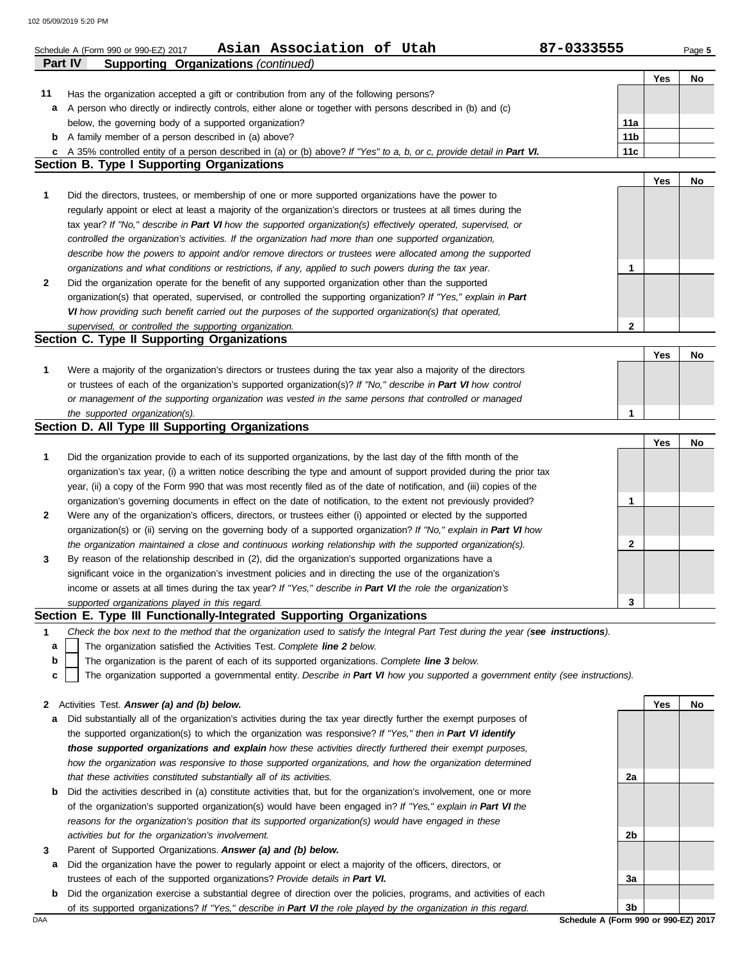102 05/09/2019 5:20 PM

|              | Asian Association of Utah<br>Schedule A (Form 990 or 990-EZ) 2017                                                                        | 87-0333555      |     | Page 5 |
|--------------|------------------------------------------------------------------------------------------------------------------------------------------|-----------------|-----|--------|
|              | <b>Part IV</b><br><b>Supporting Organizations (continued)</b>                                                                            |                 |     |        |
|              |                                                                                                                                          |                 | Yes | No     |
| 11           | Has the organization accepted a gift or contribution from any of the following persons?                                                  |                 |     |        |
| а            | A person who directly or indirectly controls, either alone or together with persons described in (b) and (c)                             |                 |     |        |
|              | below, the governing body of a supported organization?                                                                                   | 11a             |     |        |
| b            | A family member of a person described in (a) above?                                                                                      | 11 <sub>b</sub> |     |        |
|              | c A 35% controlled entity of a person described in (a) or (b) above? If "Yes" to a, b, or c, provide detail in Part VI.                  | 11c             |     |        |
|              | <b>Section B. Type I Supporting Organizations</b>                                                                                        |                 |     |        |
|              |                                                                                                                                          |                 | Yes | No     |
| 1            | Did the directors, trustees, or membership of one or more supported organizations have the power to                                      |                 |     |        |
|              | regularly appoint or elect at least a majority of the organization's directors or trustees at all times during the                       |                 |     |        |
|              | tax year? If "No," describe in Part VI how the supported organization(s) effectively operated, supervised, or                            |                 |     |        |
|              | controlled the organization's activities. If the organization had more than one supported organization,                                  |                 |     |        |
|              | describe how the powers to appoint and/or remove directors or trustees were allocated among the supported                                |                 |     |        |
|              | organizations and what conditions or restrictions, if any, applied to such powers during the tax year.                                   | 1               |     |        |
| 2            | Did the organization operate for the benefit of any supported organization other than the supported                                      |                 |     |        |
|              | organization(s) that operated, supervised, or controlled the supporting organization? If "Yes," explain in Part                          |                 |     |        |
|              | VI how providing such benefit carried out the purposes of the supported organization(s) that operated,                                   |                 |     |        |
|              | supervised, or controlled the supporting organization.                                                                                   | $\mathbf{2}$    |     |        |
|              | Section C. Type II Supporting Organizations                                                                                              |                 |     |        |
|              |                                                                                                                                          |                 | Yes | No     |
| 1            | Were a majority of the organization's directors or trustees during the tax year also a majority of the directors                         |                 |     |        |
|              | or trustees of each of the organization's supported organization(s)? If "No," describe in Part VI how control                            |                 |     |        |
|              | or management of the supporting organization was vested in the same persons that controlled or managed<br>the supported organization(s). | 1               |     |        |
|              | Section D. All Type III Supporting Organizations                                                                                         |                 |     |        |
|              |                                                                                                                                          |                 | Yes | No     |
| 1            | Did the organization provide to each of its supported organizations, by the last day of the fifth month of the                           |                 |     |        |
|              | organization's tax year, (i) a written notice describing the type and amount of support provided during the prior tax                    |                 |     |        |
|              | year, (ii) a copy of the Form 990 that was most recently filed as of the date of notification, and (iii) copies of the                   |                 |     |        |
|              | organization's governing documents in effect on the date of notification, to the extent not previously provided?                         | 1               |     |        |
| $\mathbf{2}$ | Were any of the organization's officers, directors, or trustees either (i) appointed or elected by the supported                         |                 |     |        |
|              | organization(s) or (ii) serving on the governing body of a supported organization? If "No," explain in Part VI how                       |                 |     |        |
|              | the organization maintained a close and continuous working relationship with the supported organization(s).                              | 2               |     |        |
| 3            | By reason of the relationship described in (2), did the organization's supported organizations have a                                    |                 |     |        |
|              | significant voice in the organization's investment policies and in directing the use of the organization's                               |                 |     |        |
|              | income or assets at all times during the tax year? If "Yes," describe in Part VI the role the organization's                             |                 |     |        |
|              | supported organizations played in this regard.                                                                                           | 3               |     |        |
|              | Section E. Type III Functionally-Integrated Supporting Organizations                                                                     |                 |     |        |
| 1            | Check the box next to the method that the organization used to satisfy the Integral Part Test during the year (see instructions).        |                 |     |        |
| a            | The organization satisfied the Activities Test. Complete line 2 below.                                                                   |                 |     |        |
| b            | The organization is the parent of each of its supported organizations. Complete line 3 below.                                            |                 |     |        |
| с            | The organization supported a governmental entity. Describe in Part VI how you supported a government entity (see instructions).          |                 |     |        |
|              |                                                                                                                                          |                 |     |        |
| 2            | Activities Test. Answer (a) and (b) below.                                                                                               |                 | Yes | No     |
| а            | Did substantially all of the organization's activities during the tax year directly further the exempt purposes of                       |                 |     |        |
|              | the supported organization(s) to which the organization was responsive? If "Yes," then in Part VI identify                               |                 |     |        |
|              | those supported organizations and explain how these activities directly furthered their exempt purposes,                                 |                 |     |        |
|              | how the organization was responsive to those supported organizations, and how the organization determined                                |                 |     |        |
|              | that these activities constituted substantially all of its activities.                                                                   | 2a              |     |        |
| b            | Did the activities described in (a) constitute activities that, but for the organization's involvement, one or more                      |                 |     |        |
|              | of the organization's supported organization(s) would have been engaged in? If "Yes," explain in Part VI the                             |                 |     |        |
|              | reasons for the organization's position that its supported organization(s) would have engaged in these                                   |                 |     |        |
|              | activities but for the organization's involvement.                                                                                       | 2b              |     |        |
| 3            | Parent of Supported Organizations. Answer (a) and (b) below.                                                                             |                 |     |        |
| а            | Did the organization have the power to regularly appoint or elect a majority of the officers, directors, or                              |                 |     |        |
|              | trustees of each of the supported organizations? Provide details in Part VI.                                                             | За              |     |        |
| b            | Did the organization exercise a substantial degree of direction over the policies, programs, and activities of each                      |                 |     |        |
|              | of its supported organizations? If "Yes," describe in Part VI the role played by the organization in this regard.                        | 3b              |     |        |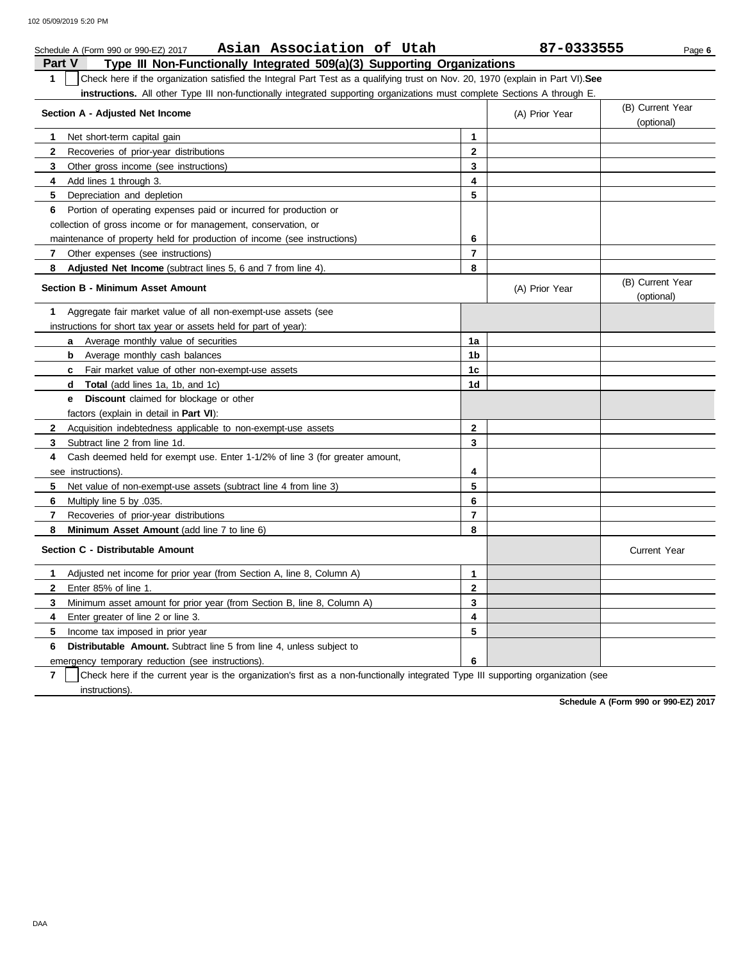|               | Asian Association of Utah<br>Schedule A (Form 990 or 990-EZ) 2017                                                                |                | 87-0333555     | Page 6                         |  |
|---------------|----------------------------------------------------------------------------------------------------------------------------------|----------------|----------------|--------------------------------|--|
| <b>Part V</b> | Type III Non-Functionally Integrated 509(a)(3) Supporting Organizations                                                          |                |                |                                |  |
| $\mathbf{1}$  | Check here if the organization satisfied the Integral Part Test as a qualifying trust on Nov. 20, 1970 (explain in Part VI). See |                |                |                                |  |
|               | instructions. All other Type III non-functionally integrated supporting organizations must complete Sections A through E.        |                |                |                                |  |
|               | Section A - Adjusted Net Income<br>(A) Prior Year                                                                                |                |                |                                |  |
|               |                                                                                                                                  |                |                | (optional)                     |  |
| 1             | Net short-term capital gain                                                                                                      | 1              |                |                                |  |
| $\mathbf{2}$  | Recoveries of prior-year distributions                                                                                           | $\mathbf{2}$   |                |                                |  |
| 3             | Other gross income (see instructions)                                                                                            | 3              |                |                                |  |
| 4             | Add lines 1 through 3.                                                                                                           | 4              |                |                                |  |
| 5             | Depreciation and depletion                                                                                                       | 5              |                |                                |  |
| 6             | Portion of operating expenses paid or incurred for production or                                                                 |                |                |                                |  |
|               | collection of gross income or for management, conservation, or                                                                   |                |                |                                |  |
|               | maintenance of property held for production of income (see instructions)                                                         | 6              |                |                                |  |
| 7             | Other expenses (see instructions)                                                                                                | 7              |                |                                |  |
| 8             | <b>Adjusted Net Income</b> (subtract lines 5, 6 and 7 from line 4).                                                              | 8              |                |                                |  |
|               | <b>Section B - Minimum Asset Amount</b>                                                                                          |                | (A) Prior Year | (B) Current Year<br>(optional) |  |
| 1             | Aggregate fair market value of all non-exempt-use assets (see                                                                    |                |                |                                |  |
|               | instructions for short tax year or assets held for part of year):                                                                |                |                |                                |  |
|               | Average monthly value of securities<br>a                                                                                         | 1a             |                |                                |  |
|               | Average monthly cash balances<br>b                                                                                               | 1b             |                |                                |  |
|               | <b>c</b> Fair market value of other non-exempt-use assets                                                                        | 1c             |                |                                |  |
|               | <b>d Total</b> (add lines 1a, 1b, and 1c)                                                                                        | 1d             |                |                                |  |
|               | Discount claimed for blockage or other<br>e –                                                                                    |                |                |                                |  |
|               | factors (explain in detail in <b>Part VI)</b> :                                                                                  |                |                |                                |  |
| $\mathbf{2}$  | Acquisition indebtedness applicable to non-exempt-use assets                                                                     | $\mathbf{2}$   |                |                                |  |
| 3             | Subtract line 2 from line 1d.                                                                                                    | 3              |                |                                |  |
| 4             | Cash deemed held for exempt use. Enter 1-1/2% of line 3 (for greater amount,                                                     |                |                |                                |  |
|               | see instructions).                                                                                                               | 4              |                |                                |  |
| 5             | Net value of non-exempt-use assets (subtract line 4 from line 3)                                                                 | 5              |                |                                |  |
| 6             | Multiply line 5 by .035.                                                                                                         | 6              |                |                                |  |
| $\mathbf{7}$  | Recoveries of prior-year distributions                                                                                           | $\overline{7}$ |                |                                |  |
| 8             | Minimum Asset Amount (add line 7 to line 6)                                                                                      | 8              |                |                                |  |
|               | Section C - Distributable Amount                                                                                                 |                |                | <b>Current Year</b>            |  |
| 1             | Adjusted net income for prior year (from Section A, line 8, Column A)                                                            | 1              |                |                                |  |
| $\mathbf{2}$  | Enter 85% of line 1.                                                                                                             | $\mathbf{2}$   |                |                                |  |
| 3             | Minimum asset amount for prior year (from Section B, line 8, Column A)                                                           | 3              |                |                                |  |
| 4             | Enter greater of line 2 or line 3.                                                                                               | 4              |                |                                |  |
| 5             | Income tax imposed in prior year                                                                                                 | 5              |                |                                |  |
| 6             | <b>Distributable Amount.</b> Subtract line 5 from line 4, unless subject to                                                      |                |                |                                |  |
|               | emergency temporary reduction (see instructions).                                                                                | 6              |                |                                |  |

**7** instructions). Check here if the current year is the organization's first as a non-functionally integrated Type III supporting organization (see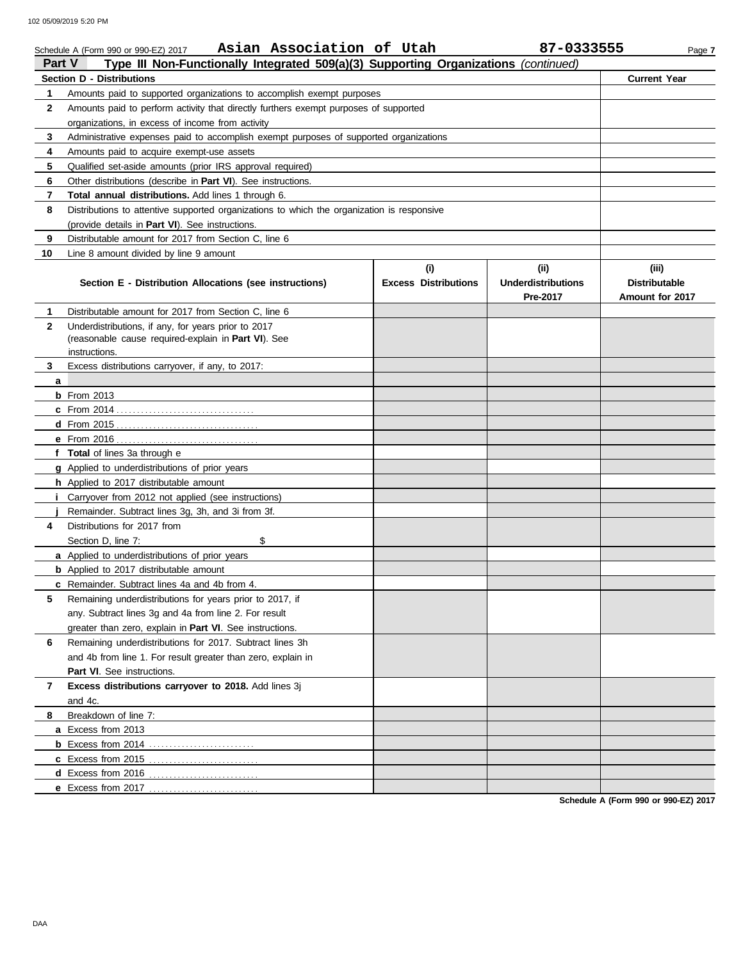102 05/09/2019 5:20 PM

|               | Asian Association of Utah<br>Schedule A (Form 990 or 990-EZ) 2017                          |                                    | 87-0333555                                   | Page 7                                           |
|---------------|--------------------------------------------------------------------------------------------|------------------------------------|----------------------------------------------|--------------------------------------------------|
| <b>Part V</b> | Type III Non-Functionally Integrated 509(a)(3) Supporting Organizations (continued)        |                                    |                                              |                                                  |
|               | Section D - Distributions                                                                  |                                    |                                              | <b>Current Year</b>                              |
| 1.            | Amounts paid to supported organizations to accomplish exempt purposes                      |                                    |                                              |                                                  |
| $\mathbf{2}$  | Amounts paid to perform activity that directly furthers exempt purposes of supported       |                                    |                                              |                                                  |
|               | organizations, in excess of income from activity                                           |                                    |                                              |                                                  |
| 3             | Administrative expenses paid to accomplish exempt purposes of supported organizations      |                                    |                                              |                                                  |
| 4             | Amounts paid to acquire exempt-use assets                                                  |                                    |                                              |                                                  |
| 5             | Qualified set-aside amounts (prior IRS approval required)                                  |                                    |                                              |                                                  |
| 6             | Other distributions (describe in <b>Part VI</b> ). See instructions.                       |                                    |                                              |                                                  |
| 7             | Total annual distributions. Add lines 1 through 6.                                         |                                    |                                              |                                                  |
| 8             | Distributions to attentive supported organizations to which the organization is responsive |                                    |                                              |                                                  |
|               | (provide details in <b>Part VI</b> ). See instructions.                                    |                                    |                                              |                                                  |
| 9             | Distributable amount for 2017 from Section C, line 6                                       |                                    |                                              |                                                  |
| 10            | Line 8 amount divided by line 9 amount                                                     |                                    |                                              |                                                  |
|               | Section E - Distribution Allocations (see instructions)                                    | (i)<br><b>Excess Distributions</b> | (i)<br><b>Underdistributions</b><br>Pre-2017 | (iii)<br><b>Distributable</b><br>Amount for 2017 |
| 1.            | Distributable amount for 2017 from Section C, line 6                                       |                                    |                                              |                                                  |
| $\mathbf{2}$  | Underdistributions, if any, for years prior to 2017                                        |                                    |                                              |                                                  |
|               | (reasonable cause required-explain in Part VI). See                                        |                                    |                                              |                                                  |
|               | instructions.                                                                              |                                    |                                              |                                                  |
| 3             | Excess distributions carryover, if any, to 2017:                                           |                                    |                                              |                                                  |
| a             |                                                                                            |                                    |                                              |                                                  |
|               | $b$ From 2013                                                                              |                                    |                                              |                                                  |
|               |                                                                                            |                                    |                                              |                                                  |
|               |                                                                                            |                                    |                                              |                                                  |
|               |                                                                                            |                                    |                                              |                                                  |
|               | f Total of lines 3a through e                                                              |                                    |                                              |                                                  |
|               | g Applied to underdistributions of prior years                                             |                                    |                                              |                                                  |
|               | h Applied to 2017 distributable amount                                                     |                                    |                                              |                                                  |
|               | <i>i</i> Carryover from 2012 not applied (see instructions)                                |                                    |                                              |                                                  |
|               | Remainder. Subtract lines 3g, 3h, and 3i from 3f.                                          |                                    |                                              |                                                  |
| 4             | Distributions for 2017 from                                                                |                                    |                                              |                                                  |
|               | \$<br>Section D, line 7:                                                                   |                                    |                                              |                                                  |
|               | a Applied to underdistributions of prior years                                             |                                    |                                              |                                                  |
|               | <b>b</b> Applied to 2017 distributable amount                                              |                                    |                                              |                                                  |
|               | <b>c</b> Remainder. Subtract lines 4a and 4b from 4.                                       |                                    |                                              |                                                  |
| 5             | Remaining underdistributions for years prior to 2017, if                                   |                                    |                                              |                                                  |
|               | any. Subtract lines 3q and 4a from line 2. For result                                      |                                    |                                              |                                                  |
|               | greater than zero, explain in Part VI. See instructions.                                   |                                    |                                              |                                                  |
| 6             | Remaining underdistributions for 2017. Subtract lines 3h                                   |                                    |                                              |                                                  |
|               | and 4b from line 1. For result greater than zero, explain in                               |                                    |                                              |                                                  |
|               | Part VI. See instructions.                                                                 |                                    |                                              |                                                  |
| 7             | Excess distributions carryover to 2018. Add lines 3j                                       |                                    |                                              |                                                  |
|               | and 4c.                                                                                    |                                    |                                              |                                                  |
| 8             | Breakdown of line 7:                                                                       |                                    |                                              |                                                  |
|               | a Excess from 2013                                                                         |                                    |                                              |                                                  |
|               |                                                                                            |                                    |                                              |                                                  |
|               |                                                                                            |                                    |                                              |                                                  |
|               |                                                                                            |                                    |                                              |                                                  |
|               |                                                                                            |                                    |                                              |                                                  |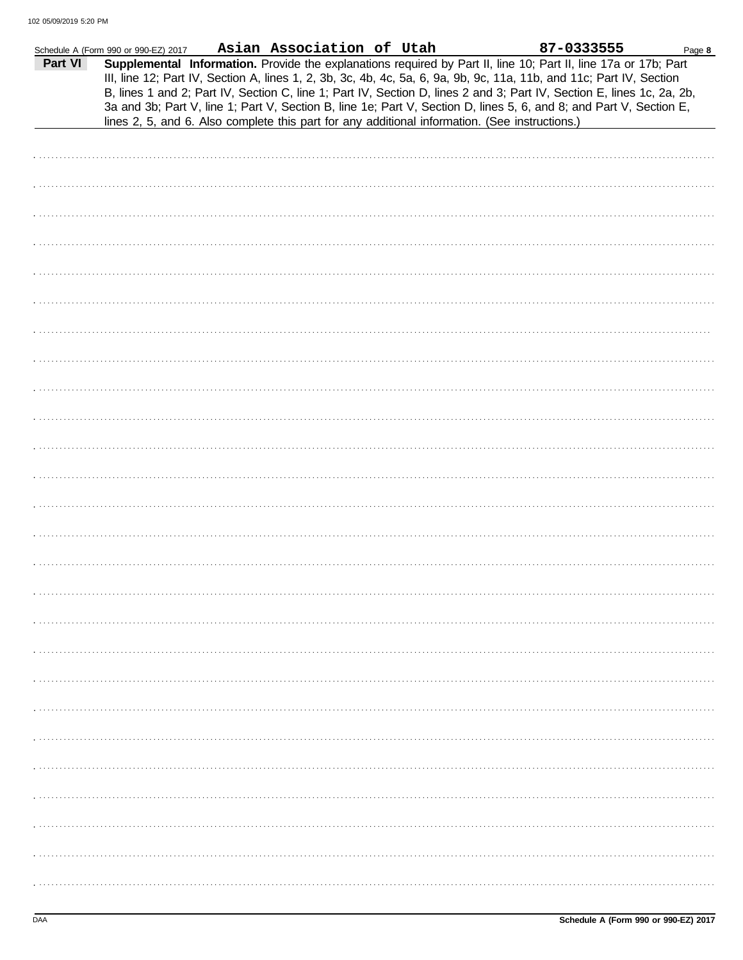|         | Schedule A (Form 990 or 990-EZ) 2017 | Asian Association of Utah | 87-0333555                                                                                                                                                                                                                                                                                                                                                                                                                                                                               | Page 8 |
|---------|--------------------------------------|---------------------------|------------------------------------------------------------------------------------------------------------------------------------------------------------------------------------------------------------------------------------------------------------------------------------------------------------------------------------------------------------------------------------------------------------------------------------------------------------------------------------------|--------|
| Part VI |                                      |                           | Supplemental Information. Provide the explanations required by Part II, line 10; Part II, line 17a or 17b; Part<br>III, line 12; Part IV, Section A, lines 1, 2, 3b, 3c, 4b, 4c, 5a, 6, 9a, 9b, 9c, 11a, 11b, and 11c; Part IV, Section<br>B, lines 1 and 2; Part IV, Section C, line 1; Part IV, Section D, lines 2 and 3; Part IV, Section E, lines 1c, 2a, 2b,<br>3a and 3b; Part V, line 1; Part V, Section B, line 1e; Part V, Section D, lines 5, 6, and 8; and Part V, Section E, |        |
|         |                                      |                           | lines 2, 5, and 6. Also complete this part for any additional information. (See instructions.)                                                                                                                                                                                                                                                                                                                                                                                           |        |
|         |                                      |                           |                                                                                                                                                                                                                                                                                                                                                                                                                                                                                          |        |
|         |                                      |                           |                                                                                                                                                                                                                                                                                                                                                                                                                                                                                          |        |
|         |                                      |                           |                                                                                                                                                                                                                                                                                                                                                                                                                                                                                          |        |
|         |                                      |                           |                                                                                                                                                                                                                                                                                                                                                                                                                                                                                          |        |
|         |                                      |                           |                                                                                                                                                                                                                                                                                                                                                                                                                                                                                          |        |
|         |                                      |                           |                                                                                                                                                                                                                                                                                                                                                                                                                                                                                          |        |
|         |                                      |                           |                                                                                                                                                                                                                                                                                                                                                                                                                                                                                          |        |
|         |                                      |                           |                                                                                                                                                                                                                                                                                                                                                                                                                                                                                          |        |
|         |                                      |                           |                                                                                                                                                                                                                                                                                                                                                                                                                                                                                          |        |
|         |                                      |                           |                                                                                                                                                                                                                                                                                                                                                                                                                                                                                          |        |
|         |                                      |                           |                                                                                                                                                                                                                                                                                                                                                                                                                                                                                          |        |
|         |                                      |                           |                                                                                                                                                                                                                                                                                                                                                                                                                                                                                          |        |
|         |                                      |                           |                                                                                                                                                                                                                                                                                                                                                                                                                                                                                          |        |
|         |                                      |                           |                                                                                                                                                                                                                                                                                                                                                                                                                                                                                          |        |
|         |                                      |                           |                                                                                                                                                                                                                                                                                                                                                                                                                                                                                          |        |
|         |                                      |                           |                                                                                                                                                                                                                                                                                                                                                                                                                                                                                          |        |
|         |                                      |                           |                                                                                                                                                                                                                                                                                                                                                                                                                                                                                          |        |
|         |                                      |                           |                                                                                                                                                                                                                                                                                                                                                                                                                                                                                          |        |
|         |                                      |                           |                                                                                                                                                                                                                                                                                                                                                                                                                                                                                          |        |
|         |                                      |                           |                                                                                                                                                                                                                                                                                                                                                                                                                                                                                          |        |
|         |                                      |                           |                                                                                                                                                                                                                                                                                                                                                                                                                                                                                          |        |
|         |                                      |                           |                                                                                                                                                                                                                                                                                                                                                                                                                                                                                          |        |
|         |                                      |                           |                                                                                                                                                                                                                                                                                                                                                                                                                                                                                          |        |
|         |                                      |                           |                                                                                                                                                                                                                                                                                                                                                                                                                                                                                          |        |
|         |                                      |                           |                                                                                                                                                                                                                                                                                                                                                                                                                                                                                          |        |
|         |                                      |                           |                                                                                                                                                                                                                                                                                                                                                                                                                                                                                          |        |
|         |                                      |                           |                                                                                                                                                                                                                                                                                                                                                                                                                                                                                          |        |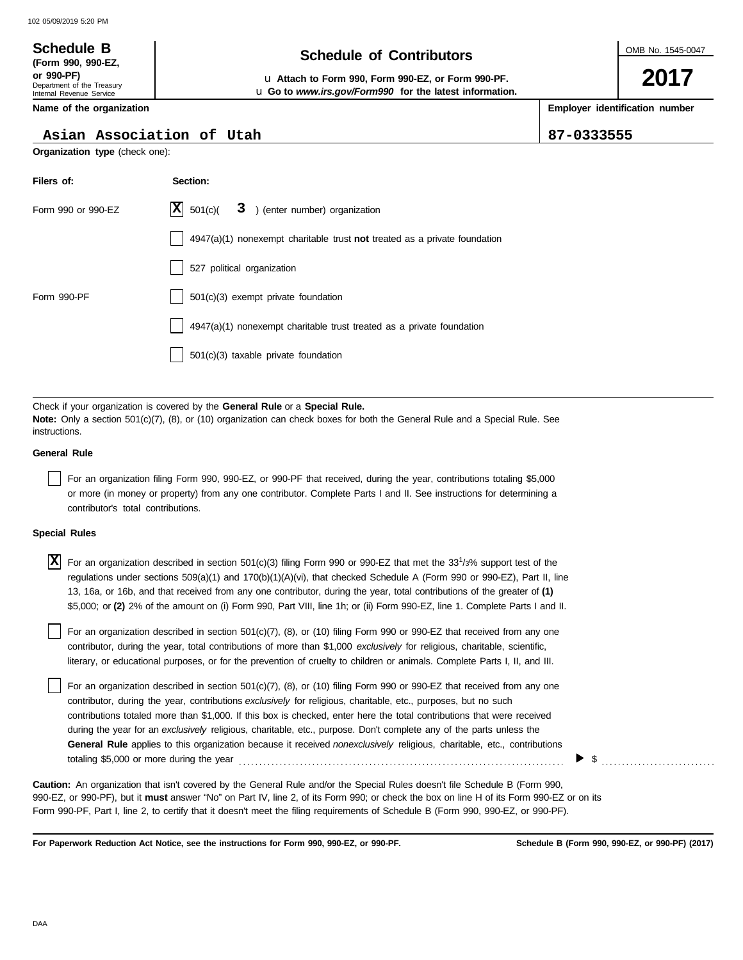#### OMB No. 1545-0047 Department of the Treasury Internal Revenue Service **Name of the organization 2017 Schedule of Contributors Schedule B (Form 990, 990-EZ, or 990-PF)** u **Attach to Form 990, Form 990-EZ, or Form 990-PF. Employer identification number** u **Go to** *www.irs.gov/Form990* **for the latest information. Asian Association of Utah 87-0333555**

**Organization type** (check one):

| Filers of:         | Section:                                                                  |
|--------------------|---------------------------------------------------------------------------|
| Form 990 or 990-EZ | $ \mathbf{X} $ 501(c)( 3) (enter number) organization                     |
|                    | 4947(a)(1) nonexempt charitable trust not treated as a private foundation |
|                    | 527 political organization                                                |
| Form 990-PF        | 501(c)(3) exempt private foundation                                       |
|                    | $4947(a)(1)$ nonexempt charitable trust treated as a private foundation   |
|                    | 501(c)(3) taxable private foundation                                      |

Check if your organization is covered by the **General Rule** or a **Special Rule. Note:** Only a section 501(c)(7), (8), or (10) organization can check boxes for both the General Rule and a Special Rule. See instructions.

#### **General Rule**

For an organization filing Form 990, 990-EZ, or 990-PF that received, during the year, contributions totaling \$5,000 or more (in money or property) from any one contributor. Complete Parts I and II. See instructions for determining a contributor's total contributions.

#### **Special Rules**

| $\overline{X}$ For an organization described in section 501(c)(3) filing Form 990 or 990-EZ that met the 33 <sup>1</sup> /3% support test of the |
|--------------------------------------------------------------------------------------------------------------------------------------------------|
| regulations under sections $509(a)(1)$ and $170(b)(1)(A)(vi)$ , that checked Schedule A (Form 990 or 990-EZ), Part II, line                      |
| 13, 16a, or 16b, and that received from any one contributor, during the year, total contributions of the greater of (1)                          |
| \$5,000; or (2) 2% of the amount on (i) Form 990, Part VIII, line 1h; or (ii) Form 990-EZ, line 1. Complete Parts I and II.                      |

literary, or educational purposes, or for the prevention of cruelty to children or animals. Complete Parts I, II, and III. For an organization described in section 501(c)(7), (8), or (10) filing Form 990 or 990-EZ that received from any one contributor, during the year, total contributions of more than \$1,000 *exclusively* for religious, charitable, scientific,

For an organization described in section 501(c)(7), (8), or (10) filing Form 990 or 990-EZ that received from any one contributor, during the year, contributions *exclusively* for religious, charitable, etc., purposes, but no such contributions totaled more than \$1,000. If this box is checked, enter here the total contributions that were received during the year for an *exclusively* religious, charitable, etc., purpose. Don't complete any of the parts unless the **General Rule** applies to this organization because it received *nonexclusively* religious, charitable, etc., contributions totaling \$5,000 or more during the year . . . . . . . . . . . . . . . . . . . . . . . . . . . . . . . . . . . . . . . . . . . . . . . . . . . . . . . . . . . . . . . . . . . . . . . . . . . . . . . .

990-EZ, or 990-PF), but it **must** answer "No" on Part IV, line 2, of its Form 990; or check the box on line H of its Form 990-EZ or on its Form 990-PF, Part I, line 2, to certify that it doesn't meet the filing requirements of Schedule B (Form 990, 990-EZ, or 990-PF). **Caution:** An organization that isn't covered by the General Rule and/or the Special Rules doesn't file Schedule B (Form 990,

**For Paperwork Reduction Act Notice, see the instructions for Form 990, 990-EZ, or 990-PF.**

\$ . . . . . . . . . . . . . . . . . . . . . . . . . . . .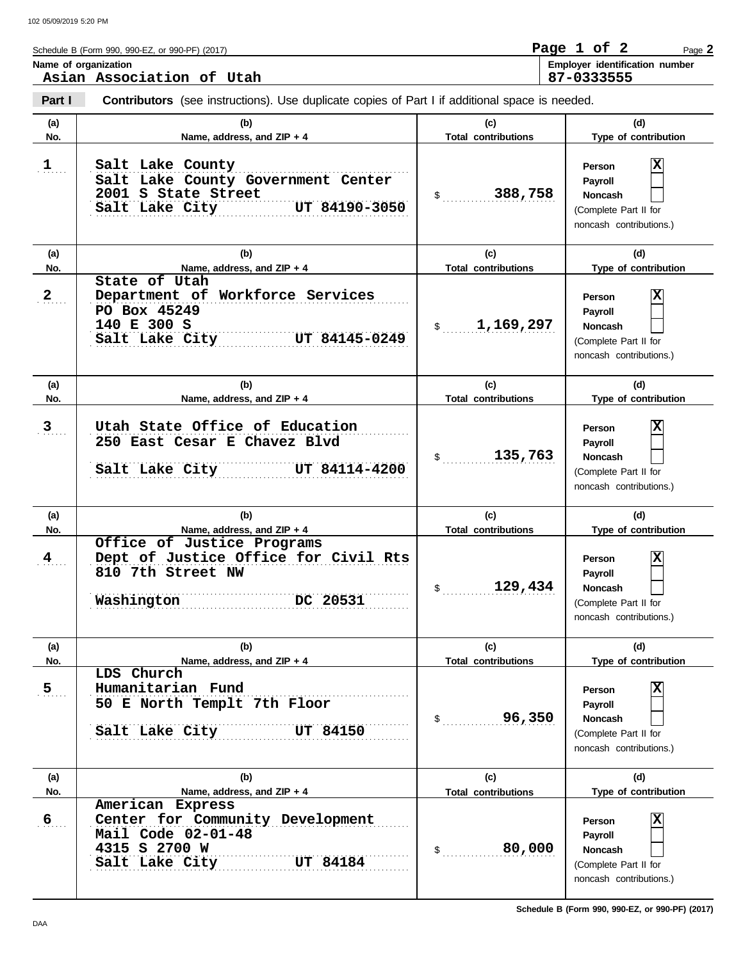**Part I Type of contribution Person Payroll Noncash (a) (b) (c) (d) No. Name, address, and ZIP + 4 Type of contribution Person Payroll Noncash (a) (b) (c) (d)** No. Name, address, and ZIP + 4 **Total contributions** Type of contribution **Person Payroll Noncash (a) (b) (c) (d)** No. Name, address, and ZIP + 4 **Total contributions** Type of contribution **Person Payroll Noncash** Schedule B (Form 990, 990-EZ, or 990-PF) (2017) \$ . . . . . . . . . . . . . . . . . . . . . . . . . . . . **388,758** (Complete Part II for noncash contributions.) \$ . . . . . . . . . . . . . . . . . . . . . . . . . . . . **1,169,297** (Complete Part II for noncash contributions.) \$ . . . . . . . . . . . . . . . . . . . . . . . . . . . . (Complete Part II for noncash contributions.) \$ . . . . . . . . . . . . . . . . . . . . . . . . . . . . **129,434** (Complete Part II for noncash contributions.)  $\frac{1}{2}$ (Complete Part II for noncash contributions.) \$ . . . . . . . . . . . . . . . . . . . . . . . . . . . . **80,000** (Complete Part II for noncash contributions.) **Contributors** (see instructions). Use duplicate copies of Part I if additional space is needed. **(a) (b) (c) (d) No. Name, address, and ZIP + 4 Total contributions Type of contribution Person Payroll Noncash (a) (b) (c) (d) No. Name, address, and ZIP + 4 Type of contribution Person Payroll Noncash (a) (b) (c) (d) No. Name, address, and ZIP + 4 Name of organization Employer identification number**  $1$ .... . **2**  $3<sub>l</sub>$ . . . . . . . **4** . . . . . . . **5** . 6<sub>. . . .</sub> . . . . . . . . . . . . . . . . . . . . . . . . . . . . . . . . . . . . . . . . . . . . . . . . . . . . . . . . . . . . . . . . . . . . . . . . . . . . . . . . . . . . . . . . . . . . . . . . . . . . . . . . . . . . . . . . . . . . . . . . . . . . . . . . . . . . . . . . . . . . . . . . . . . . . . . . . . . . **Salt Lake City UT 84184 Center for Community Development** . . . . . . . . . . . . . . . . . . . . . . . . . . . . . . . . . . . . . . . . . . . . . . . . . . . . . . . . . . . . . . . . . . . . . . . . . . . . . . **Humanitarian Fund** . . . . . . . . . . . . . . . . . . . . . . . . . . . . . . . . . . . . . . . . . . . . . . . . . . . . . . . . . . . . . . . . . . . . . . . . . . . . . . . . . . . . . . . . . . . . . . . . . . . . . . . . . . . . . . . . . . . . . . . . . . . . . . . . . . . . . . . . . . . . . . . . . . . . . . . . . . . . **Salt Lake City UT 84150** . . . . . . . . . . . . . . . . . . . . . . . . . . . . . . . . . . . . . . . . . . . . . . . . . . . . . . . . . . . . . . . . . . . . . . . . . . . . . . . . . . . . . . . . . . . . . . . . . . . . . . . . . . . . . . . . . . . . . . . . . . . . . . . . . . . . . . . . . . . . . . . . . . . . . . . . . . . . Dept of Justice Office for Civil Rts 3 **Utah State Office of Education** . . . . . . . . . . . . . . . . . . . . . . . . . . . . . . . . . . . . . . . . . . . . . . . . . . . . . . . . . . . . . . . . . . . . . . . . . . . . . . . . . . . . . . . . . . . . . . . . . . . . . . . . . . . . . . . . . . . . . . . . . . . . . . . . . . . . . . . . . . . . . . . . . . . . . . . . . . . . **Salt Lake City UT 84114-4200** . . . . . . . . . . . . . . . . . . . . . . . . . . . . . . . . . . . . . . . . . . . . . . . . . . . . . . . . . . . . . . . . . . . . . . . . . . . . . . **Salt Lake City UT 84145-0249** UT 84145-0249 **Department of Workforce Services** . . . . . . . . . . . . . . . . . . . . . . . . . . . . . . . . . . . . . . . . . . . . . . . . . . . . . . . . . . . . . . . . . . . . . . . . . . . . . . **1 Salt Lake County** . . . . . . . . . . . . . . . . . . . . . . . . . . . . . . . . . . . . . . . . . . . . . . . . . . . . . . . . . . . . . . . . . . . . . . . . . . . . . . **2001 S State Street** . . . . . . . . . . . . . . . . . . . . . . . . . . . . . . . . . . . . . . . . . . . . . . . . . . . . . . . . . . . . . . . . . . . . . . . . . . . . . . **Salt Lake City UT 84190-3050 Total contributions Total contributions Total contributions Total contributions Total contributions** Page **2 Asian Association of Utah Page 1 of 2 87-0333555 Salt Lake County Government Center X State of Utah PO Box 45249 140 E 300 S X 250 East Cesar E Chavez Blvd 135,763 X Office of Justice Programs 810 7th Street NW Washington DC 20531 X LDS Church 50 E North Templt 7th Floor 96,350 X American Express Mail Code 02-01-48 4315 S 2700 W X**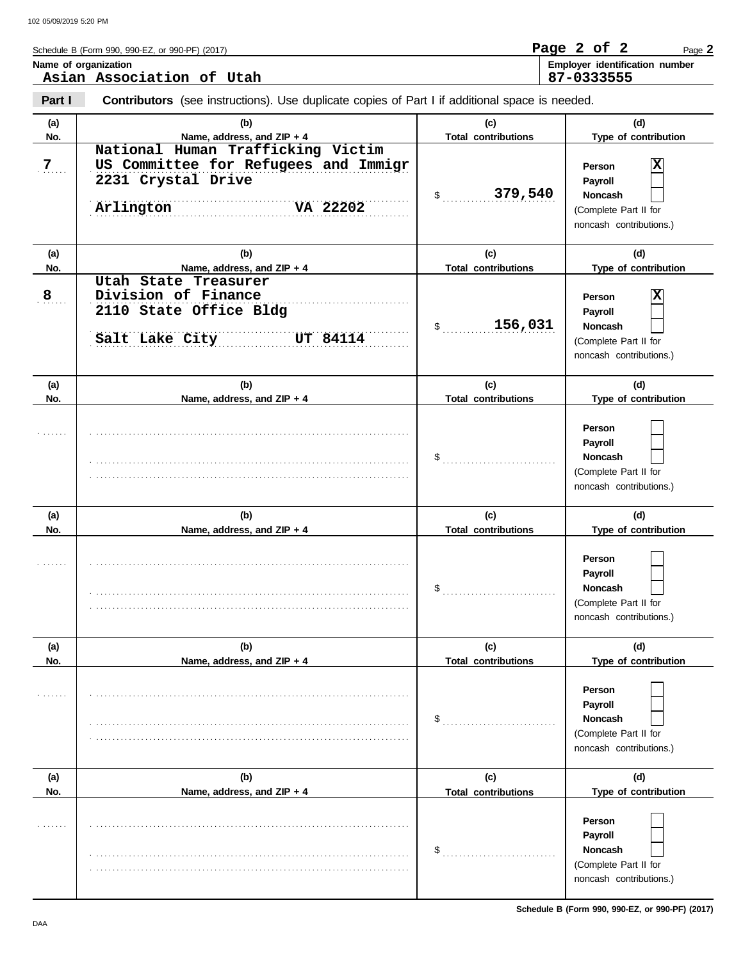|                | Name of organization                                                                                                     |                                                                  | Employer identification number                                                                 |
|----------------|--------------------------------------------------------------------------------------------------------------------------|------------------------------------------------------------------|------------------------------------------------------------------------------------------------|
|                | Asian Association of Utah                                                                                                |                                                                  | 87-0333555                                                                                     |
| Part I         | <b>Contributors</b> (see instructions). Use duplicate copies of Part I if additional space is needed.                    |                                                                  |                                                                                                |
| (a)            | (b)                                                                                                                      | (c)                                                              | (d)                                                                                            |
| No.            | Name, address, and ZIP + 4                                                                                               | <b>Total contributions</b>                                       | Type of contribution                                                                           |
| $\overline{Z}$ | National Human Trafficking Victim<br>US Committee for Refugees and Immigr<br>2231 Crystal Drive<br>Arlington<br>VA 22202 | \$379,540                                                        | Person<br>Payroll<br><b>Noncash</b><br>(Complete Part II for<br>noncash contributions.)        |
| (a)            | (b)                                                                                                                      | (c)                                                              | (d)                                                                                            |
| No.            | Name, address, and ZIP + 4                                                                                               | <b>Total contributions</b>                                       | Type of contribution                                                                           |
| 8              | Utah State Treasurer<br>Division of Finance<br>2110 State Office Bldg<br>Salt Lake City UT 84114                         | \$156,031                                                        | Person<br>Payroll<br><b>Noncash</b><br>(Complete Part II for<br>noncash contributions.)        |
|                |                                                                                                                          |                                                                  |                                                                                                |
| (a)<br>No.     | (b)<br>Name, address, and ZIP + 4                                                                                        | (c)<br><b>Total contributions</b>                                | (d)<br>Type of contribution                                                                    |
|                |                                                                                                                          | $\$\ldots\ldots\ldots\ldots\ldots\ldots\ldots\ldots\ldots\ldots$ | Person<br>Payroll<br>Noncash<br>(Complete Part II for<br>noncash contributions.)               |
| (a)            | (b)                                                                                                                      | (c)                                                              | (d)                                                                                            |
| No.            | Name, address, and ZIP + 4                                                                                               | <b>Total contributions</b>                                       | Type of contribution                                                                           |
| .              |                                                                                                                          | \$                                                               | Person<br><b>Payroll</b><br><b>Noncash</b><br>(Complete Part II for<br>noncash contributions.) |
| (a)            | (b)                                                                                                                      | (c)                                                              | (d)                                                                                            |
| No.            | Name, address, and ZIP + 4                                                                                               | <b>Total contributions</b>                                       | Type of contribution                                                                           |
|                |                                                                                                                          | \$                                                               | Person<br>Payroll<br>Noncash<br>(Complete Part II for<br>noncash contributions.)               |
| (a)            | (b)                                                                                                                      | (c)                                                              | (d)                                                                                            |
| No.            | Name, address, and ZIP + 4                                                                                               | <b>Total contributions</b>                                       | Type of contribution                                                                           |
|                |                                                                                                                          | \$                                                               | Person<br>Payroll<br>Noncash                                                                   |
|                |                                                                                                                          |                                                                  | (Complete Part II for<br>noncash contributions.)                                               |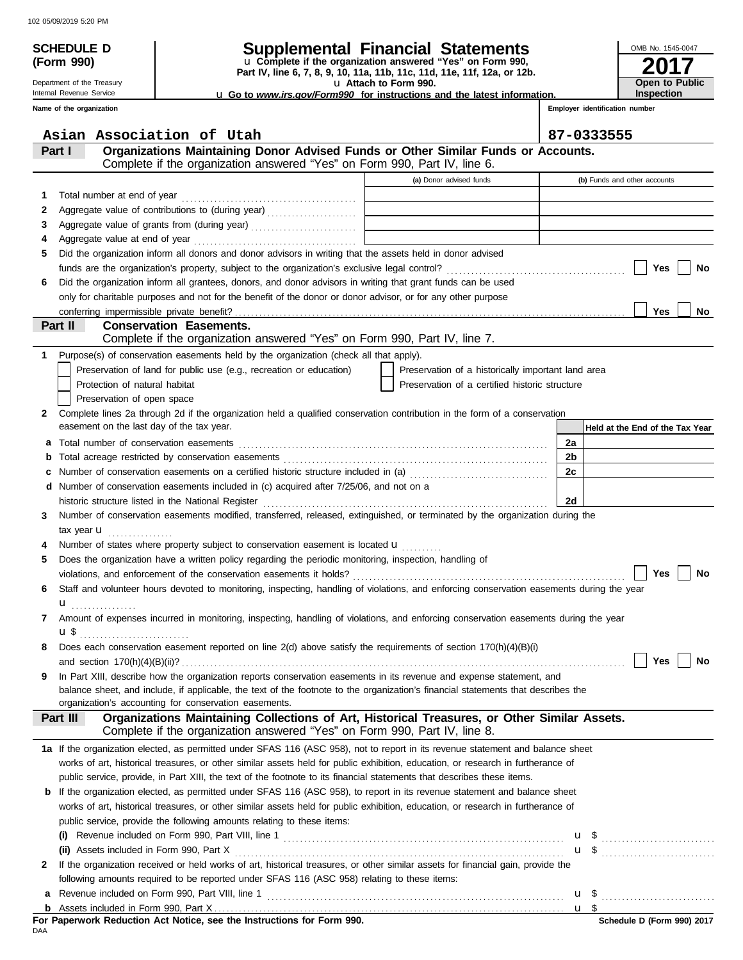**(Form 990)**

Department of the Treasury Internal Revenue Service **Name of the organization**

## **SCHEDULE D Supplemental Financial Statements**

**Part IV, line 6, 7, 8, 9, 10, 11a, 11b, 11c, 11d, 11e, 11f, 12a, or 12b.** u **Complete if the organization answered "Yes" on Form 990,**

u **Attach to Form 990.**  u **Go to** *www.irs.gov/Form990* **for instructions and the latest information.**

| OMB No. 1545-0047     |
|-----------------------|
| 201                   |
|                       |
| <b>Open to Public</b> |
| Inspection            |

 $\mathbf{I}$ 

**Employer identification number**

|              | Asian Association of Utah                                                                                                                                                                                                    |                                                                                           | 87-0333555                      |
|--------------|------------------------------------------------------------------------------------------------------------------------------------------------------------------------------------------------------------------------------|-------------------------------------------------------------------------------------------|---------------------------------|
|              | Organizations Maintaining Donor Advised Funds or Other Similar Funds or Accounts.<br>Part I                                                                                                                                  |                                                                                           |                                 |
|              | Complete if the organization answered "Yes" on Form 990, Part IV, line 6.                                                                                                                                                    |                                                                                           |                                 |
|              |                                                                                                                                                                                                                              | (a) Donor advised funds                                                                   | (b) Funds and other accounts    |
| 1.           |                                                                                                                                                                                                                              |                                                                                           |                                 |
|              | Aggregate value of contributions to (during year) [10] Aggregate value of contributions to (during year)                                                                                                                     | the control of the control of the control                                                 |                                 |
| 2            |                                                                                                                                                                                                                              | the control of the control of the control of the control of the control of the control of |                                 |
| 3<br>4       |                                                                                                                                                                                                                              | the control of the control of the control of the control of the control of                |                                 |
|              | Did the organization inform all donors and donor advisors in writing that the assets held in donor advised                                                                                                                   |                                                                                           |                                 |
| 5            |                                                                                                                                                                                                                              |                                                                                           |                                 |
|              |                                                                                                                                                                                                                              |                                                                                           | Yes<br>No                       |
| 6            | Did the organization inform all grantees, donors, and donor advisors in writing that grant funds can be used<br>only for charitable purposes and not for the benefit of the donor or donor advisor, or for any other purpose |                                                                                           |                                 |
|              |                                                                                                                                                                                                                              |                                                                                           | <b>Yes</b><br>No                |
|              | Part II<br><b>Conservation Easements.</b>                                                                                                                                                                                    |                                                                                           |                                 |
|              | Complete if the organization answered "Yes" on Form 990, Part IV, line 7.                                                                                                                                                    |                                                                                           |                                 |
| 1            | Purpose(s) of conservation easements held by the organization (check all that apply).                                                                                                                                        |                                                                                           |                                 |
|              | Preservation of land for public use (e.g., recreation or education)                                                                                                                                                          | Preservation of a historically important land area                                        |                                 |
|              | Protection of natural habitat                                                                                                                                                                                                | Preservation of a certified historic structure                                            |                                 |
|              | Preservation of open space                                                                                                                                                                                                   |                                                                                           |                                 |
| $\mathbf{2}$ | Complete lines 2a through 2d if the organization held a qualified conservation contribution in the form of a conservation                                                                                                    |                                                                                           |                                 |
|              | easement on the last day of the tax year.                                                                                                                                                                                    |                                                                                           | Held at the End of the Tax Year |
| а            |                                                                                                                                                                                                                              |                                                                                           | 2a                              |
| b            |                                                                                                                                                                                                                              |                                                                                           | 2b                              |
| с            | Number of conservation easements on a certified historic structure included in (a) [11] Number of conservation easements on a certified historic structure included in (a)                                                   |                                                                                           | 2c                              |
| d            | Number of conservation easements included in (c) acquired after 7/25/06, and not on a                                                                                                                                        |                                                                                           |                                 |
|              |                                                                                                                                                                                                                              |                                                                                           | 2d                              |
| 3            | Number of conservation easements modified, transferred, released, extinguished, or terminated by the organization during the                                                                                                 |                                                                                           |                                 |
|              | tax year $\mathbf u$                                                                                                                                                                                                         |                                                                                           |                                 |
| 4            | Number of states where property subject to conservation easement is located <b>u</b>                                                                                                                                         |                                                                                           |                                 |
| 5            | Does the organization have a written policy regarding the periodic monitoring, inspection, handling of                                                                                                                       |                                                                                           |                                 |
|              |                                                                                                                                                                                                                              |                                                                                           | Yes<br><b>No</b>                |
| 6            | Staff and volunteer hours devoted to monitoring, inspecting, handling of violations, and enforcing conservation easements during the year                                                                                    |                                                                                           |                                 |
|              |                                                                                                                                                                                                                              |                                                                                           |                                 |
| 7            | Amount of expenses incurred in monitoring, inspecting, handling of violations, and enforcing conservation easements during the year                                                                                          |                                                                                           |                                 |
|              | <b>u</b> \$                                                                                                                                                                                                                  |                                                                                           |                                 |
| 8            | Does each conservation easement reported on line 2(d) above satisfy the requirements of section 170(h)(4)(B)(i)                                                                                                              |                                                                                           |                                 |
|              |                                                                                                                                                                                                                              |                                                                                           |                                 |
| 9            | In Part XIII, describe how the organization reports conservation easements in its revenue and expense statement, and                                                                                                         |                                                                                           |                                 |
|              | balance sheet, and include, if applicable, the text of the footnote to the organization's financial statements that describes the                                                                                            |                                                                                           |                                 |
|              | organization's accounting for conservation easements.                                                                                                                                                                        |                                                                                           |                                 |
|              | Organizations Maintaining Collections of Art, Historical Treasures, or Other Similar Assets.<br>Part III                                                                                                                     |                                                                                           |                                 |
|              | Complete if the organization answered "Yes" on Form 990, Part IV, line 8.                                                                                                                                                    |                                                                                           |                                 |
|              | 1a If the organization elected, as permitted under SFAS 116 (ASC 958), not to report in its revenue statement and balance sheet                                                                                              |                                                                                           |                                 |
|              | works of art, historical treasures, or other similar assets held for public exhibition, education, or research in furtherance of                                                                                             |                                                                                           |                                 |
|              | public service, provide, in Part XIII, the text of the footnote to its financial statements that describes these items.                                                                                                      |                                                                                           |                                 |
|              | <b>b</b> If the organization elected, as permitted under SFAS 116 (ASC 958), to report in its revenue statement and balance sheet                                                                                            |                                                                                           |                                 |
|              | works of art, historical treasures, or other similar assets held for public exhibition, education, or research in furtherance of                                                                                             |                                                                                           |                                 |
|              | public service, provide the following amounts relating to these items:                                                                                                                                                       |                                                                                           |                                 |
|              |                                                                                                                                                                                                                              |                                                                                           | $\mathbf{u}$ \$                 |
|              |                                                                                                                                                                                                                              |                                                                                           |                                 |
| $\mathbf{2}$ | If the organization received or held works of art, historical treasures, or other similar assets for financial gain, provide the                                                                                             |                                                                                           |                                 |
|              | following amounts required to be reported under SFAS 116 (ASC 958) relating to these items:                                                                                                                                  |                                                                                           |                                 |
| а            |                                                                                                                                                                                                                              |                                                                                           |                                 |
|              |                                                                                                                                                                                                                              |                                                                                           |                                 |

|     |  |  |  | For Paperwork Reduction Act Notice, see the Instructions for Form 990. |  |  |
|-----|--|--|--|------------------------------------------------------------------------|--|--|
| DAA |  |  |  |                                                                        |  |  |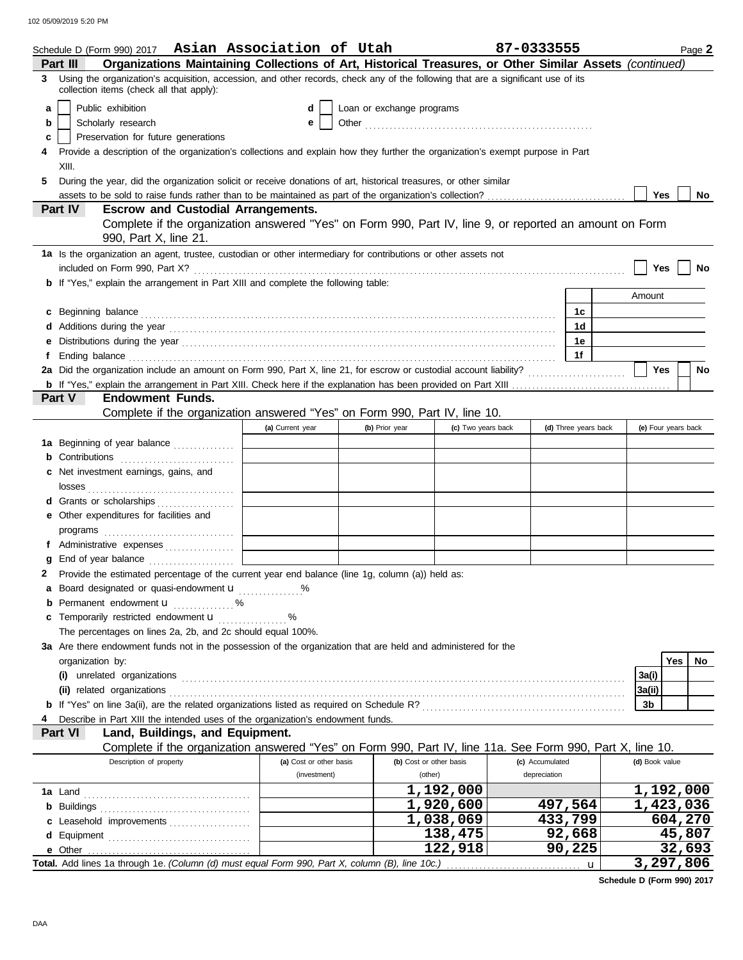|   | Schedule D (Form 990) 2017 Asian Association of Utah                                                                                                                                                                                |                                         |                           |                                    | 87-0333555                      |                      |                     |         | Page 2 |
|---|-------------------------------------------------------------------------------------------------------------------------------------------------------------------------------------------------------------------------------------|-----------------------------------------|---------------------------|------------------------------------|---------------------------------|----------------------|---------------------|---------|--------|
|   | Organizations Maintaining Collections of Art, Historical Treasures, or Other Similar Assets (continued)<br>Part III                                                                                                                 |                                         |                           |                                    |                                 |                      |                     |         |        |
| 3 | Using the organization's acquisition, accession, and other records, check any of the following that are a significant use of its<br>collection items (check all that apply):                                                        |                                         |                           |                                    |                                 |                      |                     |         |        |
| a | Public exhibition                                                                                                                                                                                                                   | d                                       | Loan or exchange programs |                                    |                                 |                      |                     |         |        |
| b | Scholarly research                                                                                                                                                                                                                  | е                                       |                           |                                    |                                 |                      |                     |         |        |
| c | Preservation for future generations                                                                                                                                                                                                 |                                         |                           |                                    |                                 |                      |                     |         |        |
|   | Provide a description of the organization's collections and explain how they further the organization's exempt purpose in Part                                                                                                      |                                         |                           |                                    |                                 |                      |                     |         |        |
|   | XIII.                                                                                                                                                                                                                               |                                         |                           |                                    |                                 |                      |                     |         |        |
| 5 | During the year, did the organization solicit or receive donations of art, historical treasures, or other similar                                                                                                                   |                                         |                           |                                    |                                 |                      |                     |         |        |
|   | assets to be sold to raise funds rather than to be maintained as part of the organization's collection?                                                                                                                             |                                         |                           |                                    |                                 |                      | Yes                 |         | No     |
|   | Part IV<br><b>Escrow and Custodial Arrangements.</b>                                                                                                                                                                                |                                         |                           |                                    |                                 |                      |                     |         |        |
|   | Complete if the organization answered "Yes" on Form 990, Part IV, line 9, or reported an amount on Form<br>990, Part X, line 21.                                                                                                    |                                         |                           |                                    |                                 |                      |                     |         |        |
|   | 1a Is the organization an agent, trustee, custodian or other intermediary for contributions or other assets not                                                                                                                     |                                         |                           |                                    |                                 |                      |                     |         |        |
|   |                                                                                                                                                                                                                                     |                                         |                           |                                    |                                 |                      | Yes                 |         | No     |
|   | <b>b</b> If "Yes," explain the arrangement in Part XIII and complete the following table:                                                                                                                                           |                                         |                           |                                    |                                 |                      |                     |         |        |
|   |                                                                                                                                                                                                                                     |                                         |                           |                                    |                                 |                      | Amount              |         |        |
| c |                                                                                                                                                                                                                                     |                                         |                           |                                    |                                 | 1c                   |                     |         |        |
|   | Additions during the year contained and according to the year contained and according the year contained and a                                                                                                                      |                                         |                           |                                    |                                 | 1d                   |                     |         |        |
|   |                                                                                                                                                                                                                                     |                                         |                           |                                    |                                 | 1е                   |                     |         |        |
| f | Ending balance <b>constructs</b> and constructs and constructs and constructs and constructs are constructed and constructs and constructs are constructed and constructs and constructs are constructed and construct and construc |                                         |                           |                                    |                                 | 1f                   |                     |         |        |
|   | 2a Did the organization include an amount on Form 990, Part X, line 21, for escrow or custodial account liability?                                                                                                                  |                                         |                           |                                    |                                 |                      | <b>Yes</b>          |         | No     |
|   |                                                                                                                                                                                                                                     |                                         |                           |                                    |                                 |                      |                     |         |        |
|   | <b>Endowment Funds.</b><br>Part V                                                                                                                                                                                                   |                                         |                           |                                    |                                 |                      |                     |         |        |
|   | Complete if the organization answered "Yes" on Form 990, Part IV, line 10.                                                                                                                                                          |                                         |                           |                                    |                                 |                      |                     |         |        |
|   |                                                                                                                                                                                                                                     | (a) Current year                        | (b) Prior year            | (c) Two years back                 |                                 | (d) Three years back | (e) Four years back |         |        |
|   | 1a Beginning of year balance                                                                                                                                                                                                        |                                         |                           |                                    |                                 |                      |                     |         |        |
|   | <b>b</b> Contributions                                                                                                                                                                                                              |                                         |                           |                                    |                                 |                      |                     |         |        |
| с | Net investment earnings, gains, and                                                                                                                                                                                                 |                                         |                           |                                    |                                 |                      |                     |         |        |
|   |                                                                                                                                                                                                                                     |                                         |                           |                                    |                                 |                      |                     |         |        |
|   | d Grants or scholarships                                                                                                                                                                                                            |                                         |                           |                                    |                                 |                      |                     |         |        |
|   | e Other expenditures for facilities and                                                                                                                                                                                             |                                         |                           |                                    |                                 |                      |                     |         |        |
|   |                                                                                                                                                                                                                                     |                                         |                           |                                    |                                 |                      |                     |         |        |
|   | f Administrative expenses                                                                                                                                                                                                           |                                         |                           |                                    |                                 |                      |                     |         |        |
|   |                                                                                                                                                                                                                                     |                                         |                           |                                    |                                 |                      |                     |         |        |
|   | Provide the estimated percentage of the current year end balance (line 1g, column (a)) held as:                                                                                                                                     |                                         |                           |                                    |                                 |                      |                     |         |        |
|   | a Board designated or quasi-endowment <b>u</b> %                                                                                                                                                                                    |                                         |                           |                                    |                                 |                      |                     |         |        |
| b | Permanent endowment <b>u</b> %                                                                                                                                                                                                      |                                         |                           |                                    |                                 |                      |                     |         |        |
|   | Temporarily restricted endowment <b>u</b>                                                                                                                                                                                           | %                                       |                           |                                    |                                 |                      |                     |         |        |
|   | The percentages on lines 2a, 2b, and 2c should equal 100%.                                                                                                                                                                          |                                         |                           |                                    |                                 |                      |                     |         |        |
|   | 3a Are there endowment funds not in the possession of the organization that are held and administered for the                                                                                                                       |                                         |                           |                                    |                                 |                      |                     |         |        |
|   | organization by:                                                                                                                                                                                                                    |                                         |                           |                                    |                                 |                      |                     | Yes     | No     |
|   |                                                                                                                                                                                                                                     |                                         |                           |                                    |                                 |                      | 3a(i)               |         |        |
|   |                                                                                                                                                                                                                                     |                                         |                           |                                    |                                 |                      | 3a(ii)              |         |        |
|   |                                                                                                                                                                                                                                     |                                         |                           |                                    |                                 |                      | 3b                  |         |        |
|   | Describe in Part XIII the intended uses of the organization's endowment funds.                                                                                                                                                      |                                         |                           |                                    |                                 |                      |                     |         |        |
|   | Land, Buildings, and Equipment.<br>Part VI                                                                                                                                                                                          |                                         |                           |                                    |                                 |                      |                     |         |        |
|   | Complete if the organization answered "Yes" on Form 990, Part IV, line 11a. See Form 990, Part X, line 10.                                                                                                                          |                                         |                           |                                    |                                 |                      |                     |         |        |
|   | Description of property                                                                                                                                                                                                             | (a) Cost or other basis<br>(investment) |                           | (b) Cost or other basis<br>(other) | (c) Accumulated<br>depreciation |                      | (d) Book value      |         |        |
|   |                                                                                                                                                                                                                                     |                                         |                           |                                    |                                 |                      |                     |         |        |
|   |                                                                                                                                                                                                                                     |                                         |                           | 1,192,000                          |                                 |                      | 1,192,000           |         |        |
|   |                                                                                                                                                                                                                                     |                                         |                           | 1,920,600                          |                                 | 497,564              | 1,423,036           |         |        |
|   | c Leasehold improvements                                                                                                                                                                                                            |                                         |                           | 1,038,069                          |                                 | 433,799              |                     | 604,270 |        |
|   |                                                                                                                                                                                                                                     |                                         |                           | 138,475                            |                                 | 92,668               |                     | 45,807  |        |
|   |                                                                                                                                                                                                                                     |                                         |                           | 122,918                            |                                 | 90,225               |                     | 32,693  |        |
|   |                                                                                                                                                                                                                                     |                                         |                           |                                    |                                 |                      | 3,297,806           |         |        |

**Schedule D (Form 990) 2017**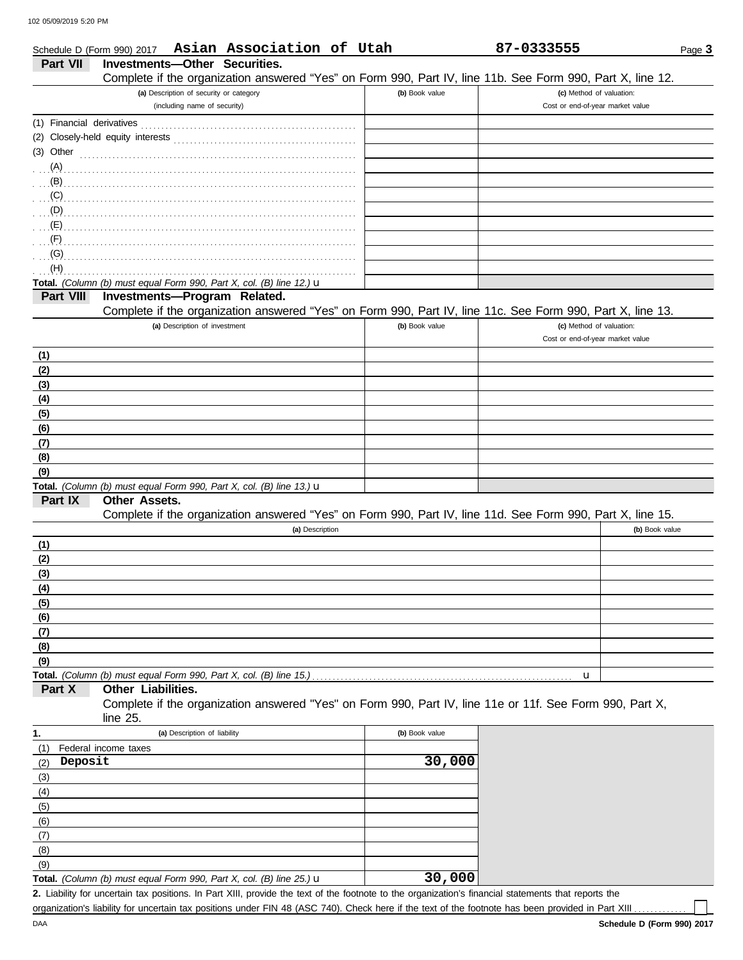| Schedule D (Form 990) 2017 | Asian Association of Utah                                                                                  |                | 87-0333555                       | Page 3         |
|----------------------------|------------------------------------------------------------------------------------------------------------|----------------|----------------------------------|----------------|
| Part VII                   | <b>Investments-Other Securities.</b>                                                                       |                |                                  |                |
|                            | Complete if the organization answered "Yes" on Form 990, Part IV, line 11b. See Form 990, Part X, line 12. |                |                                  |                |
|                            | (a) Description of security or category                                                                    | (b) Book value | (c) Method of valuation:         |                |
|                            | (including name of security)                                                                               |                | Cost or end-of-year market value |                |
|                            |                                                                                                            |                |                                  |                |
|                            |                                                                                                            |                |                                  |                |
|                            | (3) Other $\ldots$ and $\ldots$ and $\ldots$ and $\ldots$                                                  |                |                                  |                |
|                            |                                                                                                            |                |                                  |                |
|                            |                                                                                                            |                |                                  |                |
| (C)                        |                                                                                                            |                |                                  |                |
| (D)                        |                                                                                                            |                |                                  |                |
| (E)                        |                                                                                                            |                |                                  |                |
| (F)                        |                                                                                                            |                |                                  |                |
| (G)                        |                                                                                                            |                |                                  |                |
| (H)                        |                                                                                                            |                |                                  |                |
|                            | Total. (Column (b) must equal Form 990, Part X, col. (B) line 12.) $\mathbf u$                             |                |                                  |                |
| Part VIII                  | Investments-Program Related.                                                                               |                |                                  |                |
|                            | Complete if the organization answered "Yes" on Form 990, Part IV, line 11c. See Form 990, Part X, line 13. |                |                                  |                |
|                            | (a) Description of investment                                                                              | (b) Book value | (c) Method of valuation:         |                |
|                            |                                                                                                            |                | Cost or end-of-year market value |                |
| (1)                        |                                                                                                            |                |                                  |                |
| (2)                        |                                                                                                            |                |                                  |                |
| (3)                        |                                                                                                            |                |                                  |                |
| (4)                        |                                                                                                            |                |                                  |                |
| (5)                        |                                                                                                            |                |                                  |                |
| (6)                        |                                                                                                            |                |                                  |                |
| (7)                        |                                                                                                            |                |                                  |                |
| (8)                        |                                                                                                            |                |                                  |                |
| (9)                        |                                                                                                            |                |                                  |                |
|                            | Total. (Column (b) must equal Form 990, Part X, col. (B) line 13.) $\mathbf u$                             |                |                                  |                |
| Part IX                    | Other Assets.                                                                                              |                |                                  |                |
|                            | Complete if the organization answered "Yes" on Form 990, Part IV, line 11d. See Form 990, Part X, line 15. |                |                                  |                |
|                            | (a) Description                                                                                            |                |                                  | (b) Book value |
| (1)                        |                                                                                                            |                |                                  |                |
| (2)                        |                                                                                                            |                |                                  |                |
| (3)                        |                                                                                                            |                |                                  |                |
| (4)                        |                                                                                                            |                |                                  |                |
| (5)                        |                                                                                                            |                |                                  |                |
| (6)                        |                                                                                                            |                |                                  |                |
| (7)                        |                                                                                                            |                |                                  |                |
| (8)                        |                                                                                                            |                |                                  |                |
| (9)                        |                                                                                                            |                |                                  |                |
|                            | Total. (Column (b) must equal Form 990, Part X, col. (B) line 15.)                                         |                | u                                |                |
| Part X                     | Other Liabilities.                                                                                         |                |                                  |                |
|                            | Complete if the organization answered "Yes" on Form 990, Part IV, line 11e or 11f. See Form 990, Part X,   |                |                                  |                |
|                            | line 25.                                                                                                   |                |                                  |                |
| 1.                         | (a) Description of liability                                                                               | (b) Book value |                                  |                |
| (1)                        | Federal income taxes                                                                                       |                |                                  |                |
| Deposit<br>(2)             |                                                                                                            | 30,000         |                                  |                |
| (3)                        |                                                                                                            |                |                                  |                |
| (4)                        |                                                                                                            |                |                                  |                |
| (5)                        |                                                                                                            |                |                                  |                |
| (6)                        |                                                                                                            |                |                                  |                |
| (7)                        |                                                                                                            |                |                                  |                |
| (8)                        |                                                                                                            |                |                                  |                |
| (9)                        |                                                                                                            |                |                                  |                |

Liability for uncertain tax positions. In Part XIII, provide the text of the footnote to the organization's financial statements that reports the **2. Total.** *(Column (b) must equal Form 990, Part X, col. (B) line 25.)* u **30,000**

organization's liability for uncertain tax positions under FIN 48 (ASC 740). Check here if the text of the footnote has been provided in Part XIII ..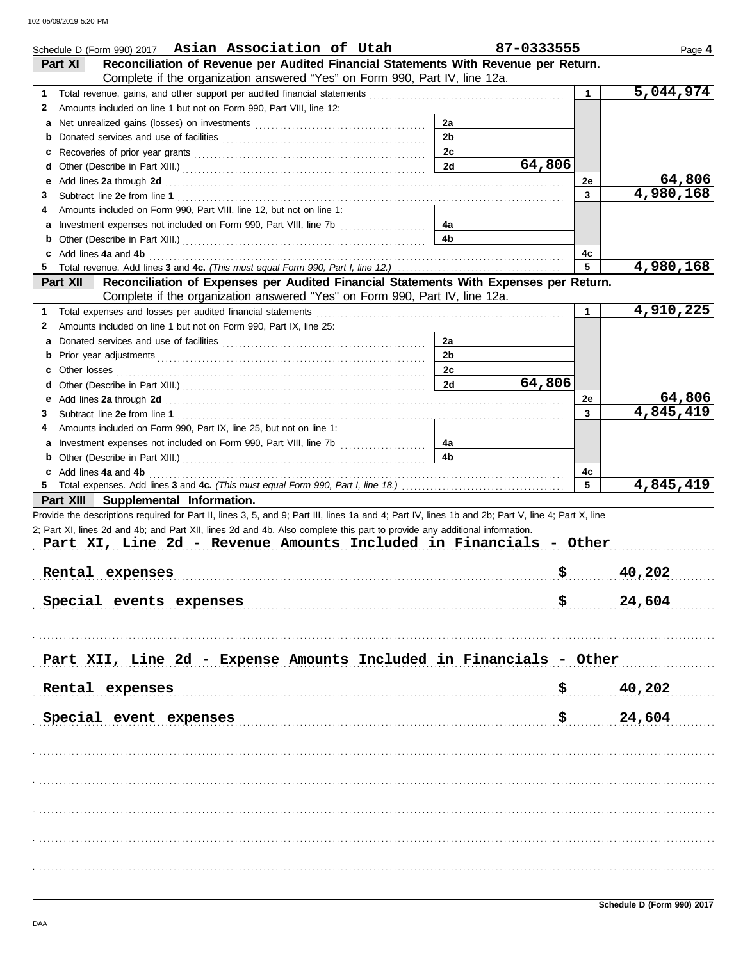| Schedule D (Form 990) 2017 Asian Association of Utah                                                                                                                                                                                                                                  |                      | 87-0333555 |              | Page 4    |
|---------------------------------------------------------------------------------------------------------------------------------------------------------------------------------------------------------------------------------------------------------------------------------------|----------------------|------------|--------------|-----------|
| Reconciliation of Revenue per Audited Financial Statements With Revenue per Return.<br>Part XI                                                                                                                                                                                        |                      |            |              |           |
| Complete if the organization answered "Yes" on Form 990, Part IV, line 12a.                                                                                                                                                                                                           |                      |            |              |           |
| 1                                                                                                                                                                                                                                                                                     |                      |            |              | 5,044,974 |
| Amounts included on line 1 but not on Form 990, Part VIII, line 12:<br>2                                                                                                                                                                                                              |                      |            |              |           |
|                                                                                                                                                                                                                                                                                       | 2a                   |            |              |           |
|                                                                                                                                                                                                                                                                                       | 2 <sub>b</sub>       |            |              |           |
|                                                                                                                                                                                                                                                                                       | 2c                   |            |              |           |
|                                                                                                                                                                                                                                                                                       | 2d                   | 64,806     |              |           |
| e Add lines 2a through 2d (a) and the contract of the Add lines 2a through 2d (a) and the contract of the Add lines 2a through 2d (a) and the contract of the Add in the Add in the Add in the Add in the Add in the Add in th                                                        |                      |            | 2e           | 64,806    |
| 3                                                                                                                                                                                                                                                                                     |                      |            | 3            | 4,980,168 |
| Amounts included on Form 990, Part VIII, line 12, but not on line 1:<br>4                                                                                                                                                                                                             |                      |            |              |           |
|                                                                                                                                                                                                                                                                                       | 4а                   |            |              |           |
|                                                                                                                                                                                                                                                                                       | 4b                   |            |              |           |
| c Add lines 4a and 4b (a) and $\frac{4}{3}$ and $\frac{4}{3}$ and $\frac{4}{3}$ and $\frac{4}{3}$ and $\frac{4}{3}$ and $\frac{4}{3}$ and $\frac{4}{3}$ and $\frac{4}{3}$ and $\frac{4}{3}$ and $\frac{4}{3}$ and $\frac{4}{3}$ and $\frac{4}{3}$ and $\frac{4}{3}$ and $\frac{4}{3}$ |                      |            | 4c           |           |
| 5                                                                                                                                                                                                                                                                                     |                      |            | 5            | 4,980,168 |
| Reconciliation of Expenses per Audited Financial Statements With Expenses per Return.<br>Part XII                                                                                                                                                                                     |                      |            |              |           |
| Complete if the organization answered "Yes" on Form 990, Part IV, line 12a.                                                                                                                                                                                                           |                      |            | $\mathbf{1}$ | 4,910,225 |
| 1                                                                                                                                                                                                                                                                                     |                      |            |              |           |
| Amounts included on line 1 but not on Form 990, Part IX, line 25:<br>2                                                                                                                                                                                                                |                      |            |              |           |
|                                                                                                                                                                                                                                                                                       | 2a<br>2 <sub>b</sub> |            |              |           |
|                                                                                                                                                                                                                                                                                       |                      |            |              |           |
|                                                                                                                                                                                                                                                                                       | 2c<br><b>2d</b>      | 64,806     |              |           |
|                                                                                                                                                                                                                                                                                       |                      |            | 2e           | 64,806    |
| e Add lines 2a through 2d (a) and the contract of the Add lines 2a through 2d (a) and the contract of the Add lines 2a through 2d (a) and the contract of the Add lines 2a through 2d (a) and the contract of the Add and the                                                         |                      |            | 3            | 4,845,419 |
| Amounts included on Form 990, Part IX, line 25, but not on line 1:<br>4                                                                                                                                                                                                               |                      |            |              |           |
|                                                                                                                                                                                                                                                                                       | 4a                   |            |              |           |
|                                                                                                                                                                                                                                                                                       | 4b                   |            |              |           |
|                                                                                                                                                                                                                                                                                       |                      |            | 4c           |           |
|                                                                                                                                                                                                                                                                                       |                      |            | 5            | 4,845,419 |
| Part XIII Supplemental Information.                                                                                                                                                                                                                                                   |                      |            |              |           |
| Provide the descriptions required for Part II, lines 3, 5, and 9; Part III, lines 1a and 4; Part IV, lines 1b and 2b; Part V, line 4; Part X, line                                                                                                                                    |                      |            |              |           |
| 2; Part XI, lines 2d and 4b; and Part XII, lines 2d and 4b. Also complete this part to provide any additional information.                                                                                                                                                            |                      |            |              |           |
| Part XI, Line 2d - Revenue Amounts Included in Financials - Other                                                                                                                                                                                                                     |                      |            |              |           |
|                                                                                                                                                                                                                                                                                       |                      |            |              |           |
| Rental expenses                                                                                                                                                                                                                                                                       |                      | \$         |              | 40,202    |
|                                                                                                                                                                                                                                                                                       |                      |            |              |           |
| Special events expenses                                                                                                                                                                                                                                                               |                      | \$         |              | 24,604    |
|                                                                                                                                                                                                                                                                                       |                      |            |              |           |
|                                                                                                                                                                                                                                                                                       |                      |            |              |           |
|                                                                                                                                                                                                                                                                                       |                      |            |              |           |
| Part XII, Line 2d - Expense Amounts Included in Financials - Other                                                                                                                                                                                                                    |                      |            |              |           |
|                                                                                                                                                                                                                                                                                       |                      |            |              |           |
| Rental expenses                                                                                                                                                                                                                                                                       |                      | \$         |              | 40,202    |
|                                                                                                                                                                                                                                                                                       |                      |            |              |           |
| Special event expenses                                                                                                                                                                                                                                                                |                      | \$         |              | 24,604    |
|                                                                                                                                                                                                                                                                                       |                      |            |              |           |
|                                                                                                                                                                                                                                                                                       |                      |            |              |           |
|                                                                                                                                                                                                                                                                                       |                      |            |              |           |
|                                                                                                                                                                                                                                                                                       |                      |            |              |           |
|                                                                                                                                                                                                                                                                                       |                      |            |              |           |
|                                                                                                                                                                                                                                                                                       |                      |            |              |           |
|                                                                                                                                                                                                                                                                                       |                      |            |              |           |
|                                                                                                                                                                                                                                                                                       |                      |            |              |           |
|                                                                                                                                                                                                                                                                                       |                      |            |              |           |
|                                                                                                                                                                                                                                                                                       |                      |            |              |           |
|                                                                                                                                                                                                                                                                                       |                      |            |              |           |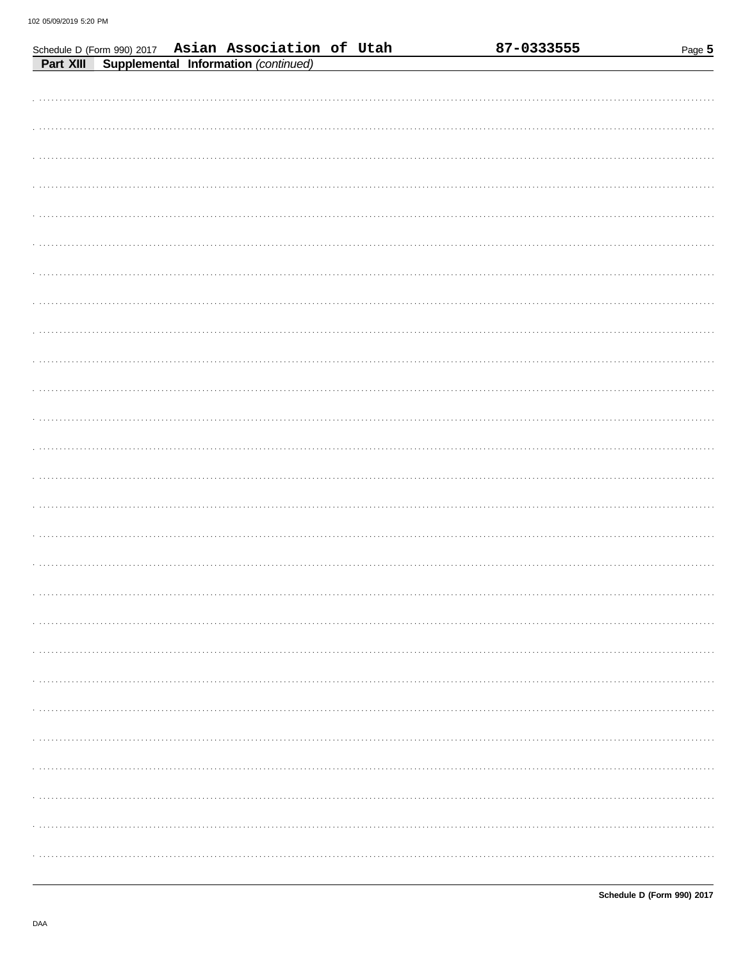Schedule D (Form 990) 2017 Asian Association of Utah

| <b>Part XIII Supplemental Information (continued)</b> |
|-------------------------------------------------------|
|                                                       |
|                                                       |
|                                                       |
|                                                       |
|                                                       |
|                                                       |
|                                                       |
|                                                       |
|                                                       |
|                                                       |
|                                                       |
|                                                       |
|                                                       |
|                                                       |
|                                                       |
|                                                       |
|                                                       |
|                                                       |
|                                                       |
|                                                       |
|                                                       |
|                                                       |
|                                                       |
|                                                       |
|                                                       |
|                                                       |
|                                                       |
|                                                       |
|                                                       |
|                                                       |
|                                                       |
|                                                       |
|                                                       |
|                                                       |
|                                                       |
|                                                       |
|                                                       |
|                                                       |
|                                                       |
|                                                       |
|                                                       |
|                                                       |
|                                                       |

87-0333555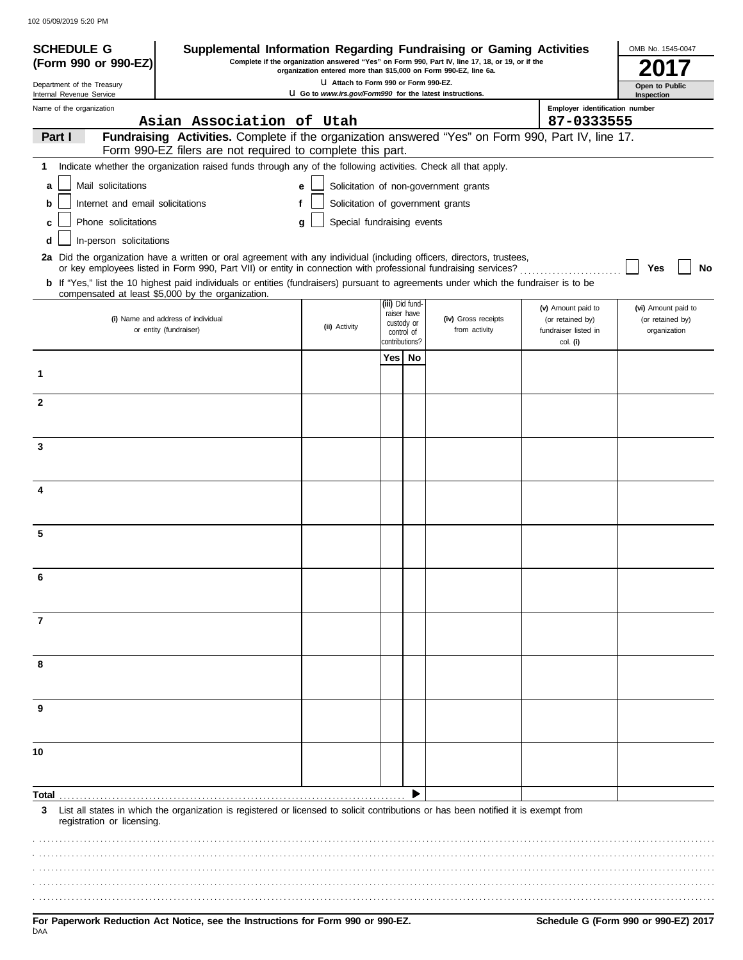102 05/09/2019 5:20 PM

| <b>SCHEDULE G</b>                                      | Supplemental Information Regarding Fundraising or Gaming Activities                                                                                                                                                                      |                                                                                                    |                |                                |                                                                                                 |                                              | OMB No. 1545-0047                |
|--------------------------------------------------------|------------------------------------------------------------------------------------------------------------------------------------------------------------------------------------------------------------------------------------------|----------------------------------------------------------------------------------------------------|----------------|--------------------------------|-------------------------------------------------------------------------------------------------|----------------------------------------------|----------------------------------|
| (Form 990 or 990-EZ)                                   |                                                                                                                                                                                                                                          | organization entered more than \$15,000 on Form 990-EZ, line 6a.                                   |                |                                | Complete if the organization answered "Yes" on Form 990, Part IV, line 17, 18, or 19, or if the |                                              |                                  |
| Department of the Treasury<br>Internal Revenue Service |                                                                                                                                                                                                                                          | LI Attach to Form 990 or Form 990-EZ.<br>LI Go to www.irs.gov/Form990 for the latest instructions. |                |                                |                                                                                                 |                                              | Open to Public                   |
| Name of the organization                               | Asian Association of Utah                                                                                                                                                                                                                |                                                                                                    |                |                                |                                                                                                 | Employer identification number<br>87-0333555 | Inspection                       |
| Part I                                                 | Fundraising Activities. Complete if the organization answered "Yes" on Form 990, Part IV, line 17.                                                                                                                                       |                                                                                                    |                |                                |                                                                                                 |                                              |                                  |
|                                                        | Form 990-EZ filers are not required to complete this part.                                                                                                                                                                               |                                                                                                    |                |                                |                                                                                                 |                                              |                                  |
| 1                                                      | Indicate whether the organization raised funds through any of the following activities. Check all that apply.                                                                                                                            |                                                                                                    |                |                                |                                                                                                 |                                              |                                  |
| Mail solicitations<br>a                                |                                                                                                                                                                                                                                          | e                                                                                                  |                |                                | Solicitation of non-government grants                                                           |                                              |                                  |
| Internet and email solicitations<br>b                  |                                                                                                                                                                                                                                          | f                                                                                                  |                |                                | Solicitation of government grants                                                               |                                              |                                  |
| Phone solicitations<br>с                               |                                                                                                                                                                                                                                          | Special fundraising events<br>a                                                                    |                |                                |                                                                                                 |                                              |                                  |
| In-person solicitations<br>d                           |                                                                                                                                                                                                                                          |                                                                                                    |                |                                |                                                                                                 |                                              |                                  |
|                                                        | 2a Did the organization have a written or oral agreement with any individual (including officers, directors, trustees,<br>or key employees listed in Form 990, Part VII) or entity in connection with professional fundraising services? |                                                                                                    |                |                                |                                                                                                 |                                              | <b>No</b><br>Yes                 |
|                                                        | b If "Yes," list the 10 highest paid individuals or entities (fundraisers) pursuant to agreements under which the fundraiser is to be<br>compensated at least \$5,000 by the organization.                                               |                                                                                                    |                |                                |                                                                                                 |                                              |                                  |
|                                                        |                                                                                                                                                                                                                                          |                                                                                                    |                | (iii) Did fund-<br>raiser have |                                                                                                 | (v) Amount paid to                           | (vi) Amount paid to              |
|                                                        | (i) Name and address of individual<br>or entity (fundraiser)                                                                                                                                                                             | (ii) Activity                                                                                      |                | custody or<br>control of       | (iv) Gross receipts<br>from activity                                                            | (or retained by)<br>fundraiser listed in     | (or retained by)<br>organization |
|                                                        |                                                                                                                                                                                                                                          |                                                                                                    | contributions? |                                |                                                                                                 | col. (i)                                     |                                  |
|                                                        |                                                                                                                                                                                                                                          |                                                                                                    | Yes I          | No                             |                                                                                                 |                                              |                                  |
| 1                                                      |                                                                                                                                                                                                                                          |                                                                                                    |                |                                |                                                                                                 |                                              |                                  |
| $\mathbf{2}$                                           |                                                                                                                                                                                                                                          |                                                                                                    |                |                                |                                                                                                 |                                              |                                  |
|                                                        |                                                                                                                                                                                                                                          |                                                                                                    |                |                                |                                                                                                 |                                              |                                  |
| 3                                                      |                                                                                                                                                                                                                                          |                                                                                                    |                |                                |                                                                                                 |                                              |                                  |
|                                                        |                                                                                                                                                                                                                                          |                                                                                                    |                |                                |                                                                                                 |                                              |                                  |
| 4                                                      |                                                                                                                                                                                                                                          |                                                                                                    |                |                                |                                                                                                 |                                              |                                  |
|                                                        |                                                                                                                                                                                                                                          |                                                                                                    |                |                                |                                                                                                 |                                              |                                  |
|                                                        |                                                                                                                                                                                                                                          |                                                                                                    |                |                                |                                                                                                 |                                              |                                  |
| 5                                                      |                                                                                                                                                                                                                                          |                                                                                                    |                |                                |                                                                                                 |                                              |                                  |
|                                                        |                                                                                                                                                                                                                                          |                                                                                                    |                |                                |                                                                                                 |                                              |                                  |
|                                                        |                                                                                                                                                                                                                                          |                                                                                                    |                |                                |                                                                                                 |                                              |                                  |
|                                                        |                                                                                                                                                                                                                                          |                                                                                                    |                |                                |                                                                                                 |                                              |                                  |
| 7                                                      |                                                                                                                                                                                                                                          |                                                                                                    |                |                                |                                                                                                 |                                              |                                  |
|                                                        |                                                                                                                                                                                                                                          |                                                                                                    |                |                                |                                                                                                 |                                              |                                  |
| 8                                                      |                                                                                                                                                                                                                                          |                                                                                                    |                |                                |                                                                                                 |                                              |                                  |
|                                                        |                                                                                                                                                                                                                                          |                                                                                                    |                |                                |                                                                                                 |                                              |                                  |
| 9                                                      |                                                                                                                                                                                                                                          |                                                                                                    |                |                                |                                                                                                 |                                              |                                  |
|                                                        |                                                                                                                                                                                                                                          |                                                                                                    |                |                                |                                                                                                 |                                              |                                  |
| 10                                                     |                                                                                                                                                                                                                                          |                                                                                                    |                |                                |                                                                                                 |                                              |                                  |
|                                                        |                                                                                                                                                                                                                                          |                                                                                                    |                |                                |                                                                                                 |                                              |                                  |
| Total                                                  |                                                                                                                                                                                                                                          |                                                                                                    |                |                                |                                                                                                 |                                              |                                  |
| 3<br>registration or licensing.                        | List all states in which the organization is registered or licensed to solicit contributions or has been notified it is exempt from                                                                                                      |                                                                                                    |                |                                |                                                                                                 |                                              |                                  |
|                                                        |                                                                                                                                                                                                                                          |                                                                                                    |                |                                |                                                                                                 |                                              |                                  |
|                                                        |                                                                                                                                                                                                                                          |                                                                                                    |                |                                |                                                                                                 |                                              |                                  |
|                                                        |                                                                                                                                                                                                                                          |                                                                                                    |                |                                |                                                                                                 |                                              |                                  |
|                                                        |                                                                                                                                                                                                                                          |                                                                                                    |                |                                |                                                                                                 |                                              |                                  |
|                                                        |                                                                                                                                                                                                                                          |                                                                                                    |                |                                |                                                                                                 |                                              |                                  |

.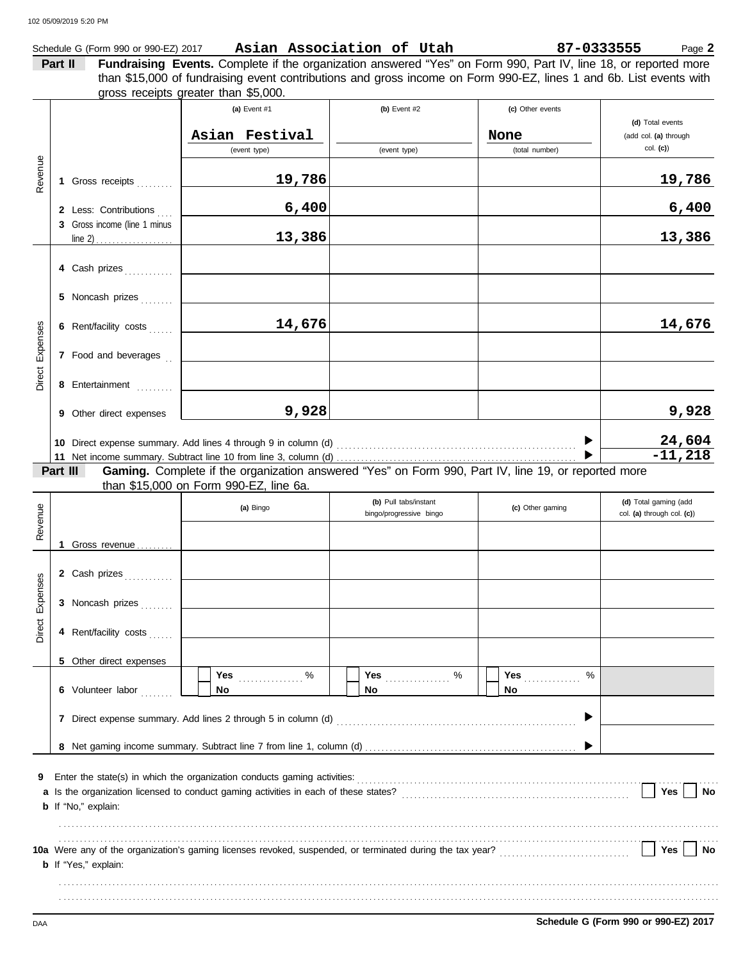### Schedule G (Form 990 or 990-EZ) 2017 Page **2 Asian Association of Utah 87-0333555**

| Part II | Fundraising Events. Complete if the organization answered "Yes" on Form 990, Part IV, line 18, or reported more    |                                                                  |                                   |  |
|---------|--------------------------------------------------------------------------------------------------------------------|------------------------------------------------------------------|-----------------------------------|--|
|         | than \$15,000 of fundraising event contributions and gross income on Form 990-EZ, lines 1 and 6b. List events with |                                                                  |                                   |  |
|         | gross receipts greater than \$5,000.                                                                               |                                                                  |                                   |  |
|         |                                                                                                                    | $\mathbf{L}$ $\mathbf{L}$ $\mathbf{L}$ $\mathbf{L}$ $\mathbf{L}$ | $\left( -1 \right)$ Other systems |  |

|          |          |                              | (a) Event $#1$                                                                                                                                                                                                         | (b) Event $#2$                                   | (c) Other events      |                                                     |
|----------|----------|------------------------------|------------------------------------------------------------------------------------------------------------------------------------------------------------------------------------------------------------------------|--------------------------------------------------|-----------------------|-----------------------------------------------------|
|          |          |                              | Asian Festival                                                                                                                                                                                                         |                                                  | None                  | (d) Total events<br>(add col. (a) through           |
|          |          |                              | (event type)                                                                                                                                                                                                           | (event type)                                     | (total number)        | $col.$ (c))                                         |
| Revenue  |          | 1 Gross receipts             | 19,786                                                                                                                                                                                                                 |                                                  |                       | 19,786                                              |
|          |          | 2 Less: Contributions        | 6,400                                                                                                                                                                                                                  |                                                  |                       | 6,400                                               |
|          |          | 3 Gross income (line 1 minus | 13,386                                                                                                                                                                                                                 |                                                  |                       | 13,386                                              |
|          |          | 4 Cash prizes                |                                                                                                                                                                                                                        |                                                  |                       |                                                     |
|          |          | 5 Noncash prizes             |                                                                                                                                                                                                                        |                                                  |                       |                                                     |
|          |          | 6 Rent/facility costs        | 14,676                                                                                                                                                                                                                 |                                                  |                       | 14,676                                              |
| Expenses |          | 7 Food and beverages         |                                                                                                                                                                                                                        |                                                  |                       |                                                     |
| Direct   |          | 8 Entertainment              |                                                                                                                                                                                                                        |                                                  |                       |                                                     |
|          |          | 9 Other direct expenses      | 9,928                                                                                                                                                                                                                  |                                                  |                       | 9,928                                               |
|          |          |                              |                                                                                                                                                                                                                        |                                                  |                       | 24,604                                              |
|          |          |                              |                                                                                                                                                                                                                        |                                                  |                       | $-11,218$                                           |
|          | Part III |                              | Gaming. Complete if the organization answered "Yes" on Form 990, Part IV, line 19, or reported more                                                                                                                    |                                                  |                       |                                                     |
|          |          |                              | than \$15,000 on Form 990-EZ, line 6a.                                                                                                                                                                                 |                                                  |                       |                                                     |
|          |          |                              | (a) Bingo                                                                                                                                                                                                              | (b) Pull tabs/instant<br>bingo/progressive bingo | (c) Other gaming      | (d) Total gaming (add<br>col. (a) through col. (c)) |
| Revenue  |          |                              |                                                                                                                                                                                                                        |                                                  |                       |                                                     |
|          |          | 1 Gross revenue              |                                                                                                                                                                                                                        |                                                  |                       |                                                     |
|          |          | 2 Cash prizes                |                                                                                                                                                                                                                        |                                                  |                       |                                                     |
| Expenses |          | 3 Noncash prizes             |                                                                                                                                                                                                                        |                                                  |                       |                                                     |
| Direct   |          | 4 Rent/facility costs        |                                                                                                                                                                                                                        |                                                  |                       |                                                     |
|          |          | 5 Other direct expenses      |                                                                                                                                                                                                                        |                                                  |                       |                                                     |
|          |          | 6 Volunteer labor            | Yes $\frac{96}{2}$<br>No                                                                                                                                                                                               | No.                                              | <b>Yes</b><br>%<br>No |                                                     |
|          |          |                              |                                                                                                                                                                                                                        |                                                  |                       |                                                     |
|          |          |                              |                                                                                                                                                                                                                        |                                                  |                       |                                                     |
| 9        |          |                              |                                                                                                                                                                                                                        |                                                  |                       |                                                     |
|          |          | <b>b</b> If "No," explain:   |                                                                                                                                                                                                                        |                                                  |                       | Yes<br>No                                           |
|          |          |                              |                                                                                                                                                                                                                        |                                                  |                       |                                                     |
|          |          |                              | 10a Were any of the organization's gaming licenses revoked, suspended, or terminated during the tax year?<br>10a Were any of the organization's gaming licenses revoked, suspended, or terminated during the tax year? |                                                  |                       | Yes<br>No                                           |
|          |          | <b>b</b> If "Yes," explain:  |                                                                                                                                                                                                                        |                                                  |                       |                                                     |
|          |          |                              |                                                                                                                                                                                                                        |                                                  |                       |                                                     |
|          |          |                              |                                                                                                                                                                                                                        |                                                  |                       |                                                     |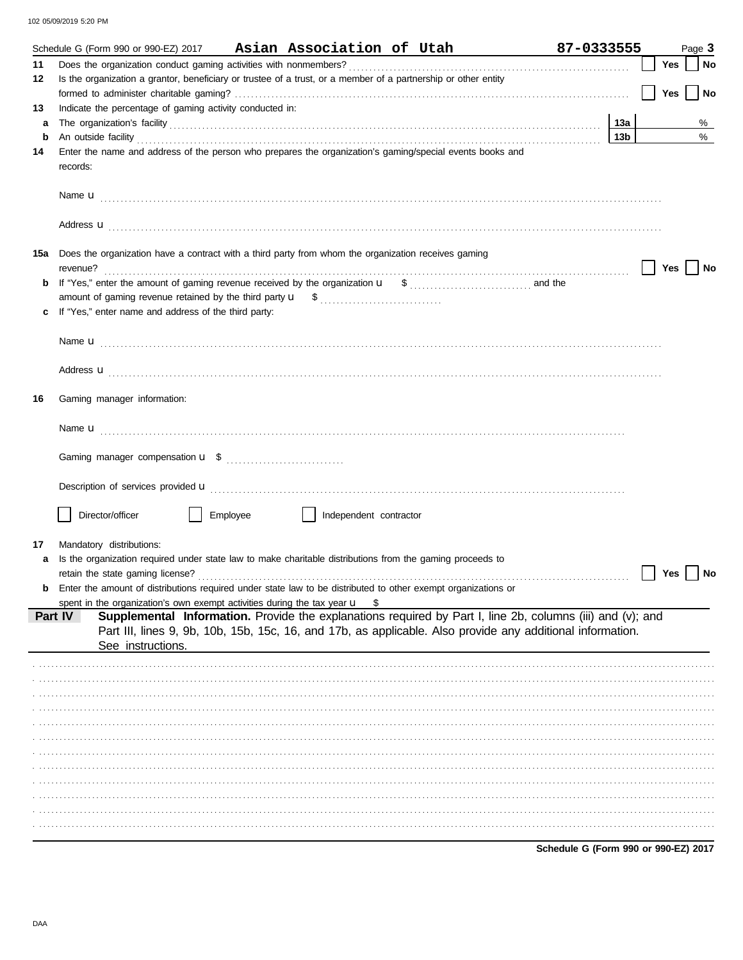102 05/09/2019 5:20 PM

|     | Schedule G (Form 990 or 990-EZ) 2017                                                                                                                                                                                                |          |                        | Asian Association of Utah                                                                                                                                                                                                | 87-0333555                           |     | Page 3 |      |
|-----|-------------------------------------------------------------------------------------------------------------------------------------------------------------------------------------------------------------------------------------|----------|------------------------|--------------------------------------------------------------------------------------------------------------------------------------------------------------------------------------------------------------------------|--------------------------------------|-----|--------|------|
| 11  |                                                                                                                                                                                                                                     |          |                        |                                                                                                                                                                                                                          |                                      | Yes |        | No   |
| 12  | Is the organization a grantor, beneficiary or trustee of a trust, or a member of a partnership or other entity                                                                                                                      |          |                        |                                                                                                                                                                                                                          |                                      |     |        |      |
|     |                                                                                                                                                                                                                                     |          |                        |                                                                                                                                                                                                                          |                                      | Yes |        | No   |
| 13  | Indicate the percentage of gaming activity conducted in:                                                                                                                                                                            |          |                        |                                                                                                                                                                                                                          |                                      |     |        |      |
| a   |                                                                                                                                                                                                                                     |          |                        |                                                                                                                                                                                                                          | 13а                                  |     |        | %    |
| b   | An outside facility <i>contained a contained a contained a contained a contained a contained a contained a contained a</i>                                                                                                          |          |                        |                                                                                                                                                                                                                          | 13b                                  |     |        | $\%$ |
| 14  | Enter the name and address of the person who prepares the organization's gaming/special events books and<br>records:                                                                                                                |          |                        |                                                                                                                                                                                                                          |                                      |     |        |      |
|     |                                                                                                                                                                                                                                     |          |                        |                                                                                                                                                                                                                          |                                      |     |        |      |
|     |                                                                                                                                                                                                                                     |          |                        |                                                                                                                                                                                                                          |                                      |     |        |      |
|     | Address <b>u</b>                                                                                                                                                                                                                    |          |                        |                                                                                                                                                                                                                          |                                      |     |        |      |
| 15а | Does the organization have a contract with a third party from whom the organization receives gaming                                                                                                                                 |          |                        |                                                                                                                                                                                                                          |                                      | Yes |        | No   |
| b   |                                                                                                                                                                                                                                     |          |                        |                                                                                                                                                                                                                          |                                      |     |        |      |
|     |                                                                                                                                                                                                                                     |          |                        |                                                                                                                                                                                                                          |                                      |     |        |      |
|     | If "Yes," enter name and address of the third party:                                                                                                                                                                                |          |                        |                                                                                                                                                                                                                          |                                      |     |        |      |
|     |                                                                                                                                                                                                                                     |          |                        |                                                                                                                                                                                                                          |                                      |     |        |      |
|     |                                                                                                                                                                                                                                     |          |                        |                                                                                                                                                                                                                          |                                      |     |        |      |
|     |                                                                                                                                                                                                                                     |          |                        |                                                                                                                                                                                                                          |                                      |     |        |      |
|     | Address <b>u</b>                                                                                                                                                                                                                    |          |                        |                                                                                                                                                                                                                          |                                      |     |        |      |
| 16  | Gaming manager information:                                                                                                                                                                                                         |          |                        |                                                                                                                                                                                                                          |                                      |     |        |      |
|     |                                                                                                                                                                                                                                     |          |                        |                                                                                                                                                                                                                          |                                      |     |        |      |
|     |                                                                                                                                                                                                                                     |          |                        |                                                                                                                                                                                                                          |                                      |     |        |      |
|     |                                                                                                                                                                                                                                     |          |                        |                                                                                                                                                                                                                          |                                      |     |        |      |
|     | Description of services provided <b>u</b> electron contract the contract of the contract of the contract of the contract of the contract of the contract of the contract of the contract of the contract of the contract of the con |          |                        |                                                                                                                                                                                                                          |                                      |     |        |      |
|     | Director/officer                                                                                                                                                                                                                    | Employee | Independent contractor |                                                                                                                                                                                                                          |                                      |     |        |      |
|     |                                                                                                                                                                                                                                     |          |                        |                                                                                                                                                                                                                          |                                      |     |        |      |
| 17  | Mandatory distributions:                                                                                                                                                                                                            |          |                        |                                                                                                                                                                                                                          |                                      |     |        |      |
| a   | Is the organization required under state law to make charitable distributions from the gaming proceeds to                                                                                                                           |          |                        |                                                                                                                                                                                                                          |                                      |     |        |      |
|     |                                                                                                                                                                                                                                     |          |                        |                                                                                                                                                                                                                          |                                      | Yes |        | No   |
| b   | Enter the amount of distributions required under state law to be distributed to other exempt organizations or                                                                                                                       |          |                        |                                                                                                                                                                                                                          |                                      |     |        |      |
|     | spent in the organization's own exempt activities during the tax year $\mathbf{u}$ \$                                                                                                                                               |          |                        |                                                                                                                                                                                                                          |                                      |     |        |      |
|     | Part IV                                                                                                                                                                                                                             |          |                        | Supplemental Information. Provide the explanations required by Part I, line 2b, columns (iii) and (v); and<br>Part III, lines 9, 9b, 10b, 15b, 15c, 16, and 17b, as applicable. Also provide any additional information. |                                      |     |        |      |
|     | See instructions.                                                                                                                                                                                                                   |          |                        |                                                                                                                                                                                                                          |                                      |     |        |      |
|     |                                                                                                                                                                                                                                     |          |                        |                                                                                                                                                                                                                          |                                      |     |        |      |
|     |                                                                                                                                                                                                                                     |          |                        |                                                                                                                                                                                                                          |                                      |     |        |      |
|     |                                                                                                                                                                                                                                     |          |                        |                                                                                                                                                                                                                          |                                      |     |        |      |
|     |                                                                                                                                                                                                                                     |          |                        |                                                                                                                                                                                                                          |                                      |     |        |      |
|     |                                                                                                                                                                                                                                     |          |                        |                                                                                                                                                                                                                          |                                      |     |        |      |
|     |                                                                                                                                                                                                                                     |          |                        |                                                                                                                                                                                                                          |                                      |     |        |      |
|     |                                                                                                                                                                                                                                     |          |                        |                                                                                                                                                                                                                          |                                      |     |        |      |
|     |                                                                                                                                                                                                                                     |          |                        |                                                                                                                                                                                                                          |                                      |     |        |      |
|     |                                                                                                                                                                                                                                     |          |                        |                                                                                                                                                                                                                          |                                      |     |        |      |
|     |                                                                                                                                                                                                                                     |          |                        |                                                                                                                                                                                                                          |                                      |     |        |      |
|     |                                                                                                                                                                                                                                     |          |                        |                                                                                                                                                                                                                          |                                      |     |        |      |
|     |                                                                                                                                                                                                                                     |          |                        |                                                                                                                                                                                                                          | Schedule G (Form 990 or 990-EZ) 2017 |     |        |      |

DAA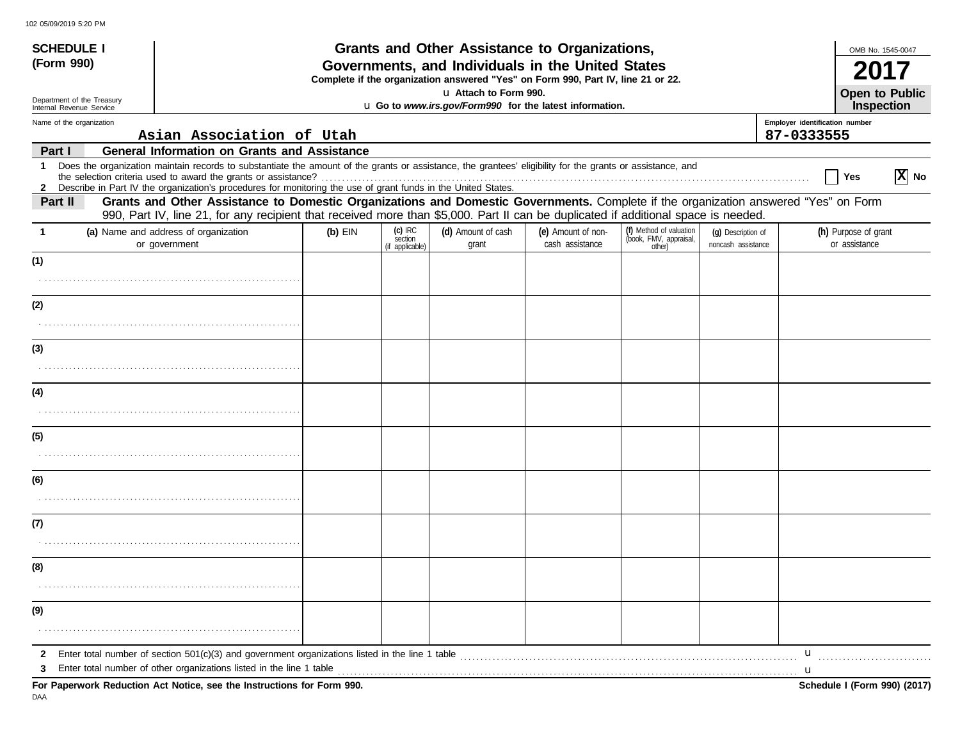| <b>SCHEDULE I</b>                                      |                                                                                                                                                                                                                                                        |           |                      | Grants and Other Assistance to Organizations,                                                                                         |                                       |                                                   |                                          | OMB No. 1545-0047                          |                   |
|--------------------------------------------------------|--------------------------------------------------------------------------------------------------------------------------------------------------------------------------------------------------------------------------------------------------------|-----------|----------------------|---------------------------------------------------------------------------------------------------------------------------------------|---------------------------------------|---------------------------------------------------|------------------------------------------|--------------------------------------------|-------------------|
| (Form 990)                                             |                                                                                                                                                                                                                                                        |           |                      | Governments, and Individuals in the United States<br>Complete if the organization answered "Yes" on Form 990, Part IV, line 21 or 22. |                                       |                                                   |                                          |                                            |                   |
| Department of the Treasury<br>Internal Revenue Service |                                                                                                                                                                                                                                                        |           |                      | u Attach to Form 990.<br>u Go to www.irs.gov/Form990 for the latest information.                                                      |                                       |                                                   |                                          | <b>Open to Public</b><br><b>Inspection</b> |                   |
| Name of the organization                               |                                                                                                                                                                                                                                                        |           |                      |                                                                                                                                       |                                       |                                                   |                                          | Employer identification number             |                   |
|                                                        | Asian Association of Utah                                                                                                                                                                                                                              |           |                      |                                                                                                                                       |                                       |                                                   |                                          | 87-0333555                                 |                   |
| Part I                                                 | <b>General Information on Grants and Assistance</b>                                                                                                                                                                                                    |           |                      |                                                                                                                                       |                                       |                                                   |                                          |                                            |                   |
| 1                                                      | Does the organization maintain records to substantiate the amount of the grants or assistance, the grantees' eligibility for the grants or assistance, and                                                                                             |           |                      |                                                                                                                                       |                                       |                                                   |                                          | Yes                                        | $ \mathbf{X} $ No |
| Part II                                                | 2 Describe in Part IV the organization's procedures for monitoring the use of grant funds in the United States.<br>Grants and Other Assistance to Domestic Organizations and Domestic Governments. Complete if the organization answered "Yes" on Form |           |                      |                                                                                                                                       |                                       |                                                   |                                          |                                            |                   |
|                                                        | 990, Part IV, line 21, for any recipient that received more than \$5,000. Part II can be duplicated if additional space is needed.                                                                                                                     |           |                      |                                                                                                                                       |                                       |                                                   |                                          |                                            |                   |
| -1                                                     | (a) Name and address of organization<br>or government                                                                                                                                                                                                  | $(b)$ EIN | $(c)$ IRC<br>section | (d) Amount of cash<br>grant                                                                                                           | (e) Amount of non-<br>cash assistance | (f) Method of valuation<br>(book, FMV, appraisal, | (q) Description of<br>noncash assistance | (h) Purpose of grant<br>or assistance      |                   |
|                                                        |                                                                                                                                                                                                                                                        |           | (if applicable)      |                                                                                                                                       |                                       | other)                                            |                                          |                                            |                   |
| (1)                                                    |                                                                                                                                                                                                                                                        |           |                      |                                                                                                                                       |                                       |                                                   |                                          |                                            |                   |
| (2)                                                    |                                                                                                                                                                                                                                                        |           |                      |                                                                                                                                       |                                       |                                                   |                                          |                                            |                   |
|                                                        |                                                                                                                                                                                                                                                        |           |                      |                                                                                                                                       |                                       |                                                   |                                          |                                            |                   |
| (3)                                                    |                                                                                                                                                                                                                                                        |           |                      |                                                                                                                                       |                                       |                                                   |                                          |                                            |                   |
|                                                        |                                                                                                                                                                                                                                                        |           |                      |                                                                                                                                       |                                       |                                                   |                                          |                                            |                   |
| (4)                                                    |                                                                                                                                                                                                                                                        |           |                      |                                                                                                                                       |                                       |                                                   |                                          |                                            |                   |
|                                                        |                                                                                                                                                                                                                                                        |           |                      |                                                                                                                                       |                                       |                                                   |                                          |                                            |                   |
| (5)                                                    |                                                                                                                                                                                                                                                        |           |                      |                                                                                                                                       |                                       |                                                   |                                          |                                            |                   |
|                                                        |                                                                                                                                                                                                                                                        |           |                      |                                                                                                                                       |                                       |                                                   |                                          |                                            |                   |
| (6)                                                    |                                                                                                                                                                                                                                                        |           |                      |                                                                                                                                       |                                       |                                                   |                                          |                                            |                   |
|                                                        |                                                                                                                                                                                                                                                        |           |                      |                                                                                                                                       |                                       |                                                   |                                          |                                            |                   |
| (7)                                                    |                                                                                                                                                                                                                                                        |           |                      |                                                                                                                                       |                                       |                                                   |                                          |                                            |                   |
|                                                        |                                                                                                                                                                                                                                                        |           |                      |                                                                                                                                       |                                       |                                                   |                                          |                                            |                   |
| (8)                                                    |                                                                                                                                                                                                                                                        |           |                      |                                                                                                                                       |                                       |                                                   |                                          |                                            |                   |
|                                                        |                                                                                                                                                                                                                                                        |           |                      |                                                                                                                                       |                                       |                                                   |                                          |                                            |                   |
| (9)                                                    |                                                                                                                                                                                                                                                        |           |                      |                                                                                                                                       |                                       |                                                   |                                          |                                            |                   |
|                                                        |                                                                                                                                                                                                                                                        |           |                      |                                                                                                                                       |                                       |                                                   |                                          |                                            |                   |
| 2<br>3                                                 | Enter total number of section 501(c)(3) and government organizations listed in the line 1 table<br>Enter total number of other organizations listed in the line 1 table                                                                                |           |                      |                                                                                                                                       |                                       |                                                   |                                          | u                                          |                   |
|                                                        | For Paperwork Reduction Act Notice, see the Instructions for Form 990.                                                                                                                                                                                 |           |                      |                                                                                                                                       |                                       |                                                   |                                          | u<br>Schedule I (Form 990) (2017)          |                   |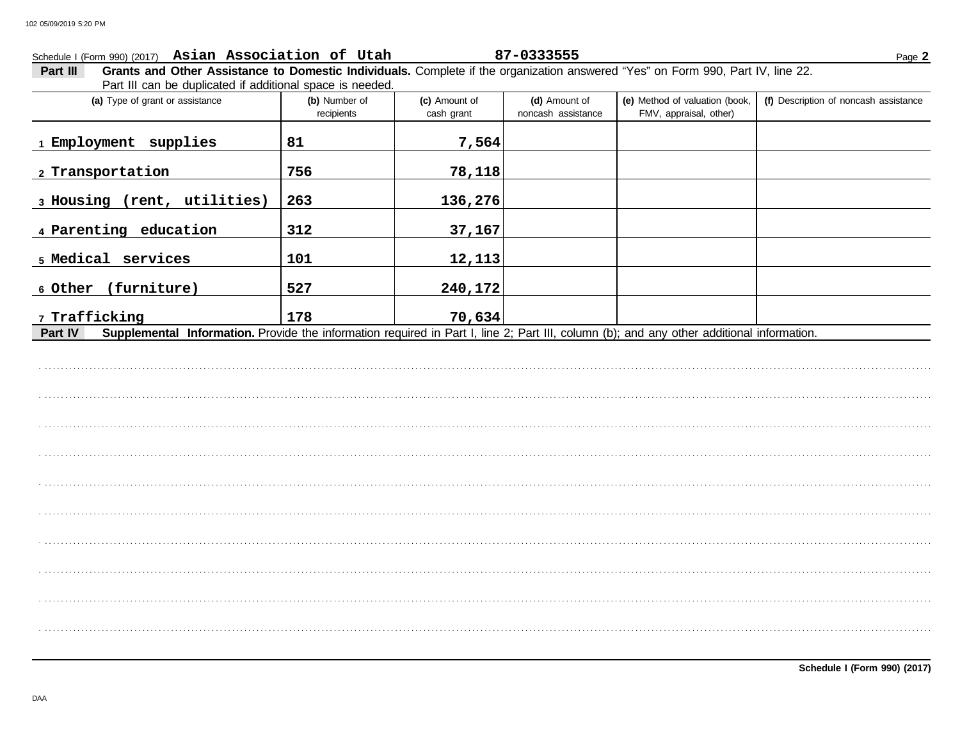### Schedule I (Form 990) (2017) Asian Association of Utah

#### 87-0333555

Page 2

Grants and Other Assistance to Domestic Individuals. Complete if the organization answered "Yes" on Form 990, Part IV, line 22. Part III Part III can be duplicated if additional space is needed.

| (a) Type of grant or assistance                                                                                                                      | (b) Number of<br>recipients | (c) Amount of<br>cash grant | (d) Amount of<br>noncash assistance | (e) Method of valuation (book,<br>FMV, appraisal, other) | (f) Description of noncash assistance |
|------------------------------------------------------------------------------------------------------------------------------------------------------|-----------------------------|-----------------------------|-------------------------------------|----------------------------------------------------------|---------------------------------------|
| 1 Employment<br>supplies                                                                                                                             | 81                          | 7,564                       |                                     |                                                          |                                       |
| 2 Transportation                                                                                                                                     | 756                         | 78,118                      |                                     |                                                          |                                       |
| 3 Housing (rent, utilities)                                                                                                                          | 263                         | 136,276                     |                                     |                                                          |                                       |
| 4 Parenting education                                                                                                                                | 312                         | 37,167                      |                                     |                                                          |                                       |
| 5 Medical services                                                                                                                                   | 101                         | 12,113                      |                                     |                                                          |                                       |
| 6 Other (furniture)                                                                                                                                  | 527                         | 240,172                     |                                     |                                                          |                                       |
| 7 Trafficking                                                                                                                                        | 178                         | 70,634                      |                                     |                                                          |                                       |
| Supplemental Information. Provide the information required in Part I, line 2; Part III, column (b); and any other additional information.<br>Part IV |                             |                             |                                     |                                                          |                                       |

**Schedule I (Form 990) (2017)**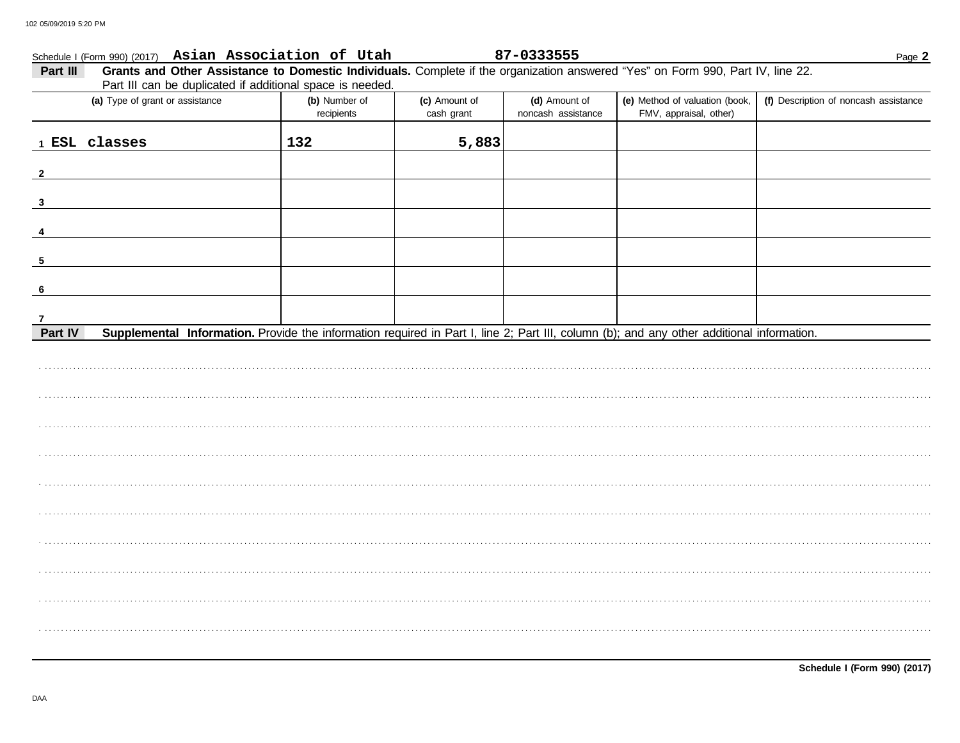| Part III<br>Part III can be duplicated if additional space is needed.                                                                                |                             |                             |                                     | Grants and Other Assistance to Domestic Individuals. Complete if the organization answered "Yes" on Form 990, Part IV, line 22. |                                       |
|------------------------------------------------------------------------------------------------------------------------------------------------------|-----------------------------|-----------------------------|-------------------------------------|---------------------------------------------------------------------------------------------------------------------------------|---------------------------------------|
| (a) Type of grant or assistance                                                                                                                      | (b) Number of<br>recipients | (c) Amount of<br>cash grant | (d) Amount of<br>noncash assistance | (e) Method of valuation (book,<br>FMV, appraisal, other)                                                                        | (f) Description of noncash assistance |
| 1 ESL classes                                                                                                                                        | 132                         | 5,883                       |                                     |                                                                                                                                 |                                       |
|                                                                                                                                                      |                             |                             |                                     |                                                                                                                                 |                                       |
| $\overline{\mathbf{3}}$                                                                                                                              |                             |                             |                                     |                                                                                                                                 |                                       |
|                                                                                                                                                      |                             |                             |                                     |                                                                                                                                 |                                       |
| 5                                                                                                                                                    |                             |                             |                                     |                                                                                                                                 |                                       |
| 6                                                                                                                                                    |                             |                             |                                     |                                                                                                                                 |                                       |
| 7                                                                                                                                                    |                             |                             |                                     |                                                                                                                                 |                                       |
| Part IV<br>Supplemental Information. Provide the information required in Part I, line 2; Part III, column (b); and any other additional information. |                             |                             |                                     |                                                                                                                                 |                                       |
|                                                                                                                                                      |                             |                             |                                     |                                                                                                                                 |                                       |
|                                                                                                                                                      |                             |                             |                                     |                                                                                                                                 |                                       |

Schedule I (Form 990) (2017)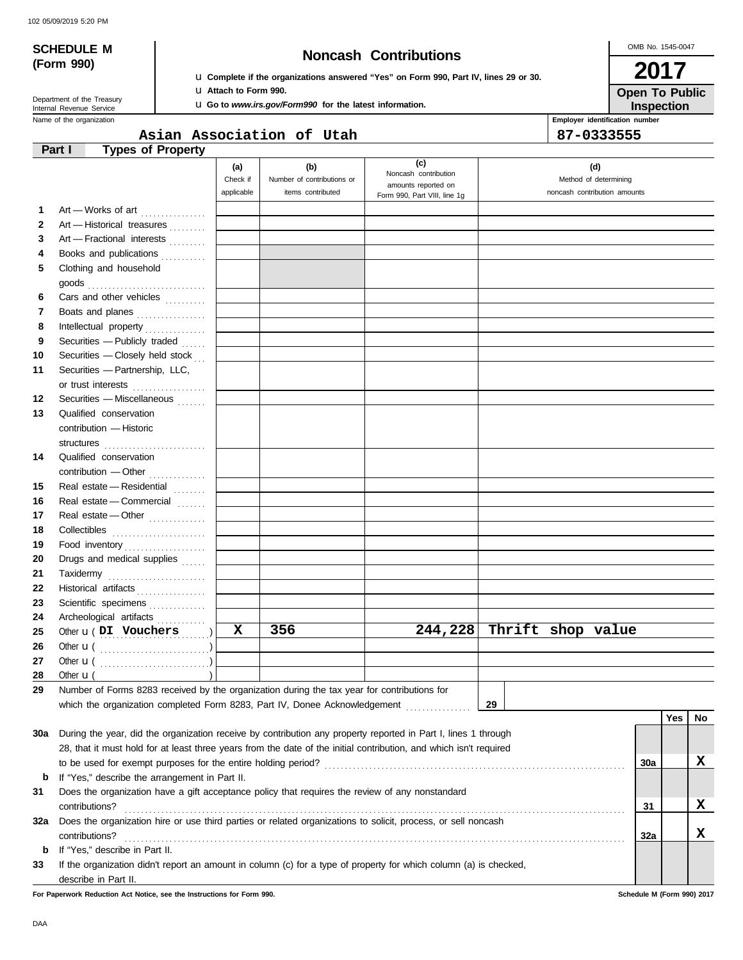# **(Form 990)**

# **SCHEDULE M Noncash Contributions**

u **Complete if the organizations answered "Yes" on Form 990, Part IV, lines 29 or 30.** u **Attach to Form 990.**

**Inspection Open To Public**

| <b>u</b> Go to www.irs.gov/Form990 for the latest information. |  |  |
|----------------------------------------------------------------|--|--|
|----------------------------------------------------------------|--|--|

Name of the organization **Employer identification number Employer identification number** Department of the Treasury<br>Internal Revenue Service

#### **Part I Types of Property Asian Association of Utah 87-0333555**

|              | וטקטו ו וט נאקעו                                                                                                   |                               |                                                        |                                                    |                                                              |     |     |     |
|--------------|--------------------------------------------------------------------------------------------------------------------|-------------------------------|--------------------------------------------------------|----------------------------------------------------|--------------------------------------------------------------|-----|-----|-----|
|              |                                                                                                                    | (a)<br>Check if<br>applicable | (b)<br>Number of contributions or<br>items contributed | (c)<br>Noncash contribution<br>amounts reported on | (d)<br>Method of determining<br>noncash contribution amounts |     |     |     |
|              |                                                                                                                    |                               |                                                        | Form 990, Part VIII, line 1g                       |                                                              |     |     |     |
| 1.           | Art - Works of art                                                                                                 |                               |                                                        |                                                    |                                                              |     |     |     |
| $\mathbf{2}$ | Art - Historical treasures                                                                                         |                               |                                                        |                                                    |                                                              |     |     |     |
| 3            | Art - Fractional interests                                                                                         |                               |                                                        |                                                    |                                                              |     |     |     |
| 4            | Books and publications                                                                                             |                               |                                                        |                                                    |                                                              |     |     |     |
| 5            | Clothing and household<br>$\mathsf{goods}\xrightarrow{\hspace{0.5cm}}$                                             |                               |                                                        |                                                    |                                                              |     |     |     |
| 6            | Cars and other vehicles                                                                                            |                               |                                                        |                                                    |                                                              |     |     |     |
| 7            | Boats and planes                                                                                                   |                               |                                                        |                                                    |                                                              |     |     |     |
| 8            | Intellectual property                                                                                              |                               |                                                        |                                                    |                                                              |     |     |     |
| 9            | Securities - Publicly traded                                                                                       |                               |                                                        |                                                    |                                                              |     |     |     |
| 10           | Securities - Closely held stock                                                                                    |                               |                                                        |                                                    |                                                              |     |     |     |
| 11           | Securities - Partnership, LLC,                                                                                     |                               |                                                        |                                                    |                                                              |     |     |     |
|              | or trust interests                                                                                                 |                               |                                                        |                                                    |                                                              |     |     |     |
| 12           | Securities - Miscellaneous                                                                                         |                               |                                                        |                                                    |                                                              |     |     |     |
| 13           | Qualified conservation                                                                                             |                               |                                                        |                                                    |                                                              |     |     |     |
|              | contribution - Historic                                                                                            |                               |                                                        |                                                    |                                                              |     |     |     |
|              | structures                                                                                                         |                               |                                                        |                                                    |                                                              |     |     |     |
| 14           | Qualified conservation                                                                                             |                               |                                                        |                                                    |                                                              |     |     |     |
|              | contribution - Other                                                                                               |                               |                                                        |                                                    |                                                              |     |     |     |
| 15           | Real estate - Residential                                                                                          |                               |                                                        |                                                    |                                                              |     |     |     |
| 16           | Real estate - Commercial                                                                                           |                               |                                                        |                                                    |                                                              |     |     |     |
| 17           | Real estate - Other                                                                                                |                               |                                                        |                                                    |                                                              |     |     |     |
| 18           |                                                                                                                    |                               |                                                        |                                                    |                                                              |     |     |     |
| 19           | Food inventory                                                                                                     |                               |                                                        |                                                    |                                                              |     |     |     |
| 20           | Drugs and medical supplies                                                                                         |                               |                                                        |                                                    |                                                              |     |     |     |
| 21           | Taxidermy                                                                                                          |                               |                                                        |                                                    |                                                              |     |     |     |
| 22           | Historical artifacts                                                                                               |                               |                                                        |                                                    |                                                              |     |     |     |
| 23           | Scientific specimens                                                                                               |                               |                                                        |                                                    |                                                              |     |     |     |
| 24           | Archeological artifacts                                                                                            |                               |                                                        |                                                    |                                                              |     |     |     |
| 25           | Other <b>u</b> (DI Vouchers                                                                                        | X                             | 356                                                    | 244, 228                                           | Thrift shop value                                            |     |     |     |
| 26           |                                                                                                                    |                               |                                                        |                                                    |                                                              |     |     |     |
| 27           |                                                                                                                    |                               |                                                        |                                                    |                                                              |     |     |     |
| 28           | Other $\mathbf{u}$ (                                                                                               |                               |                                                        |                                                    |                                                              |     |     |     |
| 29           | Number of Forms 8283 received by the organization during the tax year for contributions for                        |                               |                                                        |                                                    |                                                              |     |     |     |
|              | which the organization completed Form 8283, Part IV, Donee Acknowledgement                                         |                               |                                                        |                                                    | 29                                                           |     |     |     |
|              |                                                                                                                    |                               |                                                        |                                                    |                                                              |     | Yes | No. |
| 30a          | During the year, did the organization receive by contribution any property reported in Part I, lines 1 through     |                               |                                                        |                                                    |                                                              |     |     |     |
|              | 28, that it must hold for at least three years from the date of the initial contribution, and which isn't required |                               |                                                        |                                                    |                                                              |     |     |     |
|              |                                                                                                                    |                               |                                                        |                                                    |                                                              | 30a |     | X   |
| b            | If "Yes," describe the arrangement in Part II.                                                                     |                               |                                                        |                                                    |                                                              |     |     |     |
| 31           | Does the organization have a gift acceptance policy that requires the review of any nonstandard                    |                               |                                                        |                                                    |                                                              |     |     |     |
|              | contributions?                                                                                                     |                               |                                                        |                                                    |                                                              | 31  |     | X   |
| 32a          | Does the organization hire or use third parties or related organizations to solicit, process, or sell noncash      |                               |                                                        |                                                    |                                                              |     |     |     |
|              | contributions?                                                                                                     |                               |                                                        |                                                    |                                                              | 32a |     | X   |
| b            | If "Yes," describe in Part II.                                                                                     |                               |                                                        |                                                    |                                                              |     |     |     |
| 33           | If the organization didn't report an amount in column (c) for a type of property for which column (a) is checked,  |                               |                                                        |                                                    |                                                              |     |     |     |
|              | describe in Part II.                                                                                               |                               |                                                        |                                                    |                                                              |     |     |     |

**For Paperwork Reduction Act Notice, see the Instructions for Form 990. Schedule M (Form 990) 2017**

OMB No. 1545-0047

**2017**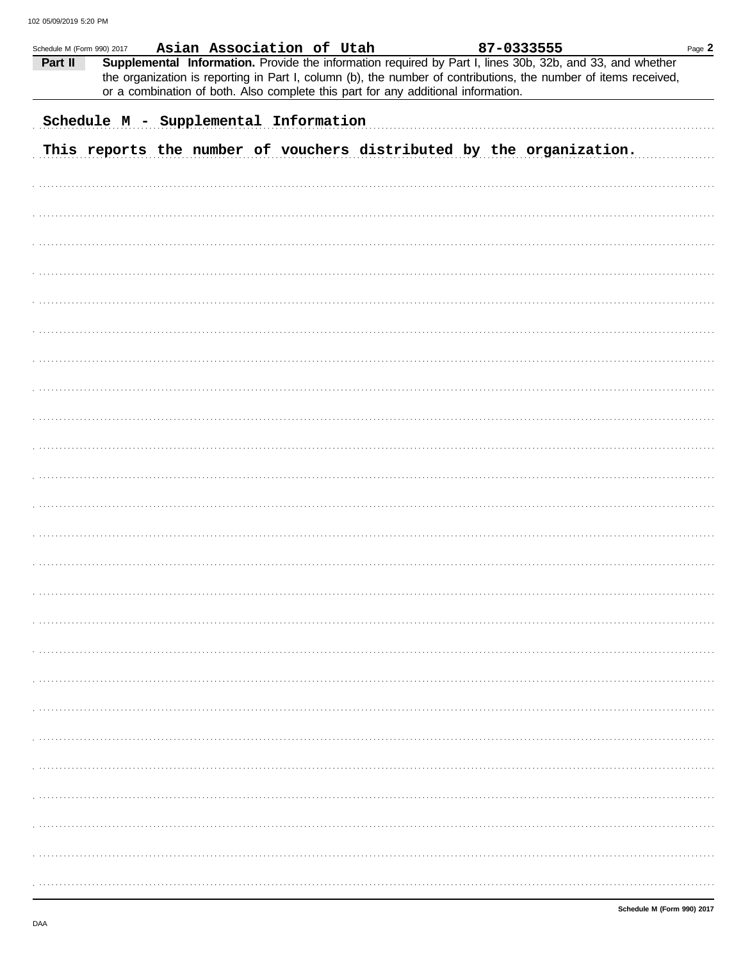|         | Schedule M (Form 990) 2017            |  | Asian Association of Utah |                                                                                   | 87-0333555 |                                                                                                                                                                                                                              | Page $2$ |
|---------|---------------------------------------|--|---------------------------|-----------------------------------------------------------------------------------|------------|------------------------------------------------------------------------------------------------------------------------------------------------------------------------------------------------------------------------------|----------|
| Part II |                                       |  |                           | or a combination of both. Also complete this part for any additional information. |            | Supplemental Information. Provide the information required by Part I, lines 30b, 32b, and 33, and whether<br>the organization is reporting in Part I, column (b), the number of contributions, the number of items received, |          |
|         | Schedule M - Supplemental Information |  |                           |                                                                                   |            |                                                                                                                                                                                                                              |          |
|         |                                       |  |                           |                                                                                   |            | This reports the number of vouchers distributed by the organization.                                                                                                                                                         |          |
|         |                                       |  |                           |                                                                                   |            |                                                                                                                                                                                                                              |          |
|         |                                       |  |                           |                                                                                   |            |                                                                                                                                                                                                                              |          |
|         |                                       |  |                           |                                                                                   |            |                                                                                                                                                                                                                              |          |
|         |                                       |  |                           |                                                                                   |            |                                                                                                                                                                                                                              |          |
|         |                                       |  |                           |                                                                                   |            |                                                                                                                                                                                                                              |          |
|         |                                       |  |                           |                                                                                   |            |                                                                                                                                                                                                                              |          |
|         |                                       |  |                           |                                                                                   |            |                                                                                                                                                                                                                              |          |
|         |                                       |  |                           |                                                                                   |            |                                                                                                                                                                                                                              |          |
|         |                                       |  |                           |                                                                                   |            |                                                                                                                                                                                                                              |          |
|         |                                       |  |                           |                                                                                   |            |                                                                                                                                                                                                                              |          |
|         |                                       |  |                           |                                                                                   |            |                                                                                                                                                                                                                              |          |
|         |                                       |  |                           |                                                                                   |            |                                                                                                                                                                                                                              |          |
|         |                                       |  |                           |                                                                                   |            |                                                                                                                                                                                                                              |          |
|         |                                       |  |                           |                                                                                   |            |                                                                                                                                                                                                                              |          |
|         |                                       |  |                           |                                                                                   |            |                                                                                                                                                                                                                              |          |
|         |                                       |  |                           |                                                                                   |            |                                                                                                                                                                                                                              |          |
|         |                                       |  |                           |                                                                                   |            |                                                                                                                                                                                                                              |          |
|         |                                       |  |                           |                                                                                   |            |                                                                                                                                                                                                                              |          |
|         |                                       |  |                           |                                                                                   |            |                                                                                                                                                                                                                              |          |
|         |                                       |  |                           |                                                                                   |            |                                                                                                                                                                                                                              |          |
|         |                                       |  |                           |                                                                                   |            |                                                                                                                                                                                                                              |          |
|         |                                       |  |                           |                                                                                   |            |                                                                                                                                                                                                                              |          |
|         |                                       |  |                           |                                                                                   |            |                                                                                                                                                                                                                              |          |
|         |                                       |  |                           |                                                                                   |            |                                                                                                                                                                                                                              |          |
|         |                                       |  |                           |                                                                                   |            |                                                                                                                                                                                                                              |          |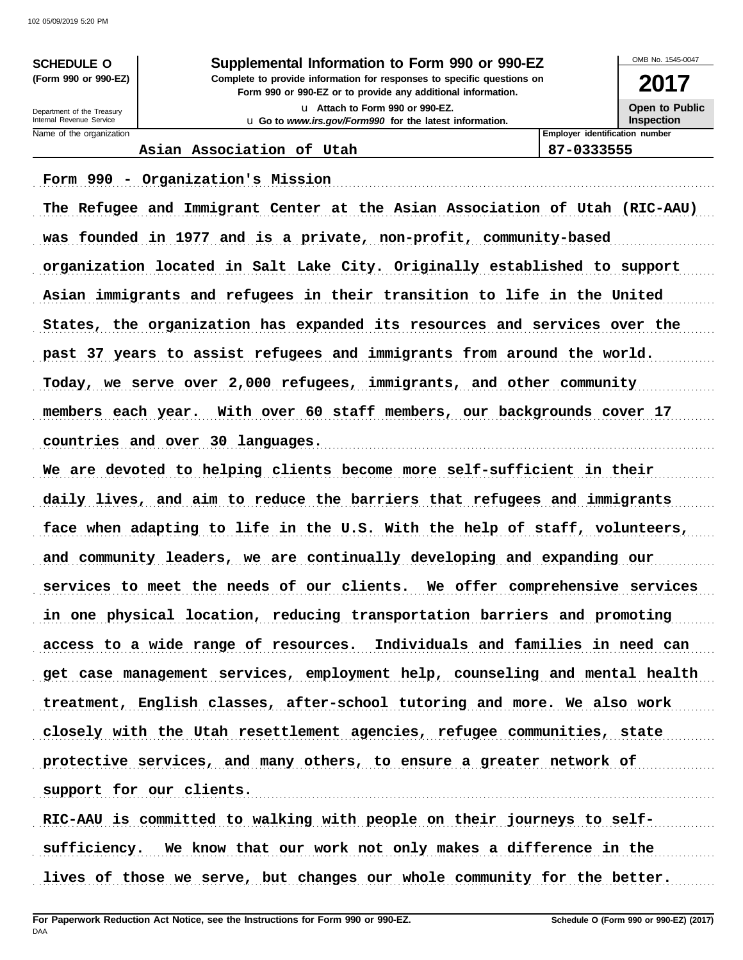#### **SCHEDULE O Supplemental Information to Form 990 or 990-EZ**

**Form 990 or 990-EZ or to provide any additional information. (Form 990 or 990-EZ) Complete to provide information for responses to specific questions on**

> u **Attach to Form 990 or 990-EZ.** u **Go to** *www.irs.gov/Form990* **for the latest information.**

OMB No. 1545-0047

**2017 Open to Public**

**Inspection**

Name of the organization **Employer identification number Employer identification number** Internal Revenue Service Department of the Treasury

#### **Asian Association of Utah 87-0333555**

Form 990 - Organization's Mission (1998) (1999) (1999) (1999) (1999) (1999) (1999) (1999) (1999) (1999) (1999) The Refugee and Immigrant Center at the Asian Association of Utah (RIC-AAU) was founded in 1977 and is a private, non-profit, community-based organization located in Salt Lake City. Originally established to support Asian immigrants and refugees in their transition to life in the United States, the organization has expanded its resources and services over the past 37 years to assist refugees and immigrants from around the world. Today, we serve over 2,000 refugees, immigrants, and other community members each year. With over 60 staff members, our backgrounds cover 17 countries and over 30 languages. We are devoted to helping clients become more self-sufficient in their daily lives, and aim to reduce the barriers that refugees and immigrants face when adapting to life in the U.S. With the help of staff, volunteers, and community leaders, we are continually developing and expanding our services to meet the needs of our clients. We offer comprehensive services in one physical location, reducing transportation barriers and promoting access to a wide range of resources. Individuals and families in need can get case management services, employment help, counseling and mental health treatment, English classes, after-school tutoring and more. We also work closely with the Utah resettlement agencies, refugee communities, state protective services, and many others, to ensure a greater network of support for our clients. RIC-AAU is committed to walking with people on their journeys to selfsufficiency. We know that our work not only makes a difference in the

lives of those we serve, but changes our whole community for the better.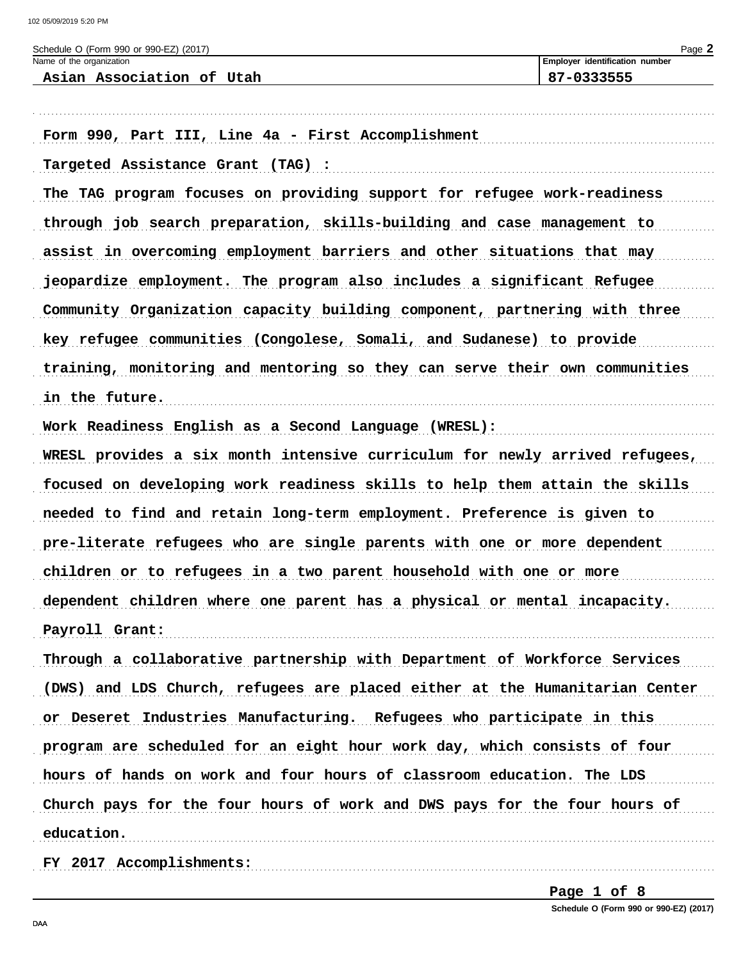| Schedule O (Form 990 or 990-EZ) (2017)<br>Name of the organization          | Page 2<br>Employer identification number |
|-----------------------------------------------------------------------------|------------------------------------------|
| Asian Association of Utah                                                   | 87-0333555                               |
| Form 990, Part III, Line 4a - First Accomplishment                          |                                          |
| Targeted Assistance Grant (TAG) :                                           |                                          |
| The TAG program focuses on providing support for refugee work-readiness     |                                          |
| through job search preparation, skills-building and case management to      |                                          |
| assist in overcoming employment barriers and other situations that may      |                                          |
| jeopardize employment. The program also includes a significant Refugee      |                                          |
| Community Organization capacity building component, partnering with three   |                                          |
| key refugee communities (Congolese, Somali, and Sudanese) to provide        |                                          |
| training, monitoring and mentoring so they can serve their own communities  |                                          |
| in the future.                                                              |                                          |
| Work Readiness English as a Second Language (WRESL):                        |                                          |
| WRESL provides a six month intensive curriculum for newly arrived refugees, |                                          |
| focused on developing work readiness skills to help them attain the skills  |                                          |
| needed to find and retain long-term employment. Preference is given to      |                                          |
| pre-literate refugees who are single parents with one or more dependent     |                                          |
| children or to refugees in a two parent household with one or more          |                                          |
| dependent children where one parent has a physical or mental incapacity.    |                                          |
| Payroll Grant:                                                              |                                          |
| Through a collaborative partnership with Department of Workforce Services   |                                          |
| (DWS) and LDS Church, refugees are placed either at the Humanitarian Center |                                          |
| or Deseret Industries Manufacturing. Refugees who participate in this       |                                          |
| program are scheduled for an eight hour work day, which consists of four    |                                          |
| hours of hands on work and four hours of classroom education. The LDS       |                                          |
| Church pays for the four hours of work and DWS pays for the four hours of   |                                          |
| education.                                                                  |                                          |
| FY 2017 Accomplishments:                                                    |                                          |

Page 1 of 8 Schedule O (Form 990 or 990-EZ) (2017)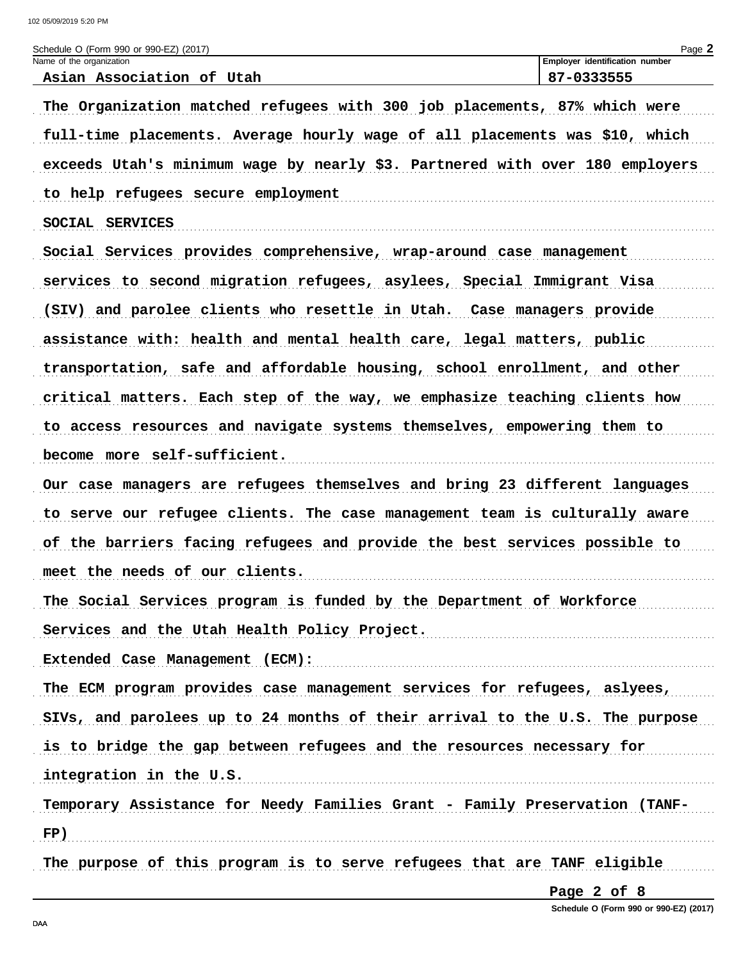| Schedule O (Form 990 or 990-EZ) (2017)                                       | Page 2                                       |
|------------------------------------------------------------------------------|----------------------------------------------|
| Name of the organization<br>Asian Association of Utah                        | Employer identification number<br>87-0333555 |
| The Organization matched refugees with 300 job placements, 87% which were    |                                              |
| full-time placements. Average hourly wage of all placements was \$10, which  |                                              |
| exceeds Utah's minimum wage by nearly \$3. Partnered with over 180 employers |                                              |
| to help refugees secure employment                                           |                                              |
| SOCIAL SERVICES                                                              |                                              |
| Social Services provides comprehensive, wrap-around case management          |                                              |
| services to second migration refugees, asylees, Special Immigrant Visa       |                                              |
| (SIV) and parolee clients who resettle in Utah. Case managers provide        |                                              |
| assistance with: health and mental health care, legal matters, public        |                                              |
| transportation, safe and affordable housing, school enrollment, and other    |                                              |
| critical matters. Each step of the way, we emphasize teaching clients how    |                                              |
| to access resources and navigate systems themselves, empowering them to      |                                              |
| become more self-sufficient.                                                 |                                              |
| Our case managers are refugees themselves and bring 23 different languages   |                                              |
| to serve our refugee clients. The case management team is culturally aware   |                                              |
| of the barriers facing refugees and provide the best services possible to    |                                              |
| meet the needs of our clients.                                               |                                              |
| The Social Services program is funded by the Department of Workforce         |                                              |
| Services and the Utah Health Policy Project.                                 |                                              |
| Extended Case Management (ECM):                                              |                                              |
| The ECM program provides case management services for refugees, aslyees,     |                                              |
| SIVs, and parolees up to 24 months of their arrival to the U.S. The purpose  |                                              |
| is to bridge the gap between refugees and the resources necessary for        |                                              |
| integration in the U.S.                                                      |                                              |
| Temporary Assistance for Needy Families Grant - Family Preservation (TANF-   |                                              |
| FP)                                                                          |                                              |
| The purpose of this program is to serve refugees that are TANF eligible      |                                              |

Page 2 of 8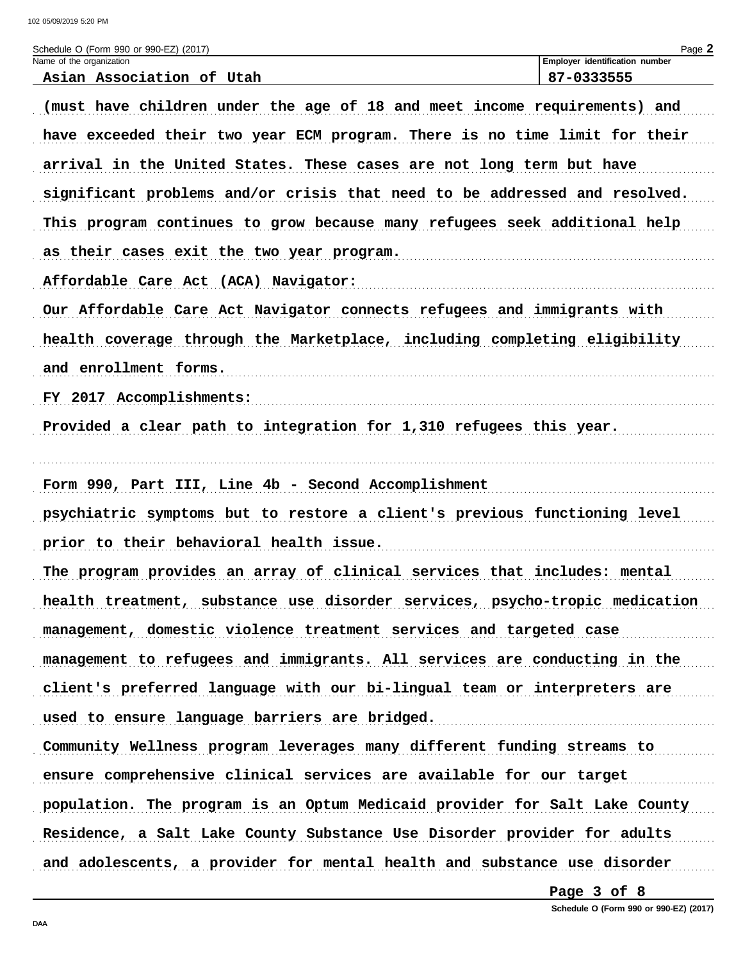102 05/09/2019 5:20 PM

| Schedule O (Form 990 or 990-EZ) (2017)<br>Name of the organization          | Page 2<br>Employer identification number |
|-----------------------------------------------------------------------------|------------------------------------------|
| Asian Association of Utah                                                   | 87-0333555                               |
| (must have children under the age of 18 and meet income requirements) and   |                                          |
| have exceeded their two year ECM program. There is no time limit for their  |                                          |
| arrival in the United States. These cases are not long term but have        |                                          |
| significant problems and/or crisis that need to be addressed and resolved.  |                                          |
| This program continues to grow because many refugees seek additional help   |                                          |
| as their cases exit the two year program.                                   |                                          |
| Affordable Care Act (ACA) Navigator:                                        |                                          |
| Our Affordable Care Act Navigator connects refugees and immigrants with     |                                          |
| health coverage through the Marketplace, including completing eligibility   |                                          |
| and enrollment forms.                                                       |                                          |
| FY 2017 Accomplishments:                                                    |                                          |
| Provided a clear path to integration for 1,310 refugees this year.          |                                          |
|                                                                             |                                          |
| Form 990, Part III, Line 4b - Second Accomplishment                         |                                          |
| psychiatric symptoms but to restore a client's previous functioning level   |                                          |
| prior to their behavioral health issue.                                     |                                          |
| The program provides an array of clinical services that includes: mental    |                                          |
| health treatment, substance use disorder services, psycho-tropic medication |                                          |
| management, domestic violence treatment services and targeted case          |                                          |
| management to refugees and immigrants. All services are conducting in the   |                                          |
| client's preferred language with our bi-lingual team or interpreters are    |                                          |
| used to ensure language barriers are bridged.                               |                                          |
| Community Wellness program leverages many different funding streams to      |                                          |
| ensure comprehensive clinical services are available for our target         |                                          |
| population. The program is an Optum Medicaid provider for Salt Lake County  |                                          |
| Residence, a Salt Lake County Substance Use Disorder provider for adults    |                                          |
| and adolescents, a provider for mental health and substance use disorder    |                                          |

Page 3 of 8

Schedule O (Form 990 or 990-EZ) (2017)

DAA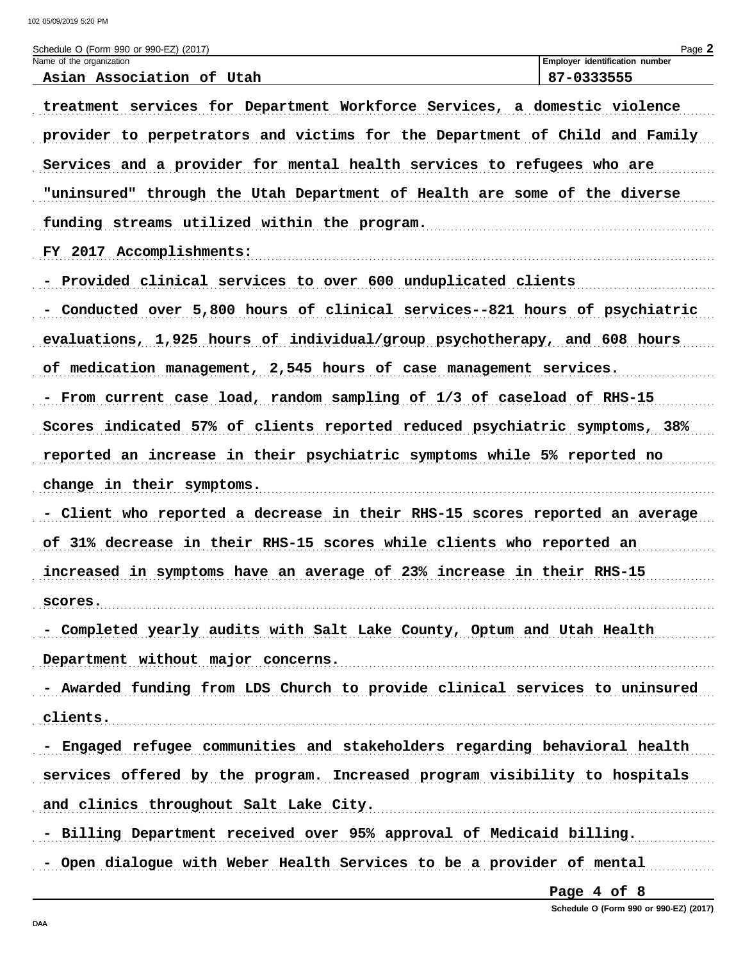| Schedule O (Form 990 or 990-EZ) (2017)<br>Name of the organization          | Employer identification number |
|-----------------------------------------------------------------------------|--------------------------------|
| Asian Association of Utah                                                   | 87-0333555                     |
| treatment services for Department Workforce Services, a domestic violence   |                                |
| provider to perpetrators and victims for the Department of Child and Family |                                |
| Services and a provider for mental health services to refugees who are      |                                |
| "uninsured" through the Utah Department of Health are some of the diverse   |                                |
| funding streams utilized within the program.                                |                                |
| FY 2017 Accomplishments:                                                    |                                |
| - Provided clinical services to over 600 unduplicated clients               |                                |
| - Conducted over 5,800 hours of clinical services--821 hours of psychiatric |                                |
| evaluations, 1,925 hours of individual/group psychotherapy, and 608 hours   |                                |
| of medication management, 2,545 hours of case management services.          |                                |
| - From current case load, random sampling of 1/3 of caseload of RHS-15      |                                |
| Scores indicated 57% of clients reported reduced psychiatric symptoms, 38%  |                                |
| reported an increase in their psychiatric symptoms while 5% reported no     |                                |
| change in their symptoms.                                                   |                                |
| - Client who reported a decrease in their RHS-15 scores reported an average |                                |
| of 31% decrease in their RHS-15 scores while clients who reported an        |                                |
| increased in symptoms have an average of 23% increase in their RHS-15       |                                |
| scores.                                                                     |                                |
| - Completed yearly audits with Salt Lake County, Optum and Utah Health      |                                |
| Department without major concerns.                                          |                                |
| - Awarded funding from LDS Church to provide clinical services to uninsured |                                |
| clients.                                                                    |                                |
| - Engaged refugee communities and stakeholders regarding behavioral health  |                                |
| services offered by the program. Increased program visibility to hospitals  |                                |
| and clinics throughout Salt Lake City.                                      |                                |
| - Billing Department received over 95% approval of Medicaid billing.        |                                |
| - Open dialogue with Weber Health Services to be a provider of mental       |                                |

Page 4 of 8

Schedule O (Form 990 or 990-EZ) (2017)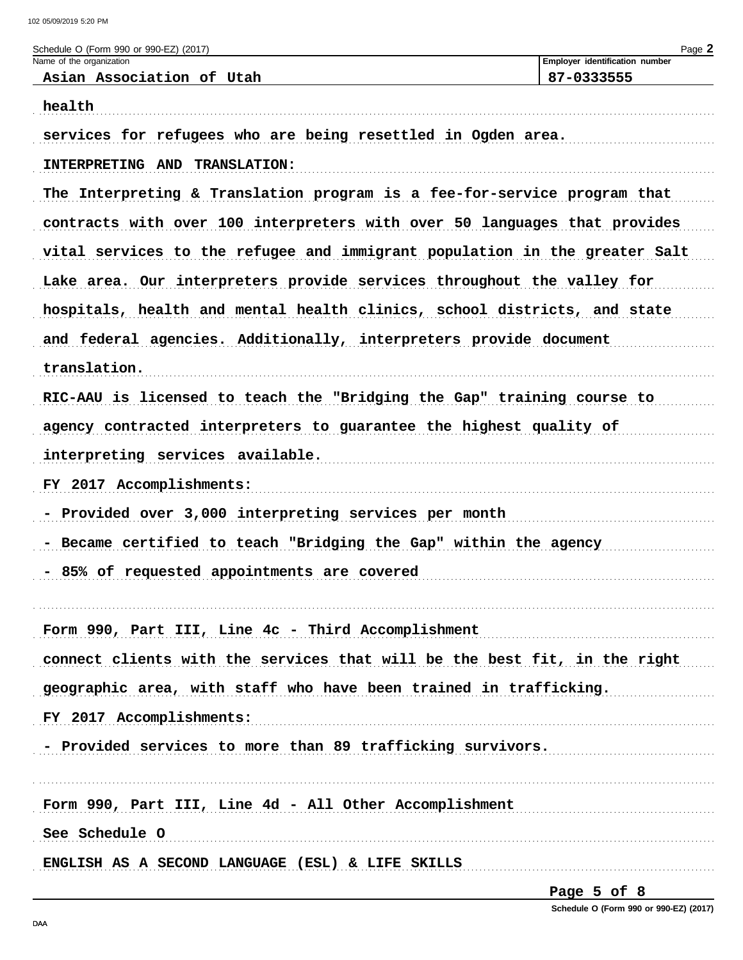| Schedule O (Form 990 or 990-EZ) (2017)                                     | Page 2                                       |
|----------------------------------------------------------------------------|----------------------------------------------|
| Name of the organization<br>Asian Association of Utah                      | Employer identification number<br>87-0333555 |
| health                                                                     |                                              |
| services for refugees who are being resettled in Ogden area.               |                                              |
| INTERPRETING AND TRANSLATION:                                              |                                              |
| The Interpreting & Translation program is a fee-for-service program that   |                                              |
| contracts with over 100 interpreters with over 50 languages that provides  |                                              |
| vital services to the refugee and immigrant population in the greater Salt |                                              |
| Lake area. Our interpreters provide services throughout the valley for     |                                              |
| hospitals, health and mental health clinics, school districts, and state   |                                              |
| and federal agencies. Additionally, interpreters provide document          |                                              |
| translation.                                                               |                                              |
| RIC-AAU is licensed to teach the "Bridging the Gap" training course to     |                                              |
| agency contracted interpreters to guarantee the highest quality of         |                                              |
| interpreting services available.                                           |                                              |
| FY 2017 Accomplishments:                                                   |                                              |
| Provided over 3,000 interpreting services per month                        |                                              |
| Became certified to teach "Bridging the Gap" within the agency             |                                              |
| - 85% of requested appointments are covered                                |                                              |
| Form 990, Part III, Line 4c - Third Accomplishment                         |                                              |
| connect clients with the services that will be the best fit, in the right  |                                              |
| geographic area, with staff who have been trained in trafficking.          |                                              |
| FY 2017 Accomplishments:                                                   |                                              |
| - Provided services to more than 89 trafficking survivors.                 |                                              |
| Form 990, Part III, Line 4d - All Other Accomplishment                     |                                              |
| See Schedule O                                                             |                                              |
| ENGLISH AS A SECOND LANGUAGE (ESL) & LIFE SKILLS                           |                                              |
|                                                                            |                                              |

Page 5 of 8 Schedule O (Form 990 or 990-EZ) (2017)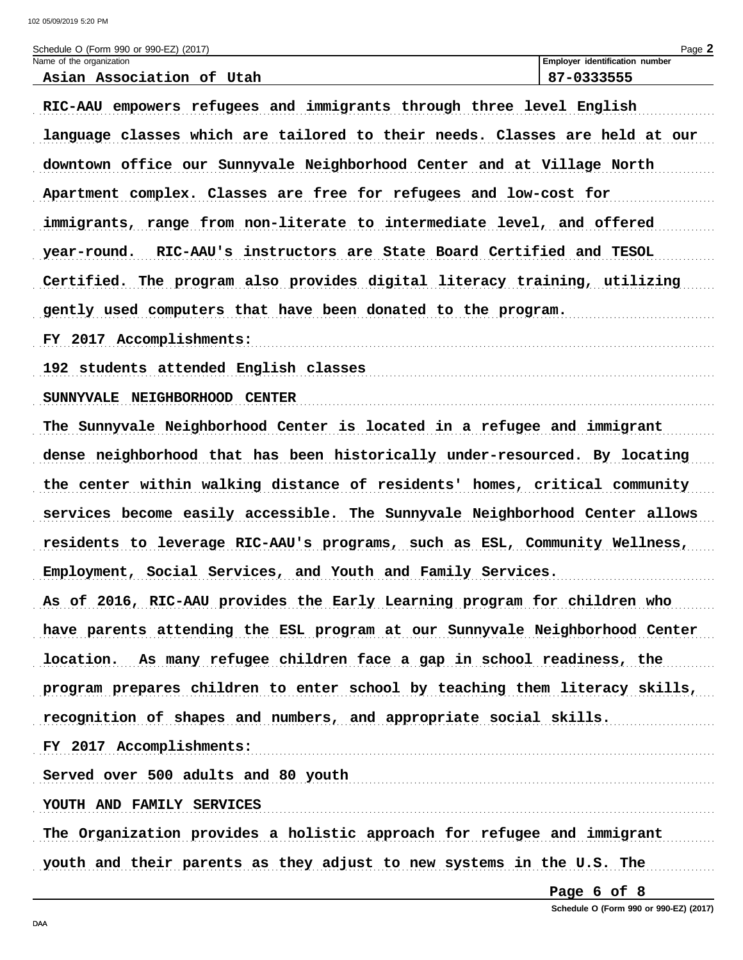| Schedule O (Form 990 or 990-EZ) (2017)                                      | Page 2                                       |
|-----------------------------------------------------------------------------|----------------------------------------------|
| Name of the organization<br>Asian Association of Utah                       | Employer identification number<br>87-0333555 |
| RIC-AAU empowers refugees and immigrants through three level English        |                                              |
| language classes which are tailored to their needs. Classes are held at our |                                              |
| downtown office our Sunnyvale Neighborhood Center and at Village North      |                                              |
| Apartment complex. Classes are free for refugees and low-cost for           |                                              |
| immigrants, range from non-literate to intermediate level, and offered      |                                              |
| RIC-AAU's instructors are State Board Certified and TESOL<br>year-round.    |                                              |
| Certified. The program also provides digital literacy training, utilizing   |                                              |
| gently used computers that have been donated to the program.                |                                              |
| FY 2017 Accomplishments:                                                    |                                              |
| 192 students attended English classes                                       |                                              |
| SUNNYVALE NEIGHBORHOOD CENTER                                               |                                              |
| The Sunnyvale Neighborhood Center is located in a refugee and immigrant     |                                              |
| dense neighborhood that has been historically under-resourced. By locating  |                                              |
| the center within walking distance of residents' homes, critical community  |                                              |
| services become easily accessible. The Sunnyvale Neighborhood Center allows |                                              |
| residents to leverage RIC-AAU's programs, such as ESL, Community Wellness,  |                                              |
| Employment, Social Services, and Youth and Family Services.                 |                                              |
| As of 2016, RIC-AAU provides the Early Learning program for children who    |                                              |
| have parents attending the ESL program at our Sunnyvale Neighborhood Center |                                              |
| location. As many refugee children face a gap in school readiness, the      |                                              |
| program prepares children to enter school by teaching them literacy skills, |                                              |
| recognition of shapes and numbers, and appropriate social skills.           |                                              |
| FY 2017 Accomplishments:                                                    |                                              |
| Served over 500 adults and 80 youth                                         |                                              |
| YOUTH AND FAMILY SERVICES                                                   |                                              |
| The Organization provides a holistic approach for refugee and immigrant     |                                              |
| youth and their parents as they adjust to new systems in the U.S. The       |                                              |

Page 6 of 8

Schedule O (Form 990 or 990-EZ) (2017)

DAA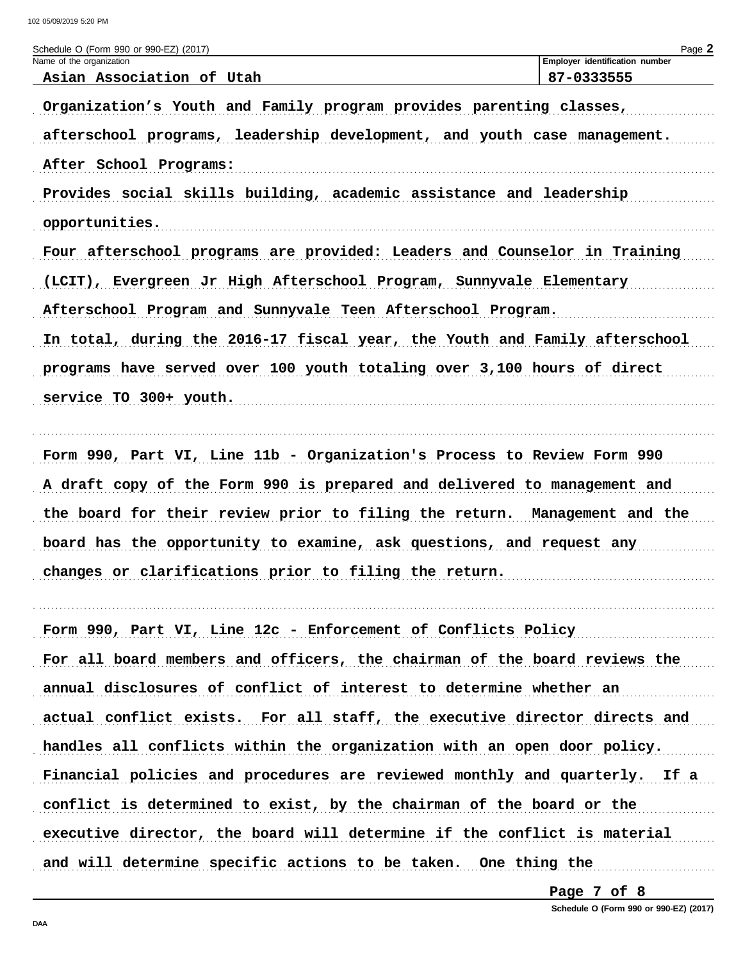| Schedule O (Form 990 or 990-EZ) (2017)                                     | Page 2                                       |
|----------------------------------------------------------------------------|----------------------------------------------|
| Name of the organization<br>Asian Association of Utah                      | Employer identification number<br>87-0333555 |
|                                                                            |                                              |
| Organization's Youth and Family program provides parenting classes,        |                                              |
| afterschool programs, leadership development, and youth case management.   |                                              |
| After School Programs:                                                     |                                              |
| Provides social skills building, academic assistance and leadership        |                                              |
| opportunities.                                                             |                                              |
| Four afterschool programs are provided: Leaders and Counselor in Training  |                                              |
| (LCIT), Evergreen Jr High Afterschool Program, Sunnyvale Elementary        |                                              |
| Afterschool Program and Sunnyvale Teen Afterschool Program.                |                                              |
| In total, during the 2016-17 fiscal year, the Youth and Family afterschool |                                              |
| programs have served over 100 youth totaling over 3,100 hours of direct    |                                              |
| service TO 300+ youth.                                                     |                                              |
|                                                                            |                                              |
| Form 990, Part VI, Line 11b - Organization's Process to Review Form 990    |                                              |
| A draft copy of the Form 990 is prepared and delivered to management and   |                                              |
| the board for their review prior to filing the return. Management and the  |                                              |
| board has the opportunity to examine, ask questions, and request any       |                                              |
| changes or clarifications prior to filing the return.                      |                                              |
|                                                                            |                                              |
| Form 990, Part VI, Line 12c - Enforcement of Conflicts Policy              |                                              |
|                                                                            |                                              |
| For all board members and officers, the chairman of the board reviews the  |                                              |
| annual disclosures of conflict of interest to determine whether an         |                                              |
| actual conflict exists. For all staff, the executive director directs and  |                                              |
| handles all conflicts within the organization with an open door policy.    |                                              |
| Financial policies and procedures are reviewed monthly and quarterly. If a |                                              |
| conflict is determined to exist, by the chairman of the board or the       |                                              |
| executive director, the board will determine if the conflict is material   |                                              |
| and will determine specific actions to be taken. One thing the             |                                              |

Page 7 of 8

Schedule O (Form 990 or 990-EZ) (2017)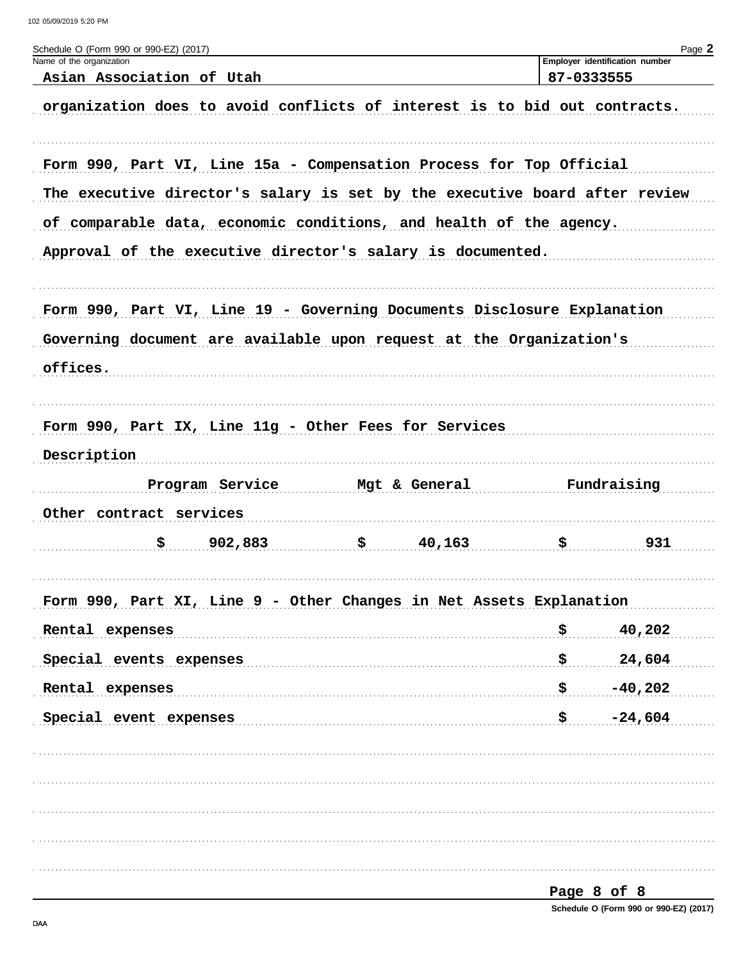| Schedule O (Form 990 or 990-EZ) (2017)<br>Name of the organization         |            | Page 2<br>Employer identification number |
|----------------------------------------------------------------------------|------------|------------------------------------------|
| Asian Association of Utah                                                  | 87-0333555 |                                          |
| organization does to avoid conflicts of interest is to bid out contracts.  |            |                                          |
| Form 990, Part VI, Line 15a - Compensation Process for Top Official        |            |                                          |
| The executive director's salary is set by the executive board after review |            |                                          |
| of comparable data, economic conditions, and health of the agency.         |            |                                          |
| Approval of the executive director's salary is documented.                 |            |                                          |
| Form 990, Part VI, Line 19 - Governing Documents Disclosure Explanation    |            |                                          |
| Governing document are available upon request at the Organization's        |            |                                          |
| offices.                                                                   |            |                                          |
|                                                                            |            |                                          |
| Form 990, Part IX, Line 11g - Other Fees for Services                      |            |                                          |
| Description                                                                |            |                                          |
| Program Service<br>Mgt & General                                           |            | Fundraising                              |
| Other contract services                                                    |            |                                          |
| \$.<br>902,883<br>\$.<br>40,163                                            | \$.        | 931                                      |
| Form 990, Part XI, Line 9 - Other Changes in Net Assets Explanation        |            |                                          |
| Rental expenses                                                            | \$         | 40,202                                   |
| Special events expenses                                                    | \$         | 24,604                                   |
| Rental expenses                                                            | \$         | $-40,202$                                |
| Special event expenses                                                     | \$         | $-24,604$                                |
|                                                                            |            |                                          |
|                                                                            |            |                                          |
|                                                                            |            |                                          |
|                                                                            |            |                                          |
|                                                                            |            |                                          |
|                                                                            |            | Page 8 of 8                              |